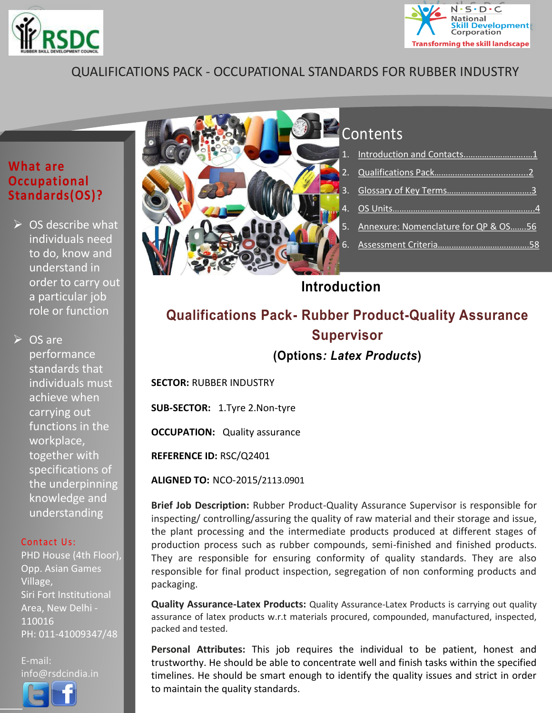<span id="page-0-1"></span>



### QUALIFICATIONS PACK - OCCUPATIONAL STANDARDS FOR RUBBER INDUSTRY

#### **What are Occupational Standards(OS)?**

 $\triangleright$  OS describe what individuals need to do, know and understand in order to carry out a particular job role or function

 $\triangleright$  OS are performance standards that individuals must achieve when carrying out functions in the workplace, together with specifications of the underpinning knowledge and understanding

#### Contact Us:

PHD House (4th Floor), Opp. Asian Games Village, Siri Fort Institutional Area, New Delhi - 110016 PH: 011-41009347/48

E-mail: info@rsdcindia.in





# Contents

| 5. Annexure: Nomenclature for QP & OS56 |
|-----------------------------------------|
|                                         |

### <span id="page-0-0"></span>**Introduction**

### **Qualifications Pack- Rubber Product-Quality Assurance Supervisor (Options***: Latex Products***)**

**SECTOR:** RUBBER INDUSTRY

**SUB-SECTOR:** 1.Tyre 2.Non-tyre

**OCCUPATION:** Quality assurance

**REFERENCE ID:** RSC/Q2401

**ALIGNED TO:** NCO-2015/2113.0901

**Brief Job Description:** Rubber Product-Quality Assurance Supervisor is responsible for inspecting/ controlling/assuring the quality of raw material and their storage and issue, the plant processing and the intermediate products produced at different stages of production process such as rubber compounds, semi-finished and finished products. They are responsible for ensuring conformity of quality standards. They are also responsible for final product inspection, segregation of non conforming products and packaging.

**Quality Assurance-Latex Products:** Quality Assurance-Latex Products is carrying out quality assurance of latex products w.r.t materials procured, compounded, manufactured, inspected, packed and tested.

**Personal Attributes:** This job requires the individual to be patient, honest and trustworthy. He should be able to concentrate well and finish tasks within the specified timelines. He should be smart enough to identify the quality issues and strict in order to maintain the quality standards.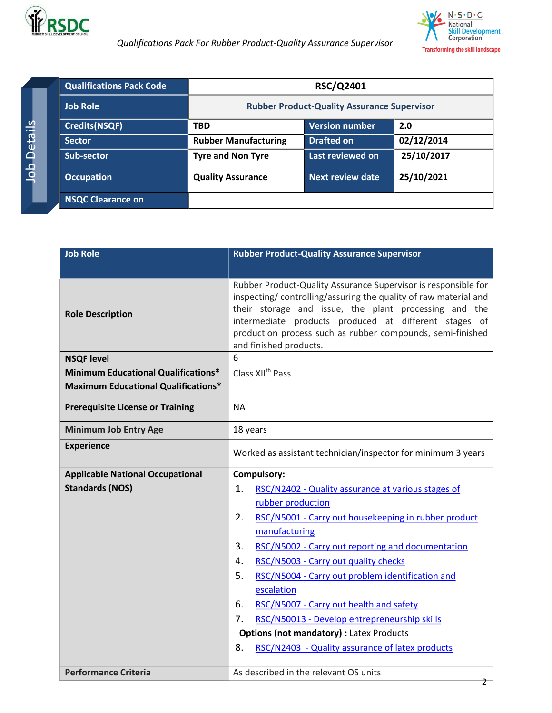

<span id="page-1-0"></span> *Qualifications Pack For Rubber Product-Quality Assurance Supervisor*

|                    | <b>Qualifications Pack Code</b> | <b>RSC/Q2401</b>                                   |                         |            |
|--------------------|---------------------------------|----------------------------------------------------|-------------------------|------------|
|                    | <b>Job Role</b>                 | <b>Rubber Product-Quality Assurance Supervisor</b> |                         |            |
|                    | <b>Credits(NSQF)</b>            | <b>TBD</b>                                         | <b>Version number</b>   | 2.0        |
| etails             | <b>Sector</b>                   | <b>Rubber Manufacturing</b>                        | <b>Drafted on</b>       | 02/12/2014 |
| $\Delta$           | Sub-sector                      | <b>Tyre and Non Tyre</b>                           | Last reviewed on        | 25/10/2017 |
| $\frac{1}{\alpha}$ | <b>Occupation</b>               | <b>Quality Assurance</b>                           | <b>Next review date</b> | 25/10/2021 |
|                    | <b>NSQC Clearance on</b>        |                                                    |                         |            |

| <b>Job Role</b>                            | <b>Rubber Product-Quality Assurance Supervisor</b>                                                                                                                                                                                                                                                                                          |  |  |
|--------------------------------------------|---------------------------------------------------------------------------------------------------------------------------------------------------------------------------------------------------------------------------------------------------------------------------------------------------------------------------------------------|--|--|
|                                            |                                                                                                                                                                                                                                                                                                                                             |  |  |
| <b>Role Description</b>                    | Rubber Product-Quality Assurance Supervisor is responsible for<br>inspecting/controlling/assuring the quality of raw material and<br>their storage and issue, the plant processing and the<br>intermediate products produced at different stages of<br>production process such as rubber compounds, semi-finished<br>and finished products. |  |  |
| <b>NSQF level</b>                          | 6                                                                                                                                                                                                                                                                                                                                           |  |  |
| <b>Minimum Educational Qualifications*</b> | Class XII <sup>th</sup> Pass                                                                                                                                                                                                                                                                                                                |  |  |
| <b>Maximum Educational Qualifications*</b> |                                                                                                                                                                                                                                                                                                                                             |  |  |
| <b>Prerequisite License or Training</b>    | <b>NA</b>                                                                                                                                                                                                                                                                                                                                   |  |  |
| <b>Minimum Job Entry Age</b>               | 18 years                                                                                                                                                                                                                                                                                                                                    |  |  |
| <b>Experience</b>                          | Worked as assistant technician/inspector for minimum 3 years                                                                                                                                                                                                                                                                                |  |  |
| <b>Applicable National Occupational</b>    | <b>Compulsory:</b>                                                                                                                                                                                                                                                                                                                          |  |  |
| <b>Standards (NOS)</b>                     | 1.<br>RSC/N2402 - Quality assurance at various stages of                                                                                                                                                                                                                                                                                    |  |  |
|                                            | rubber production                                                                                                                                                                                                                                                                                                                           |  |  |
|                                            | RSC/N5001 - Carry out housekeeping in rubber product<br>2.                                                                                                                                                                                                                                                                                  |  |  |
|                                            | manufacturing                                                                                                                                                                                                                                                                                                                               |  |  |
|                                            | 3.<br>RSC/N5002 - Carry out reporting and documentation                                                                                                                                                                                                                                                                                     |  |  |
|                                            | RSC/N5003 - Carry out quality checks<br>4.                                                                                                                                                                                                                                                                                                  |  |  |
|                                            | 5.<br>RSC/N5004 - Carry out problem identification and                                                                                                                                                                                                                                                                                      |  |  |
|                                            | escalation                                                                                                                                                                                                                                                                                                                                  |  |  |
|                                            | 6.<br>RSC/N5007 - Carry out health and safety                                                                                                                                                                                                                                                                                               |  |  |
|                                            | 7.<br>RSC/N50013 - Develop entrepreneurship skills                                                                                                                                                                                                                                                                                          |  |  |
|                                            | <b>Options (not mandatory) : Latex Products</b>                                                                                                                                                                                                                                                                                             |  |  |
|                                            | 8.<br>RSC/N2403 - Quality assurance of latex products                                                                                                                                                                                                                                                                                       |  |  |
| <b>Performance Criteria</b>                | As described in the relevant OS units<br>2                                                                                                                                                                                                                                                                                                  |  |  |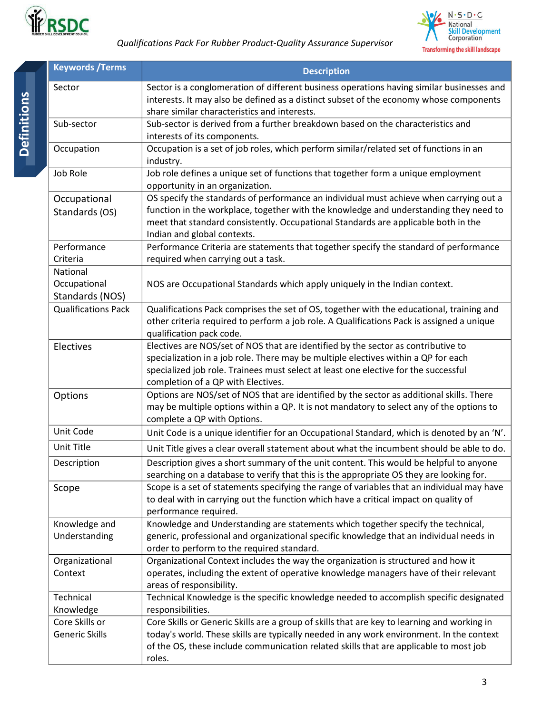



<span id="page-2-0"></span>

| <b>Keywords / Terms</b>                     | <b>Description</b>                                                                                                                                                                                                                                                                                   |  |  |
|---------------------------------------------|------------------------------------------------------------------------------------------------------------------------------------------------------------------------------------------------------------------------------------------------------------------------------------------------------|--|--|
| Sector                                      | Sector is a conglomeration of different business operations having similar businesses and<br>interests. It may also be defined as a distinct subset of the economy whose components<br>share similar characteristics and interests.                                                                  |  |  |
| Sub-sector                                  | Sub-sector is derived from a further breakdown based on the characteristics and<br>interests of its components.                                                                                                                                                                                      |  |  |
| Occupation                                  | Occupation is a set of job roles, which perform similar/related set of functions in an<br>industry.                                                                                                                                                                                                  |  |  |
| Job Role                                    | Job role defines a unique set of functions that together form a unique employment<br>opportunity in an organization.                                                                                                                                                                                 |  |  |
| Occupational<br>Standards (OS)              | OS specify the standards of performance an individual must achieve when carrying out a<br>function in the workplace, together with the knowledge and understanding they need to<br>meet that standard consistently. Occupational Standards are applicable both in the<br>Indian and global contexts. |  |  |
| Performance<br>Criteria                     | Performance Criteria are statements that together specify the standard of performance<br>required when carrying out a task.                                                                                                                                                                          |  |  |
| National<br>Occupational<br>Standards (NOS) | NOS are Occupational Standards which apply uniquely in the Indian context.                                                                                                                                                                                                                           |  |  |
| <b>Qualifications Pack</b>                  | Qualifications Pack comprises the set of OS, together with the educational, training and<br>other criteria required to perform a job role. A Qualifications Pack is assigned a unique<br>qualification pack code.                                                                                    |  |  |
| Electives                                   | Electives are NOS/set of NOS that are identified by the sector as contributive to<br>specialization in a job role. There may be multiple electives within a QP for each<br>specialized job role. Trainees must select at least one elective for the successful<br>completion of a QP with Electives. |  |  |
| Options                                     | Options are NOS/set of NOS that are identified by the sector as additional skills. There<br>may be multiple options within a QP. It is not mandatory to select any of the options to<br>complete a QP with Options.                                                                                  |  |  |
| Unit Code                                   | Unit Code is a unique identifier for an Occupational Standard, which is denoted by an 'N'.                                                                                                                                                                                                           |  |  |
| Unit Title                                  | Unit Title gives a clear overall statement about what the incumbent should be able to do.                                                                                                                                                                                                            |  |  |
| Description                                 | Description gives a short summary of the unit content. This would be helpful to anyone<br>searching on a database to verify that this is the appropriate OS they are looking for.                                                                                                                    |  |  |
| Scope                                       | Scope is a set of statements specifying the range of variables that an individual may have<br>to deal with in carrying out the function which have a critical impact on quality of<br>performance required.                                                                                          |  |  |
| Knowledge and<br>Understanding              | Knowledge and Understanding are statements which together specify the technical,<br>generic, professional and organizational specific knowledge that an individual needs in<br>order to perform to the required standard.                                                                            |  |  |
| Organizational<br>Context                   | Organizational Context includes the way the organization is structured and how it<br>operates, including the extent of operative knowledge managers have of their relevant<br>areas of responsibility.                                                                                               |  |  |
| Technical<br>Knowledge                      | Technical Knowledge is the specific knowledge needed to accomplish specific designated<br>responsibilities.                                                                                                                                                                                          |  |  |
| Core Skills or<br><b>Generic Skills</b>     | Core Skills or Generic Skills are a group of skills that are key to learning and working in<br>today's world. These skills are typically needed in any work environment. In the context<br>of the OS, these include communication related skills that are applicable to most job<br>roles.           |  |  |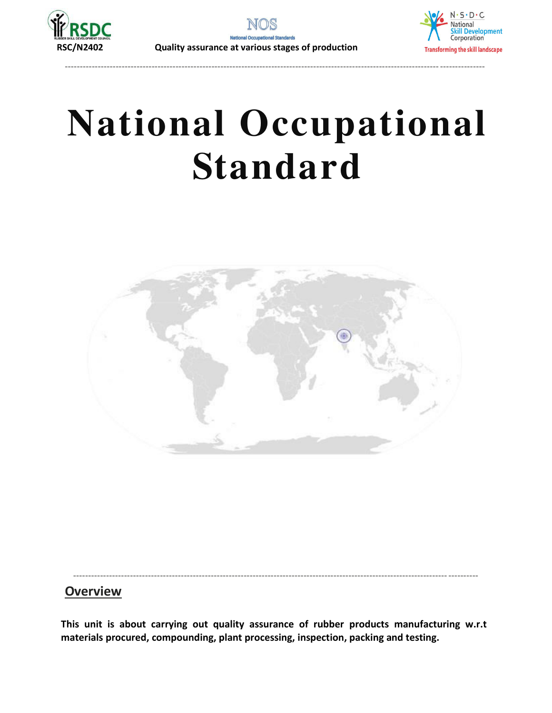

**RSC/N2402 Quality assurance at various stages of production**



# **National Occupational Standard**

----------------------------------------------------------------------------------------------------------------------------- ---------------

<span id="page-3-0"></span>

#### ----------------------------------------------------------------------------------------------------------------------------- ---------- **Overview**

**This unit is about carrying out quality assurance of rubber products manufacturing w.r.t materials procured, compounding, plant processing, inspection, packing and testing.**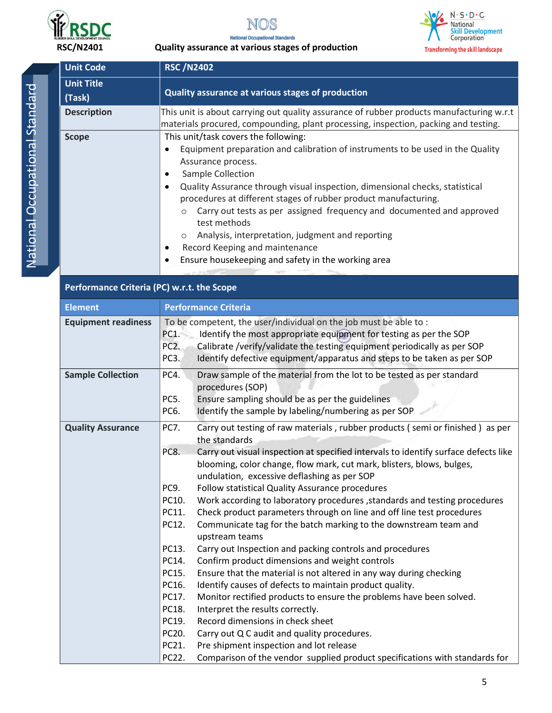







| <b>Unit Code</b>            | <b>RSC /N2402</b>                                                                                                                                                                                                                                                                                                                                                                                                                                                                                                                                                                                                                                    |  |  |
|-----------------------------|------------------------------------------------------------------------------------------------------------------------------------------------------------------------------------------------------------------------------------------------------------------------------------------------------------------------------------------------------------------------------------------------------------------------------------------------------------------------------------------------------------------------------------------------------------------------------------------------------------------------------------------------------|--|--|
| <b>Unit Title</b><br>(Task) | Quality assurance at various stages of production                                                                                                                                                                                                                                                                                                                                                                                                                                                                                                                                                                                                    |  |  |
| <b>Description</b>          | This unit is about carrying out quality assurance of rubber products manufacturing w.r.t<br>materials procured, compounding, plant processing, inspection, packing and testing.                                                                                                                                                                                                                                                                                                                                                                                                                                                                      |  |  |
| <b>Scope</b>                | This unit/task covers the following:<br>Equipment preparation and calibration of instruments to be used in the Quality<br>Assurance process.<br>Sample Collection<br>٠<br>Quality Assurance through visual inspection, dimensional checks, statistical<br>$\bullet$<br>procedures at different stages of rubber product manufacturing.<br>Carry out tests as per assigned frequency and documented and approved<br>$\circ$<br>test methods<br>Analysis, interpretation, judgment and reporting<br>$\circ$<br>Record Keeping and maintenance<br>٠<br>Ensure housekeeping and safety in the working area<br>$\bullet$<br>the control of the control of |  |  |

| <b>Element</b>             | <b>Performance Criteria</b>                                                                                                                                                                                                                                                                                                                                                                                                                                                                                                                                                                                                                                                                                                                                                                                                                                                                                                                                                                                                                                                                                                                                                                                                               |  |  |
|----------------------------|-------------------------------------------------------------------------------------------------------------------------------------------------------------------------------------------------------------------------------------------------------------------------------------------------------------------------------------------------------------------------------------------------------------------------------------------------------------------------------------------------------------------------------------------------------------------------------------------------------------------------------------------------------------------------------------------------------------------------------------------------------------------------------------------------------------------------------------------------------------------------------------------------------------------------------------------------------------------------------------------------------------------------------------------------------------------------------------------------------------------------------------------------------------------------------------------------------------------------------------------|--|--|
| <b>Equipment readiness</b> | To be competent, the user/individual on the job must be able to :<br>Identify the most appropriate equipment for testing as per the SOP<br>PC1.<br>PC <sub>2</sub> .<br>Calibrate /verify/validate the testing equipment periodically as per SOP<br>PC3.<br>Identify defective equipment/apparatus and steps to be taken as per SOP                                                                                                                                                                                                                                                                                                                                                                                                                                                                                                                                                                                                                                                                                                                                                                                                                                                                                                       |  |  |
| <b>Sample Collection</b>   | PC4.<br>Draw sample of the material from the lot to be tested as per standard<br>procedures (SOP)<br>PC5.<br>Ensure sampling should be as per the guidelines<br>PC6.<br>Identify the sample by labeling/numbering as per SOP                                                                                                                                                                                                                                                                                                                                                                                                                                                                                                                                                                                                                                                                                                                                                                                                                                                                                                                                                                                                              |  |  |
| <b>Quality Assurance</b>   | PC7.<br>Carry out testing of raw materials, rubber products (semi or finished) as per<br>the standards<br>PC8.<br>Carry out visual inspection at specified intervals to identify surface defects like<br>blooming, color change, flow mark, cut mark, blisters, blows, bulges,<br>undulation, excessive deflashing as per SOP<br>Follow statistical Quality Assurance procedures<br>PC9.<br>Work according to laboratory procedures , standards and testing procedures<br>PC10.<br>Check product parameters through on line and off line test procedures<br>PC11.<br>PC12.<br>Communicate tag for the batch marking to the downstream team and<br>upstream teams<br>PC13.<br>Carry out Inspection and packing controls and procedures<br>PC14.<br>Confirm product dimensions and weight controls<br>PC15.<br>Ensure that the material is not altered in any way during checking<br>PC16.<br>Identify causes of defects to maintain product quality.<br>PC17.<br>Monitor rectified products to ensure the problems have been solved.<br>PC18.<br>Interpret the results correctly.<br>PC19.<br>Record dimensions in check sheet<br>PC20.<br>Carry out Q C audit and quality procedures.<br>PC21.<br>Pre shipment inspection and lot release |  |  |
|                            | Comparison of the vendor supplied product specifications with standards for<br>PC22.                                                                                                                                                                                                                                                                                                                                                                                                                                                                                                                                                                                                                                                                                                                                                                                                                                                                                                                                                                                                                                                                                                                                                      |  |  |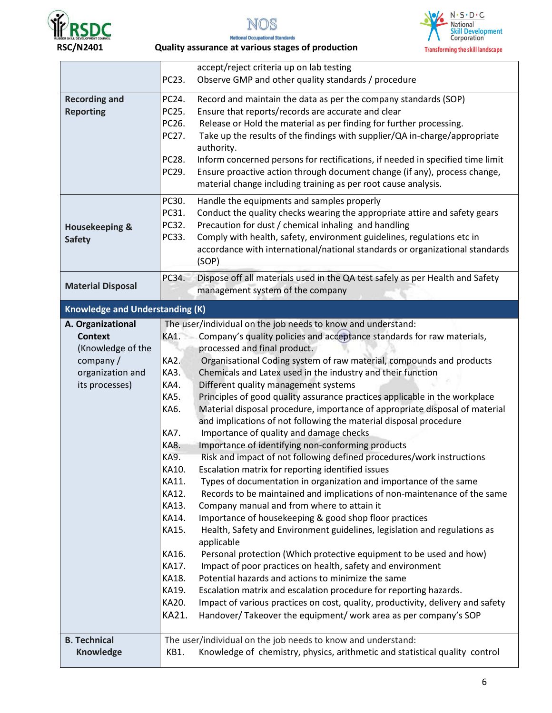







|                                                                                                            | accept/reject criteria up on lab testing                                                                                                                                                                                                                                                                                                                                                                                                                                                                                                                                                                                                                                                                                                                                                                                                                                                                                                                                                                                                                                                                                                                                                                                                                                                                                                                                                                                                                                                                                                                                                                                                                                                                                                                                                                |
|------------------------------------------------------------------------------------------------------------|---------------------------------------------------------------------------------------------------------------------------------------------------------------------------------------------------------------------------------------------------------------------------------------------------------------------------------------------------------------------------------------------------------------------------------------------------------------------------------------------------------------------------------------------------------------------------------------------------------------------------------------------------------------------------------------------------------------------------------------------------------------------------------------------------------------------------------------------------------------------------------------------------------------------------------------------------------------------------------------------------------------------------------------------------------------------------------------------------------------------------------------------------------------------------------------------------------------------------------------------------------------------------------------------------------------------------------------------------------------------------------------------------------------------------------------------------------------------------------------------------------------------------------------------------------------------------------------------------------------------------------------------------------------------------------------------------------------------------------------------------------------------------------------------------------|
|                                                                                                            | PC23.<br>Observe GMP and other quality standards / procedure                                                                                                                                                                                                                                                                                                                                                                                                                                                                                                                                                                                                                                                                                                                                                                                                                                                                                                                                                                                                                                                                                                                                                                                                                                                                                                                                                                                                                                                                                                                                                                                                                                                                                                                                            |
| <b>Recording and</b><br><b>Reporting</b>                                                                   | PC24.<br>Record and maintain the data as per the company standards (SOP)<br>PC25.<br>Ensure that reports/records are accurate and clear<br>PC26.<br>Release or Hold the material as per finding for further processing.<br>PC27.<br>Take up the results of the findings with supplier/QA in-charge/appropriate<br>authority.<br>PC28.<br>Inform concerned persons for rectifications, if needed in specified time limit                                                                                                                                                                                                                                                                                                                                                                                                                                                                                                                                                                                                                                                                                                                                                                                                                                                                                                                                                                                                                                                                                                                                                                                                                                                                                                                                                                                 |
|                                                                                                            | PC29.<br>Ensure proactive action through document change (if any), process change,<br>material change including training as per root cause analysis.                                                                                                                                                                                                                                                                                                                                                                                                                                                                                                                                                                                                                                                                                                                                                                                                                                                                                                                                                                                                                                                                                                                                                                                                                                                                                                                                                                                                                                                                                                                                                                                                                                                    |
| <b>Housekeeping &amp;</b><br><b>Safety</b>                                                                 | PC30.<br>Handle the equipments and samples properly<br>PC31.<br>Conduct the quality checks wearing the appropriate attire and safety gears<br>PC32.<br>Precaution for dust / chemical inhaling and handling<br>PC33.<br>Comply with health, safety, environment guidelines, regulations etc in<br>accordance with international/national standards or organizational standards<br>(SOP)                                                                                                                                                                                                                                                                                                                                                                                                                                                                                                                                                                                                                                                                                                                                                                                                                                                                                                                                                                                                                                                                                                                                                                                                                                                                                                                                                                                                                 |
| <b>Material Disposal</b>                                                                                   | PC34.<br>Dispose off all materials used in the QA test safely as per Health and Safety<br>management system of the company                                                                                                                                                                                                                                                                                                                                                                                                                                                                                                                                                                                                                                                                                                                                                                                                                                                                                                                                                                                                                                                                                                                                                                                                                                                                                                                                                                                                                                                                                                                                                                                                                                                                              |
| <b>Knowledge and Understanding (K)</b>                                                                     |                                                                                                                                                                                                                                                                                                                                                                                                                                                                                                                                                                                                                                                                                                                                                                                                                                                                                                                                                                                                                                                                                                                                                                                                                                                                                                                                                                                                                                                                                                                                                                                                                                                                                                                                                                                                         |
| A. Organizational<br><b>Context</b><br>(Knowledge of the<br>company/<br>organization and<br>its processes) | The user/individual on the job needs to know and understand:<br>Company's quality policies and acceptance standards for raw materials,<br>KA1.<br>processed and final product.<br>KA2.<br>Organisational Coding system of raw material, compounds and products<br><b>KA3.</b><br>Chemicals and Latex used in the industry and their function<br>Different quality management systems<br>KA4.<br>Principles of good quality assurance practices applicable in the workplace<br>KA5.<br>Material disposal procedure, importance of appropriate disposal of material<br>KA6.<br>and implications of not following the material disposal procedure<br><b>KA7.</b><br>Importance of quality and damage checks<br>Importance of identifying non-conforming products<br>KA8.<br><b>KA9</b><br>Risk and impact of not following defined procedures/work instructions<br>KA10.<br>Escalation matrix for reporting identified issues<br>KA11.<br>Types of documentation in organization and importance of the same<br>Records to be maintained and implications of non-maintenance of the same<br>KA12.<br>Company manual and from where to attain it<br>KA13.<br>Importance of housekeeping & good shop floor practices<br>KA14.<br>KA15.<br>Health, Safety and Environment guidelines, legislation and regulations as<br>applicable<br>Personal protection (Which protective equipment to be used and how)<br>KA16.<br>Impact of poor practices on health, safety and environment<br>KA17.<br>Potential hazards and actions to minimize the same<br>KA18.<br>Escalation matrix and escalation procedure for reporting hazards.<br>KA19.<br>Impact of various practices on cost, quality, productivity, delivery and safety<br>KA20.<br>KA21.<br>Handover/Takeover the equipment/ work area as per company's SOP |
| <b>B. Technical</b><br>Knowledge                                                                           | The user/individual on the job needs to know and understand:<br>Knowledge of chemistry, physics, arithmetic and statistical quality control<br>KB1.                                                                                                                                                                                                                                                                                                                                                                                                                                                                                                                                                                                                                                                                                                                                                                                                                                                                                                                                                                                                                                                                                                                                                                                                                                                                                                                                                                                                                                                                                                                                                                                                                                                     |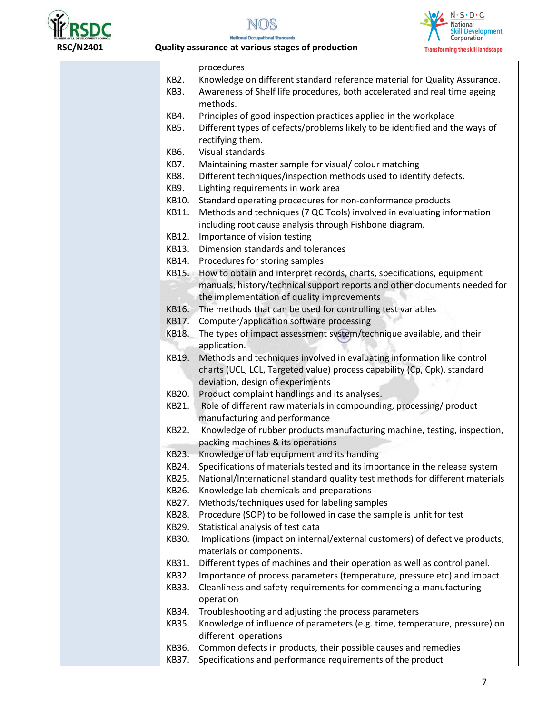





|       | procedures                                                                   |
|-------|------------------------------------------------------------------------------|
| KB2.  | Knowledge on different standard reference material for Quality Assurance.    |
| KB3.  | Awareness of Shelf life procedures, both accelerated and real time ageing    |
|       | methods.                                                                     |
| KB4.  | Principles of good inspection practices applied in the workplace             |
| KB5.  | Different types of defects/problems likely to be identified and the ways of  |
|       | rectifying them.                                                             |
| KB6.  | Visual standards                                                             |
| KB7.  | Maintaining master sample for visual/ colour matching                        |
| KB8.  | Different techniques/inspection methods used to identify defects.            |
| KB9.  | Lighting requirements in work area                                           |
| KB10. | Standard operating procedures for non-conformance products                   |
| KB11. | Methods and techniques (7 QC Tools) involved in evaluating information       |
|       | including root cause analysis through Fishbone diagram.                      |
| KB12. | Importance of vision testing                                                 |
| KB13. | Dimension standards and tolerances                                           |
|       | KB14. Procedures for storing samples                                         |
|       | KB15. How to obtain and interpret records, charts, specifications, equipment |
|       | manuals, history/technical support reports and other documents needed for    |
|       | the implementation of quality improvements                                   |
|       | KB16. The methods that can be used for controlling test variables            |
|       | KB17. Computer/application software processing                               |
| KB18. | The types of impact assessment system/technique available, and their         |
|       | application.                                                                 |
| KB19. | Methods and techniques involved in evaluating information like control       |
|       | charts (UCL, LCL, Targeted value) process capability (Cp, Cpk), standard     |
|       | deviation, design of experiments                                             |
| KB20. | Product complaint handlings and its analyses.                                |
| KB21. | Role of different raw materials in compounding, processing/ product          |
|       | manufacturing and performance                                                |
| KB22. | Knowledge of rubber products manufacturing machine, testing, inspection,     |
|       | packing machines & its operations                                            |
| KB23. | Knowledge of lab equipment and its handing                                   |
| KB24. | Specifications of materials tested and its importance in the release system  |
| KB25. | National/International standard quality test methods for different materials |
| KB26. | Knowledge lab chemicals and preparations                                     |
| KB27. | Methods/techniques used for labeling samples                                 |
| KB28. | Procedure (SOP) to be followed in case the sample is unfit for test          |
| KB29. | Statistical analysis of test data                                            |
| KB30. | Implications (impact on internal/external customers) of defective products,  |
|       | materials or components.                                                     |
| KB31. | Different types of machines and their operation as well as control panel.    |
| KB32. | Importance of process parameters (temperature, pressure etc) and impact      |
| KB33. | Cleanliness and safety requirements for commencing a manufacturing           |
|       | operation                                                                    |
| KB34. | Troubleshooting and adjusting the process parameters                         |
| KB35. | Knowledge of influence of parameters (e.g. time, temperature, pressure) on   |
|       | different operations                                                         |
| KB36. | Common defects in products, their possible causes and remedies               |
| KB37. | Specifications and performance requirements of the product                   |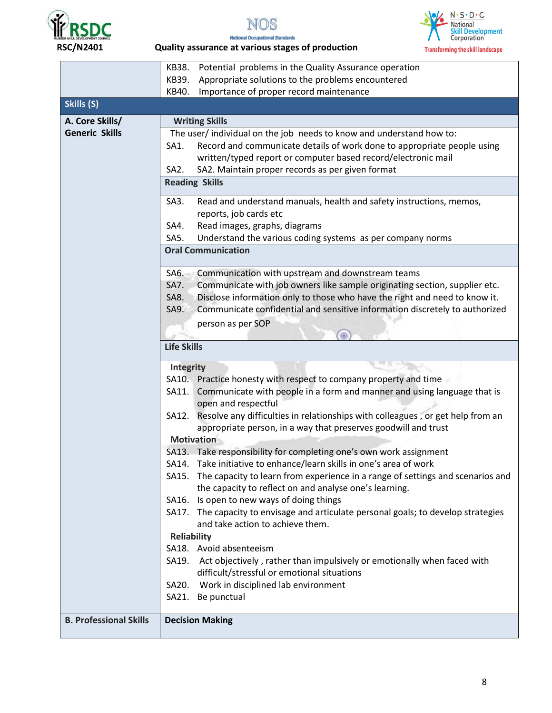





|                               | Potential problems in the Quality Assurance operation<br>KB38.                       |  |  |
|-------------------------------|--------------------------------------------------------------------------------------|--|--|
|                               | Appropriate solutions to the problems encountered<br>KB39.                           |  |  |
|                               | Importance of proper record maintenance<br>KB40.                                     |  |  |
| Skills (S)                    |                                                                                      |  |  |
| A. Core Skills/               | <b>Writing Skills</b>                                                                |  |  |
| <b>Generic Skills</b>         | The user/ individual on the job needs to know and understand how to:                 |  |  |
|                               | Record and communicate details of work done to appropriate people using<br>SA1.      |  |  |
|                               | written/typed report or computer based record/electronic mail                        |  |  |
|                               | SA2. Maintain proper records as per given format<br>SA <sub>2</sub> .                |  |  |
|                               | <b>Reading Skills</b>                                                                |  |  |
|                               | Read and understand manuals, health and safety instructions, memos,<br>SA3.          |  |  |
|                               | reports, job cards etc                                                               |  |  |
|                               | Read images, graphs, diagrams<br>SA4.                                                |  |  |
|                               | Understand the various coding systems as per company norms<br>SA5.                   |  |  |
|                               | <b>Oral Communication</b>                                                            |  |  |
|                               | SA6.<br>Communication with upstream and downstream teams                             |  |  |
|                               | Communicate with job owners like sample originating section, supplier etc.<br>SA7.   |  |  |
|                               | Disclose information only to those who have the right and need to know it.<br>SA8.   |  |  |
|                               | SA9.<br>Communicate confidential and sensitive information discretely to authorized  |  |  |
|                               | person as per SOP                                                                    |  |  |
|                               | æ                                                                                    |  |  |
|                               | <b>Life Skills</b>                                                                   |  |  |
|                               | <b>Integrity</b>                                                                     |  |  |
|                               | SA10. Practice honesty with respect to company property and time                     |  |  |
|                               | SA11. Communicate with people in a form and manner and using language that is        |  |  |
|                               | open and respectful                                                                  |  |  |
|                               | SA12. Resolve any difficulties in relationships with colleagues, or get help from an |  |  |
|                               | appropriate person, in a way that preserves goodwill and trust                       |  |  |
|                               | <b>Motivation</b>                                                                    |  |  |
|                               | SA13. Take responsibility for completing one's own work assignment                   |  |  |
|                               | SA14. Take initiative to enhance/learn skills in one's area of work                  |  |  |
|                               | SA15. The capacity to learn from experience in a range of settings and scenarios and |  |  |
|                               | the capacity to reflect on and analyse one's learning.                               |  |  |
|                               | SA16. Is open to new ways of doing things                                            |  |  |
|                               | SA17. The capacity to envisage and articulate personal goals; to develop strategies  |  |  |
|                               | and take action to achieve them.                                                     |  |  |
|                               | <b>Reliability</b>                                                                   |  |  |
|                               | SA18. Avoid absenteeism                                                              |  |  |
|                               | SA19. Act objectively, rather than impulsively or emotionally when faced with        |  |  |
|                               | difficult/stressful or emotional situations                                          |  |  |
|                               | SA20. Work in disciplined lab environment                                            |  |  |
|                               | SA21. Be punctual                                                                    |  |  |
| <b>B. Professional Skills</b> | <b>Decision Making</b>                                                               |  |  |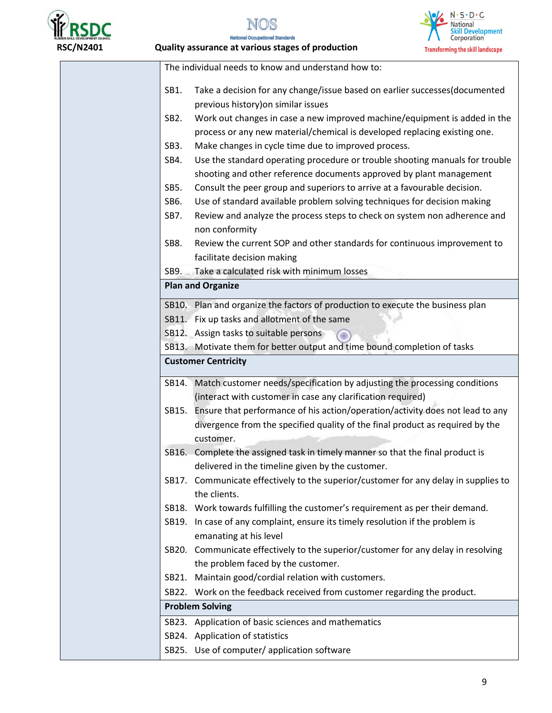

N. S. D. C<br>National<br>Skill Development<br>Corporation **Transforming the skill landscape** 

|                   | The individual needs to know and understand how to:                                 |
|-------------------|-------------------------------------------------------------------------------------|
| SB1.              | Take a decision for any change/issue based on earlier successes(documented          |
|                   | previous history) on similar issues                                                 |
| SB <sub>2</sub> . | Work out changes in case a new improved machine/equipment is added in the           |
|                   | process or any new material/chemical is developed replacing existing one.           |
| SB <sub>3</sub> . | Make changes in cycle time due to improved process.                                 |
| SB4.              | Use the standard operating procedure or trouble shooting manuals for trouble        |
|                   | shooting and other reference documents approved by plant management                 |
| SB5.              | Consult the peer group and superiors to arrive at a favourable decision.            |
| SB6.              | Use of standard available problem solving techniques for decision making            |
| SB7.              | Review and analyze the process steps to check on system non adherence and           |
|                   | non conformity                                                                      |
| SB8.              | Review the current SOP and other standards for continuous improvement to            |
|                   | facilitate decision making                                                          |
|                   | SB9. Take a calculated risk with minimum losses                                     |
|                   | <b>Plan and Organize</b>                                                            |
|                   | SB10. Plan and organize the factors of production to execute the business plan      |
|                   | SB11. Fix up tasks and allotment of the same                                        |
|                   | SB12. Assign tasks to suitable persons                                              |
|                   | SB13. Motivate them for better output and time bound completion of tasks            |
|                   | <b>Customer Centricity</b>                                                          |
|                   | SB14. Match customer needs/specification by adjusting the processing conditions     |
|                   | (interact with customer in case any clarification required)                         |
|                   | SB15. Ensure that performance of his action/operation/activity does not lead to any |
|                   | divergence from the specified quality of the final product as required by the       |
|                   | customer.                                                                           |
|                   | SB16. Complete the assigned task in timely manner so that the final product is      |
|                   | delivered in the timeline given by the customer.                                    |
| SB17.             | Communicate effectively to the superior/customer for any delay in supplies to       |
|                   | the clients.                                                                        |
|                   | SB18. Work towards fulfilling the customer's requirement as per their demand.       |
|                   | SB19. In case of any complaint, ensure its timely resolution if the problem is      |
|                   | emanating at his level                                                              |
|                   | SB20. Communicate effectively to the superior/customer for any delay in resolving   |
|                   | the problem faced by the customer.                                                  |
|                   | SB21. Maintain good/cordial relation with customers.                                |
|                   | SB22. Work on the feedback received from customer regarding the product.            |
|                   | <b>Problem Solving</b>                                                              |
|                   | SB23. Application of basic sciences and mathematics                                 |
|                   | SB24. Application of statistics                                                     |
|                   | SB25. Use of computer/ application software                                         |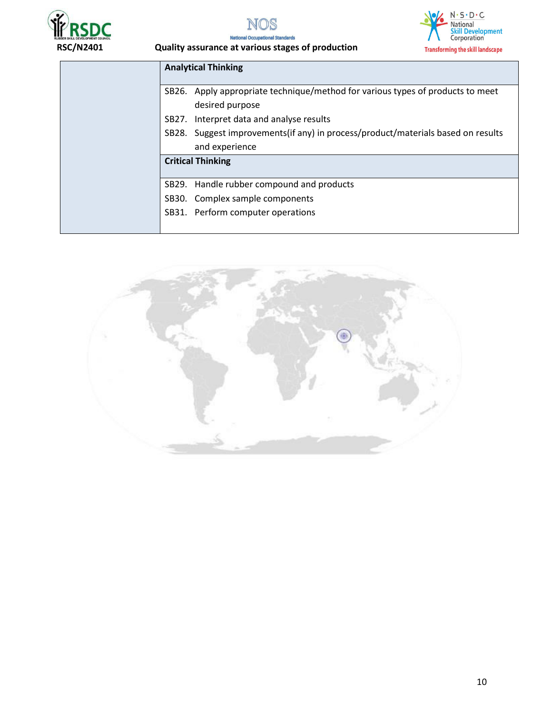





| <b>Analytical Thinking</b>                                                                        |
|---------------------------------------------------------------------------------------------------|
| SB26. Apply appropriate technique/method for various types of products to meet<br>desired purpose |
| SB27. Interpret data and analyse results                                                          |
| SB28. Suggest improvements (if any) in process/product/materials based on results                 |
| and experience                                                                                    |
| <b>Critical Thinking</b>                                                                          |
|                                                                                                   |
| SB29. Handle rubber compound and products                                                         |
| SB30. Complex sample components                                                                   |
| SB31. Perform computer operations                                                                 |
|                                                                                                   |

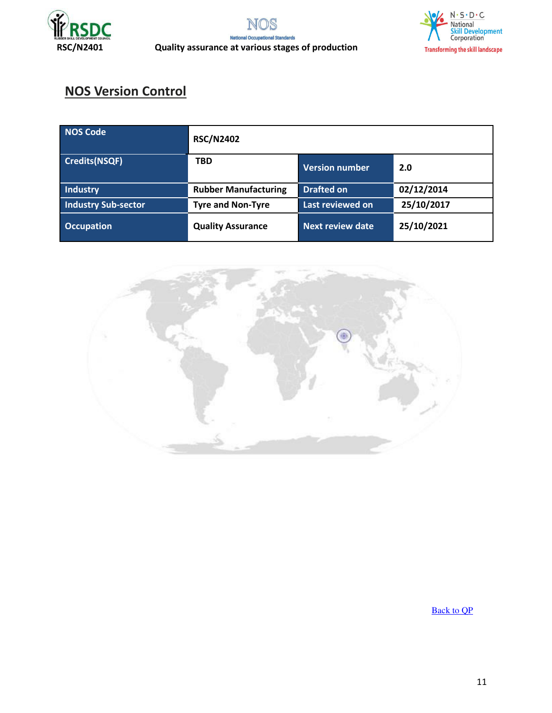



#### **RSC/N2401 Quality assurance at various stages of production**

### **NOS Version Control**

| NOS Code             | <b>RSC/N2402</b>            |                       |            |
|----------------------|-----------------------------|-----------------------|------------|
| <b>Credits(NSQF)</b> | <b>TBD</b>                  | <b>Version number</b> | 2.0        |
| Industry             | <b>Rubber Manufacturing</b> | <b>Drafted on</b>     | 02/12/2014 |
| Industry Sub-sector  | <b>Tyre and Non-Tyre</b>    | Last reviewed on      | 25/10/2017 |
| <b>Occupation</b>    | <b>Quality Assurance</b>    | Next review date      | 25/10/2021 |



[Back to QP](#page-1-0)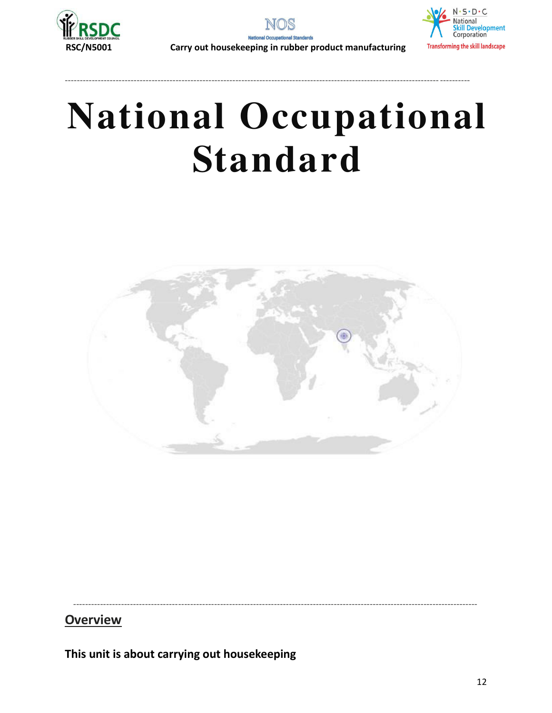



 **RSC/N5001 Carry out housekeeping in rubber product manufacturing** 

# **National Occupational Standard**

----------------------------------------------------------------------------------------------------------------------------- ----------

<span id="page-11-0"></span>

---------------------------------------------------------------------------------------------------------------------------------------

**Overview** 

**This unit is about carrying out housekeeping**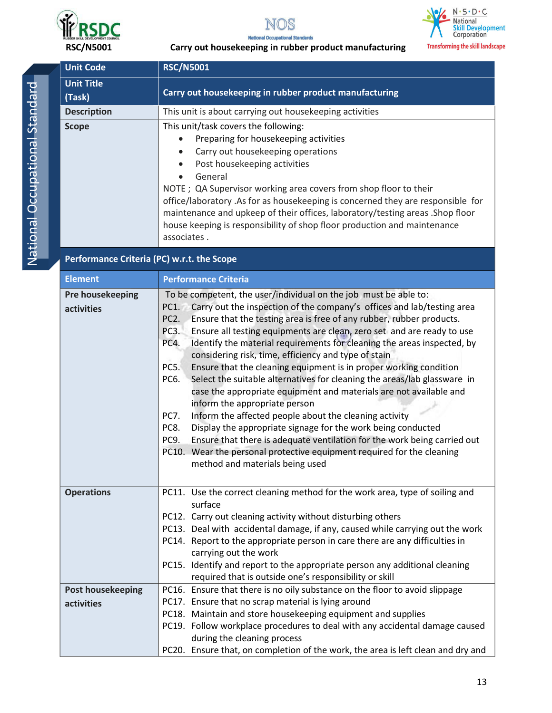





#### **RSC/N5001 Carry out housekeeping in rubber product manufacturing**

| <b>Unit Code</b>                           | <b>RSC/N5001</b>                                                                                                                                                                                                                                                                                                                                                                                                                                                                                               |  |  |
|--------------------------------------------|----------------------------------------------------------------------------------------------------------------------------------------------------------------------------------------------------------------------------------------------------------------------------------------------------------------------------------------------------------------------------------------------------------------------------------------------------------------------------------------------------------------|--|--|
| <b>Unit Title</b><br>(Task)                | Carry out housekeeping in rubber product manufacturing                                                                                                                                                                                                                                                                                                                                                                                                                                                         |  |  |
| <b>Description</b>                         | This unit is about carrying out housekeeping activities                                                                                                                                                                                                                                                                                                                                                                                                                                                        |  |  |
| <b>Scope</b>                               | This unit/task covers the following:<br>Preparing for housekeeping activities<br>Carry out housekeeping operations<br>Post housekeeping activities<br>$\bullet$<br>General<br>NOTE ; QA Supervisor working area covers from shop floor to their<br>office/laboratory .As for as housekeeping is concerned they are responsible for<br>maintenance and upkeep of their offices, laboratory/testing areas .Shop floor<br>house keeping is responsibility of shop floor production and maintenance<br>associates. |  |  |
| Performance Criteria (PC) w.r.t. the Scope |                                                                                                                                                                                                                                                                                                                                                                                                                                                                                                                |  |  |
| <b>Element</b>                             | <b>Performance Criteria</b>                                                                                                                                                                                                                                                                                                                                                                                                                                                                                    |  |  |
| <b>Pre housekeeping</b><br>activities      | To be competent, the user/individual on the job must be able to:<br>Carry out the inspection of the company's offices and lab/testing area<br>PC1.<br>PC <sub>2</sub> .<br>Ensure that the testing area is free of any rubber, rubber products.<br>PC3.<br>Ensure all testing equipments are clean, zero set and are ready to use                                                                                                                                                                              |  |  |

| <b>Operations</b><br>PC11. Use the correct cleaning method for the work area, type of soiling and<br>surface<br>PC12. Carry out cleaning activity without disturbing others<br>PC13. Deal with accidental damage, if any, caused while carrying out the work<br>PC14. Report to the appropriate person in care there are any difficulties in<br>carrying out the work<br>PC15. Identify and report to the appropriate person any additional cleaning<br>required that is outside one's responsibility or skill<br>PC16. Ensure that there is no oily substance on the floor to avoid slippage<br><b>Post housekeeping</b><br>PC17. Ensure that no scrap material is lying around<br>activities<br>PC18. Maintain and store housekeeping equipment and supplies<br>PC19. Follow workplace procedures to deal with any accidental damage caused<br>during the cleaning process<br>PC20. Ensure that, on completion of the work, the area is left clean and dry and | dcuviues | PC <sub>2</sub> .<br>PC <sub>3</sub> .<br>PC4.<br>PC5.<br>PC6.<br><b>PC7.</b><br>PC8.<br>PC9.<br>PC10. | Carry out the modellion of the company 3 onnecs and lab/ testing area<br>Ensure that the testing area is free of any rubber, rubber products.<br>Ensure all testing equipments are clean, zero set and are ready to use<br>Identify the material requirements for cleaning the areas inspected, by<br>considering risk, time, efficiency and type of stain<br>Ensure that the cleaning equipment is in proper working condition<br>Select the suitable alternatives for cleaning the areas/lab glassware in<br>case the appropriate equipment and materials are not available and<br>inform the appropriate person<br>Inform the affected people about the cleaning activity<br>Display the appropriate signage for the work being conducted<br>Ensure that there is adequate ventilation for the work being carried out<br>Wear the personal protective equipment required for the cleaning<br>method and materials being used |
|------------------------------------------------------------------------------------------------------------------------------------------------------------------------------------------------------------------------------------------------------------------------------------------------------------------------------------------------------------------------------------------------------------------------------------------------------------------------------------------------------------------------------------------------------------------------------------------------------------------------------------------------------------------------------------------------------------------------------------------------------------------------------------------------------------------------------------------------------------------------------------------------------------------------------------------------------------------|----------|--------------------------------------------------------------------------------------------------------|---------------------------------------------------------------------------------------------------------------------------------------------------------------------------------------------------------------------------------------------------------------------------------------------------------------------------------------------------------------------------------------------------------------------------------------------------------------------------------------------------------------------------------------------------------------------------------------------------------------------------------------------------------------------------------------------------------------------------------------------------------------------------------------------------------------------------------------------------------------------------------------------------------------------------------|
|                                                                                                                                                                                                                                                                                                                                                                                                                                                                                                                                                                                                                                                                                                                                                                                                                                                                                                                                                                  |          |                                                                                                        |                                                                                                                                                                                                                                                                                                                                                                                                                                                                                                                                                                                                                                                                                                                                                                                                                                                                                                                                 |
|                                                                                                                                                                                                                                                                                                                                                                                                                                                                                                                                                                                                                                                                                                                                                                                                                                                                                                                                                                  |          |                                                                                                        |                                                                                                                                                                                                                                                                                                                                                                                                                                                                                                                                                                                                                                                                                                                                                                                                                                                                                                                                 |
|                                                                                                                                                                                                                                                                                                                                                                                                                                                                                                                                                                                                                                                                                                                                                                                                                                                                                                                                                                  |          |                                                                                                        |                                                                                                                                                                                                                                                                                                                                                                                                                                                                                                                                                                                                                                                                                                                                                                                                                                                                                                                                 |
|                                                                                                                                                                                                                                                                                                                                                                                                                                                                                                                                                                                                                                                                                                                                                                                                                                                                                                                                                                  |          |                                                                                                        |                                                                                                                                                                                                                                                                                                                                                                                                                                                                                                                                                                                                                                                                                                                                                                                                                                                                                                                                 |
|                                                                                                                                                                                                                                                                                                                                                                                                                                                                                                                                                                                                                                                                                                                                                                                                                                                                                                                                                                  |          |                                                                                                        |                                                                                                                                                                                                                                                                                                                                                                                                                                                                                                                                                                                                                                                                                                                                                                                                                                                                                                                                 |
|                                                                                                                                                                                                                                                                                                                                                                                                                                                                                                                                                                                                                                                                                                                                                                                                                                                                                                                                                                  |          |                                                                                                        |                                                                                                                                                                                                                                                                                                                                                                                                                                                                                                                                                                                                                                                                                                                                                                                                                                                                                                                                 |
|                                                                                                                                                                                                                                                                                                                                                                                                                                                                                                                                                                                                                                                                                                                                                                                                                                                                                                                                                                  |          |                                                                                                        |                                                                                                                                                                                                                                                                                                                                                                                                                                                                                                                                                                                                                                                                                                                                                                                                                                                                                                                                 |
|                                                                                                                                                                                                                                                                                                                                                                                                                                                                                                                                                                                                                                                                                                                                                                                                                                                                                                                                                                  |          |                                                                                                        |                                                                                                                                                                                                                                                                                                                                                                                                                                                                                                                                                                                                                                                                                                                                                                                                                                                                                                                                 |
|                                                                                                                                                                                                                                                                                                                                                                                                                                                                                                                                                                                                                                                                                                                                                                                                                                                                                                                                                                  |          |                                                                                                        |                                                                                                                                                                                                                                                                                                                                                                                                                                                                                                                                                                                                                                                                                                                                                                                                                                                                                                                                 |
|                                                                                                                                                                                                                                                                                                                                                                                                                                                                                                                                                                                                                                                                                                                                                                                                                                                                                                                                                                  |          |                                                                                                        |                                                                                                                                                                                                                                                                                                                                                                                                                                                                                                                                                                                                                                                                                                                                                                                                                                                                                                                                 |
|                                                                                                                                                                                                                                                                                                                                                                                                                                                                                                                                                                                                                                                                                                                                                                                                                                                                                                                                                                  |          |                                                                                                        |                                                                                                                                                                                                                                                                                                                                                                                                                                                                                                                                                                                                                                                                                                                                                                                                                                                                                                                                 |
|                                                                                                                                                                                                                                                                                                                                                                                                                                                                                                                                                                                                                                                                                                                                                                                                                                                                                                                                                                  |          |                                                                                                        |                                                                                                                                                                                                                                                                                                                                                                                                                                                                                                                                                                                                                                                                                                                                                                                                                                                                                                                                 |
|                                                                                                                                                                                                                                                                                                                                                                                                                                                                                                                                                                                                                                                                                                                                                                                                                                                                                                                                                                  |          |                                                                                                        |                                                                                                                                                                                                                                                                                                                                                                                                                                                                                                                                                                                                                                                                                                                                                                                                                                                                                                                                 |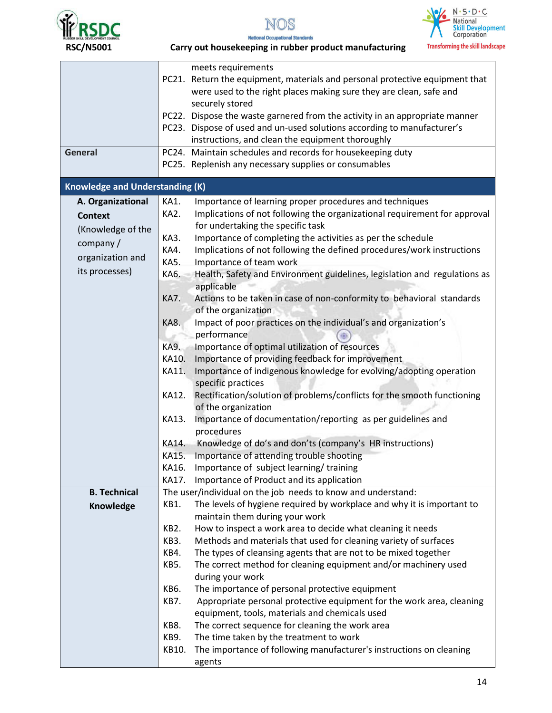





| <b>RSC/N5001</b>                       | <b>Transforming the skill landsca</b><br>Carry out housekeeping in rubber product manufacturing |
|----------------------------------------|-------------------------------------------------------------------------------------------------|
|                                        | meets requirements                                                                              |
|                                        | PC21. Return the equipment, materials and personal protective equipment that                    |
|                                        | were used to the right places making sure they are clean, safe and                              |
|                                        | securely stored                                                                                 |
|                                        | PC22. Dispose the waste garnered from the activity in an appropriate manner                     |
|                                        | PC23. Dispose of used and un-used solutions according to manufacturer's                         |
|                                        | instructions, and clean the equipment thoroughly                                                |
| <b>General</b>                         | PC24. Maintain schedules and records for housekeeping duty                                      |
|                                        | PC25. Replenish any necessary supplies or consumables                                           |
|                                        |                                                                                                 |
| <b>Knowledge and Understanding (K)</b> |                                                                                                 |
| A. Organizational                      | Importance of learning proper procedures and techniques<br>KA1.                                 |
| <b>Context</b>                         | KA2.<br>Implications of not following the organizational requirement for approval               |
| (Knowledge of the                      | for undertaking the specific task                                                               |
| company /                              | KA3.<br>Importance of completing the activities as per the schedule                             |
|                                        | KA4.<br>Implications of not following the defined procedures/work instructions                  |
| organization and                       | KA5.<br>Importance of team work                                                                 |
| its processes)                         | KA6.<br>Health, Safety and Environment guidelines, legislation and regulations as               |
|                                        | applicable                                                                                      |
|                                        | <b>KA7.</b><br>Actions to be taken in case of non-conformity to behavioral standards            |
|                                        | of the organization                                                                             |
|                                        | KA8.<br>Impact of poor practices on the individual's and organization's                         |
|                                        | performance                                                                                     |
|                                        | <b>KA9.</b><br>Importance of optimal utilization of resources                                   |
|                                        | Importance of providing feedback for improvement<br>KA10.                                       |
|                                        | Importance of indigenous knowledge for evolving/adopting operation<br>KA11.                     |
|                                        | specific practices                                                                              |
|                                        | Rectification/solution of problems/conflicts for the smooth functioning<br>KA12.                |
|                                        | of the organization                                                                             |
|                                        | Importance of documentation/reporting as per guidelines and<br>KA13.                            |
|                                        | procedures                                                                                      |
|                                        | KA14. Knowledge of do's and don'ts (company's HR instructions)                                  |
|                                        | KA15.<br>Importance of attending trouble shooting                                               |
|                                        | Importance of subject learning/training<br>KA16.                                                |
|                                        | KA17.<br>Importance of Product and its application                                              |
| <b>B. Technical</b>                    | The user/individual on the job needs to know and understand:                                    |
| Knowledge                              | The levels of hygiene required by workplace and why it is important to<br>KB1.                  |
|                                        | maintain them during your work                                                                  |
|                                        | KB2.<br>How to inspect a work area to decide what cleaning it needs                             |
|                                        | KB3.<br>Methods and materials that used for cleaning variety of surfaces                        |
|                                        | The types of cleansing agents that are not to be mixed together<br>KB4.                         |
|                                        | The correct method for cleaning equipment and/or machinery used<br>KB5.                         |
|                                        | during your work                                                                                |
|                                        | The importance of personal protective equipment<br>KB6.                                         |
|                                        | Appropriate personal protective equipment for the work area, cleaning<br>KB7.                   |
|                                        | equipment, tools, materials and chemicals used                                                  |
|                                        | The correct sequence for cleaning the work area<br>KB8.                                         |
|                                        | KB9.<br>The time taken by the treatment to work                                                 |
|                                        | The importance of following manufacturer's instructions on cleaning<br>KB10.                    |
|                                        | agents                                                                                          |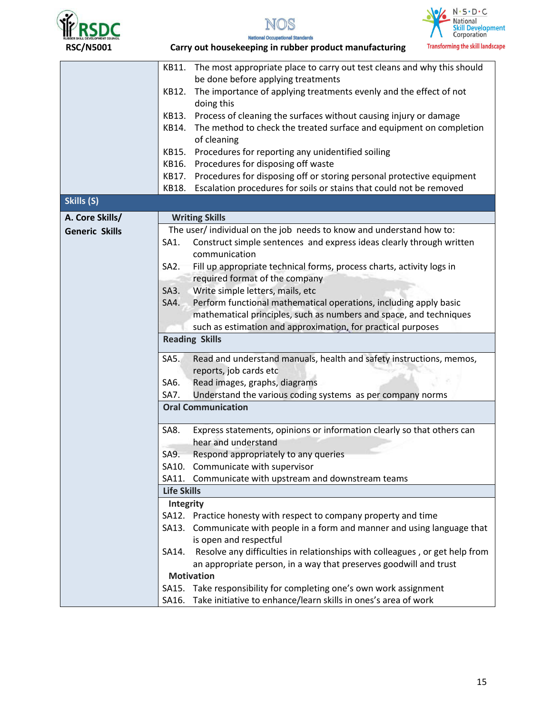





| <b>RSC/N5001</b>      | <b>Transforming the skill landsca</b><br>Carry out housekeeping in rubber product manufacturing |
|-----------------------|-------------------------------------------------------------------------------------------------|
|                       | KB11.<br>The most appropriate place to carry out test cleans and why this should                |
|                       | be done before applying treatments                                                              |
|                       | The importance of applying treatments evenly and the effect of not<br>KB12.<br>doing this       |
|                       | Process of cleaning the surfaces without causing injury or damage<br>KB13.                      |
|                       | The method to check the treated surface and equipment on completion<br>KB14.<br>of cleaning     |
|                       | Procedures for reporting any unidentified soiling<br>KB15.                                      |
|                       | Procedures for disposing off waste<br>KB16.                                                     |
|                       | Procedures for disposing off or storing personal protective equipment<br>KB17.                  |
|                       | Escalation procedures for soils or stains that could not be removed<br>KB18.                    |
| Skills (S)            |                                                                                                 |
| A. Core Skills/       | <b>Writing Skills</b>                                                                           |
| <b>Generic Skills</b> | The user/individual on the job needs to know and understand how to:                             |
|                       | Construct simple sentences and express ideas clearly through written<br>SA1.                    |
|                       | communication                                                                                   |
|                       | Fill up appropriate technical forms, process charts, activity logs in<br>$SA2$ .                |
|                       | required format of the company                                                                  |
|                       | Write simple letters, mails, etc<br>SA3.                                                        |
|                       | Perform functional mathematical operations, including apply basic<br>SA4.                       |
|                       | mathematical principles, such as numbers and space, and techniques                              |
|                       | such as estimation and approximation, for practical purposes                                    |
|                       | <b>Reading Skills</b>                                                                           |
|                       | SAS.<br>Read and understand manuals, health and safety instructions, memos,                     |
|                       | reports, job cards etc                                                                          |
|                       | Read images, graphs, diagrams<br>SA6.                                                           |
|                       | Understand the various coding systems as per company norms<br>SA7.                              |
|                       | <b>Oral Communication</b>                                                                       |
|                       | Express statements, opinions or information clearly so that others can<br>SA8.                  |
|                       | hear and understand                                                                             |
|                       | SA9.<br>Respond appropriately to any queries                                                    |
|                       | SA10. Communicate with supervisor                                                               |
|                       | SA11. Communicate with upstream and downstream teams                                            |
|                       | <b>Life Skills</b>                                                                              |
|                       | Integrity                                                                                       |
|                       | SA12. Practice honesty with respect to company property and time                                |
|                       | SA13. Communicate with people in a form and manner and using language that                      |
|                       | is open and respectful                                                                          |
|                       | Resolve any difficulties in relationships with colleagues, or get help from<br>SA14.            |
|                       | an appropriate person, in a way that preserves goodwill and trust                               |
|                       | <b>Motivation</b>                                                                               |
|                       | SA15. Take responsibility for completing one's own work assignment                              |
|                       | Take initiative to enhance/learn skills in ones's area of work<br>SA16.                         |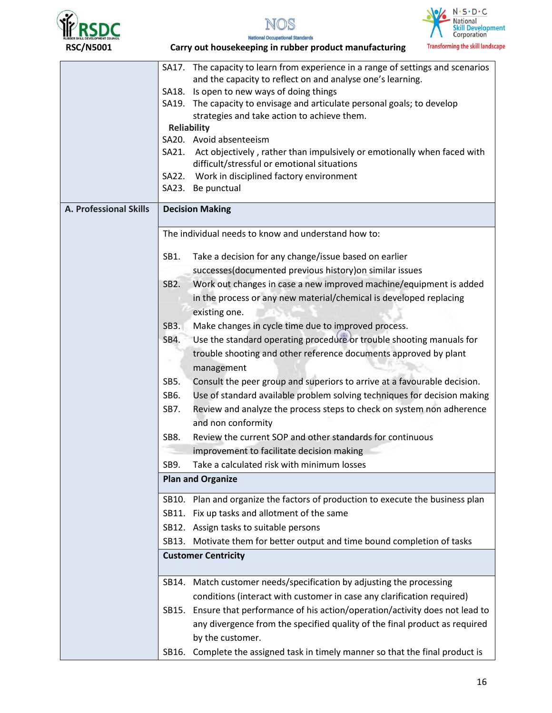





|                        |                                                                                  | SA17. The capacity to learn from experience in a range of settings and scenarios                                             |  |  |
|------------------------|----------------------------------------------------------------------------------|------------------------------------------------------------------------------------------------------------------------------|--|--|
|                        |                                                                                  | and the capacity to reflect on and analyse one's learning.                                                                   |  |  |
|                        |                                                                                  | SA18. Is open to new ways of doing things                                                                                    |  |  |
|                        |                                                                                  | SA19. The capacity to envisage and articulate personal goals; to develop                                                     |  |  |
|                        |                                                                                  | strategies and take action to achieve them.                                                                                  |  |  |
|                        |                                                                                  | <b>Reliability</b>                                                                                                           |  |  |
|                        |                                                                                  | SA20. Avoid absenteeism                                                                                                      |  |  |
|                        |                                                                                  | SA21. Act objectively, rather than impulsively or emotionally when faced with<br>difficult/stressful or emotional situations |  |  |
|                        |                                                                                  | SA22. Work in disciplined factory environment                                                                                |  |  |
|                        |                                                                                  | SA23. Be punctual                                                                                                            |  |  |
|                        |                                                                                  |                                                                                                                              |  |  |
| A. Professional Skills |                                                                                  | <b>Decision Making</b>                                                                                                       |  |  |
|                        |                                                                                  | The individual needs to know and understand how to:                                                                          |  |  |
|                        | SB1.                                                                             | Take a decision for any change/issue based on earlier                                                                        |  |  |
|                        |                                                                                  | successes(documented previous history) on similar issues                                                                     |  |  |
|                        | SB <sub>2</sub> .                                                                | Work out changes in case a new improved machine/equipment is added                                                           |  |  |
|                        |                                                                                  |                                                                                                                              |  |  |
|                        |                                                                                  | in the process or any new material/chemical is developed replacing                                                           |  |  |
|                        |                                                                                  | existing one.                                                                                                                |  |  |
|                        | SB <sub>3</sub> .                                                                | Make changes in cycle time due to improved process.                                                                          |  |  |
|                        | SB4.                                                                             | Use the standard operating procedure or trouble shooting manuals for                                                         |  |  |
|                        | trouble shooting and other reference documents approved by plant                 |                                                                                                                              |  |  |
|                        |                                                                                  | management                                                                                                                   |  |  |
|                        | Consult the peer group and superiors to arrive at a favourable decision.<br>SB5. |                                                                                                                              |  |  |
|                        | Use of standard available problem solving techniques for decision making<br>SB6. |                                                                                                                              |  |  |
|                        | SB7.                                                                             | Review and analyze the process steps to check on system non adherence                                                        |  |  |
|                        |                                                                                  | and non conformity                                                                                                           |  |  |
|                        | SB8.                                                                             | Review the current SOP and other standards for continuous                                                                    |  |  |
|                        |                                                                                  | improvement to facilitate decision making                                                                                    |  |  |
|                        | SB9.                                                                             | Take a calculated risk with minimum losses                                                                                   |  |  |
|                        |                                                                                  | <b>Plan and Organize</b>                                                                                                     |  |  |
|                        |                                                                                  |                                                                                                                              |  |  |
|                        | SB10.                                                                            | Plan and organize the factors of production to execute the business plan                                                     |  |  |
|                        |                                                                                  | SB11. Fix up tasks and allotment of the same                                                                                 |  |  |
|                        |                                                                                  | SB12. Assign tasks to suitable persons                                                                                       |  |  |
|                        |                                                                                  | SB13. Motivate them for better output and time bound completion of tasks                                                     |  |  |
|                        | <b>Customer Centricity</b>                                                       |                                                                                                                              |  |  |
|                        |                                                                                  |                                                                                                                              |  |  |
|                        | SB14.                                                                            | Match customer needs/specification by adjusting the processing                                                               |  |  |
|                        |                                                                                  | conditions (interact with customer in case any clarification required)                                                       |  |  |
|                        |                                                                                  | SB15. Ensure that performance of his action/operation/activity does not lead to                                              |  |  |
|                        |                                                                                  | any divergence from the specified quality of the final product as required                                                   |  |  |
|                        |                                                                                  | by the customer.                                                                                                             |  |  |
|                        | SB16.                                                                            | Complete the assigned task in timely manner so that the final product is                                                     |  |  |
|                        |                                                                                  |                                                                                                                              |  |  |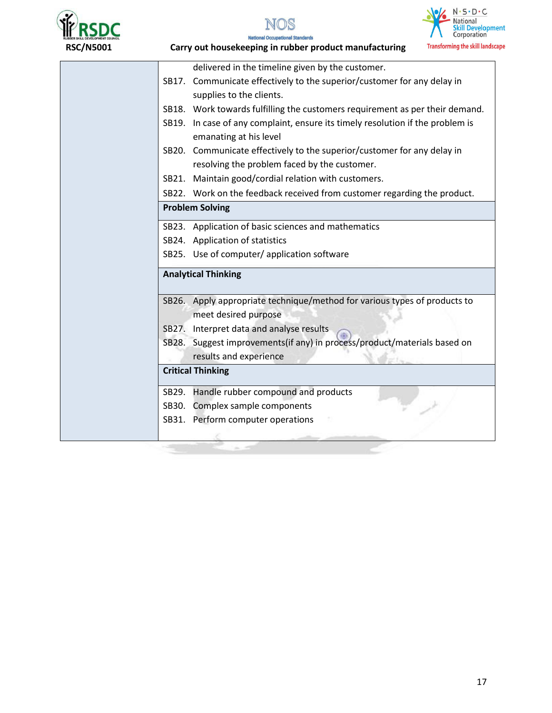







 **RSC/N5001 Carry out housekeeping in rubber product manufacturing**  delivered in the timeline given by the customer. SB17. Communicate effectively to the superior/customer for any delay in supplies to the clients. SB18. Work towards fulfilling the customers requirement as per their demand. SB19. In case of any complaint, ensure its timely resolution if the problem is emanating at his level SB20. Communicate effectively to the superior/customer for any delay in resolving the problem faced by the customer. SB21. Maintain good/cordial relation with customers. SB22. Work on the feedback received from customer regarding the product. **Problem Solving**  SB23. Application of basic sciences and mathematics SB24. Application of statistics SB25. Use of computer/ application software **Analytical Thinking**  SB26. Apply appropriate technique/method for various types of products to meet desired purpose SB27. Interpret data and analyse results SB28. Suggest improvements(if any) in process/product/materials based on results and experience **Critical Thinking** SB29. Handle rubber compound and products SB30. Complex sample components SB31. Perform computer operations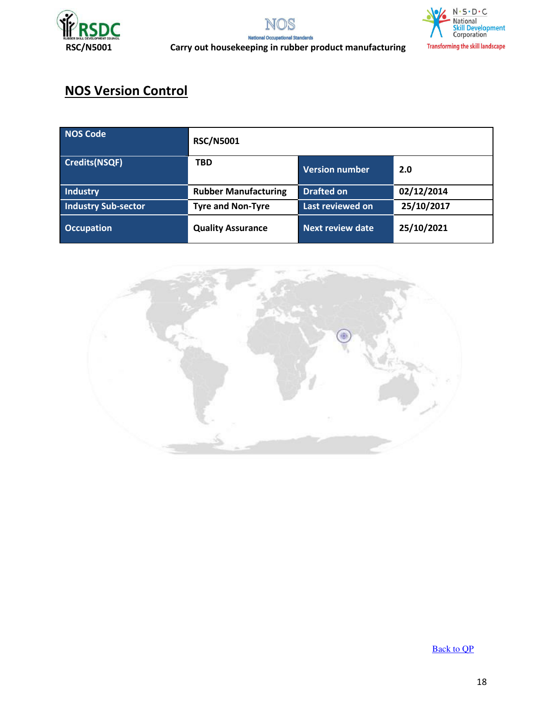





 **RSC/N5001 Carry out housekeeping in rubber product manufacturing** 

# **NOS Version Control**

| <b>NOS Code</b>            | <b>RSC/N5001</b>            |                   |            |
|----------------------------|-----------------------------|-------------------|------------|
| <b>Credits(NSQF)</b>       | <b>TBD</b>                  | Version number    | 2.0        |
| Industry                   | <b>Rubber Manufacturing</b> | <b>Drafted on</b> | 02/12/2014 |
| <b>Industry Sub-sector</b> | <b>Tyre and Non-Tyre</b>    | Last reviewed on  | 25/10/2017 |
| <b>Occupation</b>          | <b>Quality Assurance</b>    | Next review date  | 25/10/2021 |



[Back to QP](#page-1-0)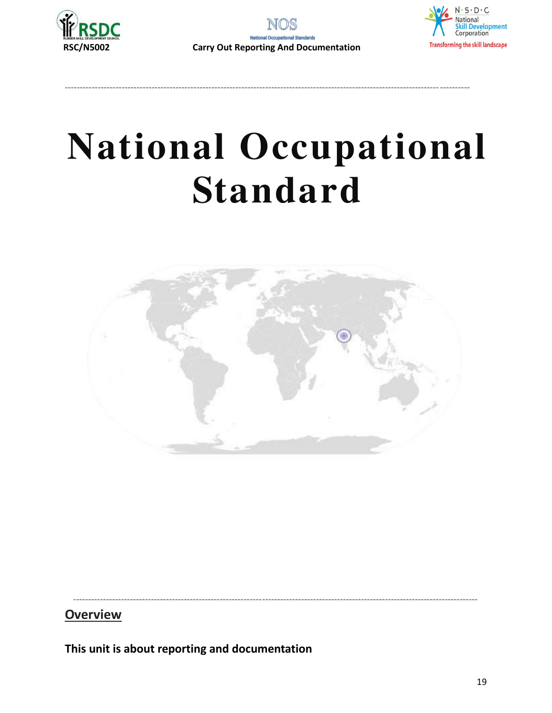



----------------------------------------------------------------------------------------------------------------------------- ----------



# **National Occupational Standard**

<span id="page-18-0"></span>

---------------------------------------------------------------------------------------------------------------------------------------

#### **Overview**

**This unit is about reporting and documentation**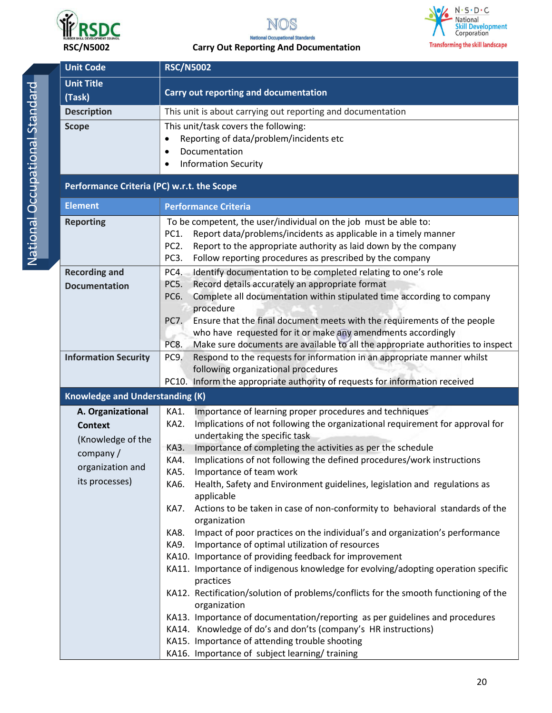



### $\frac{N \cdot S \cdot D \cdot C}{\text{NationalSkill DevelopmentCorporation}$  $\sqrt{\epsilon}$ **Transforming the skill landscape**

 **RSC/N5002 Carry Out Reporting And Documentation** 

| <b>Unit Code</b>                           | <b>RSC/N5002</b>                                                                                                                                                                                                                                                                                        |  |  |
|--------------------------------------------|---------------------------------------------------------------------------------------------------------------------------------------------------------------------------------------------------------------------------------------------------------------------------------------------------------|--|--|
| <b>Unit Title</b><br>(Task)                | Carry out reporting and documentation                                                                                                                                                                                                                                                                   |  |  |
| <b>Description</b>                         | This unit is about carrying out reporting and documentation                                                                                                                                                                                                                                             |  |  |
| <b>Scope</b>                               | This unit/task covers the following:<br>Reporting of data/problem/incidents etc<br>$\bullet$<br>Documentation<br>$\bullet$<br><b>Information Security</b><br>$\bullet$                                                                                                                                  |  |  |
| Performance Criteria (PC) w.r.t. the Scope |                                                                                                                                                                                                                                                                                                         |  |  |
| <b>Element</b>                             | <b>Performance Criteria</b>                                                                                                                                                                                                                                                                             |  |  |
| <b>Reporting</b>                           | To be competent, the user/individual on the job must be able to:<br>PC1.<br>Report data/problems/incidents as applicable in a timely manner<br>Report to the appropriate authority as laid down by the company<br>PC <sub>2</sub> .<br>PC3.<br>Follow reporting procedures as prescribed by the company |  |  |
| <b>Recording and</b>                       | Identify documentation to be completed relating to one's role<br>PC4.                                                                                                                                                                                                                                   |  |  |
| <b>Documentation</b>                       | Record details accurately an appropriate format<br>PC5.<br>Complete all documentation within stipulated time according to company<br>PC6.<br>procedure                                                                                                                                                  |  |  |
|                                            | Ensure that the final document meets with the requirements of the people<br><b>PC7.</b><br>who have requested for it or make any amendments accordingly<br>Make sure documents are available to all the appropriate authorities to inspect<br>PC8.                                                      |  |  |
| <b>Information Security</b>                | Respond to the requests for information in an appropriate manner whilst<br>PC9.<br>following organizational procedures                                                                                                                                                                                  |  |  |
| <b>Knowledge and Understanding (K)</b>     | PC10. Inform the appropriate authority of requests for information received                                                                                                                                                                                                                             |  |  |
| A. Organizational                          | Importance of learning proper procedures and techniques<br>KA1.                                                                                                                                                                                                                                         |  |  |
| <b>Context</b><br>(Knowledge of the        | Implications of not following the organizational requirement for approval for<br>KA2.<br>undertaking the specific task                                                                                                                                                                                  |  |  |
| company/                                   | Importance of completing the activities as per the schedule<br>KA3.                                                                                                                                                                                                                                     |  |  |
| organization and                           | Implications of not following the defined procedures/work instructions<br>KA4                                                                                                                                                                                                                           |  |  |
| its processes)                             | Importance of team work<br>KA5.<br>Health, Safety and Environment guidelines, legislation and regulations as<br>KA6.<br>applicable                                                                                                                                                                      |  |  |
|                                            | Actions to be taken in case of non-conformity to behavioral standards of the<br>KA7.<br>organization                                                                                                                                                                                                    |  |  |
|                                            | Impact of poor practices on the individual's and organization's performance<br>KA8.<br>Importance of optimal utilization of resources<br>KA9.<br>KA10. Importance of providing feedback for improvement                                                                                                 |  |  |
|                                            | KA11. Importance of indigenous knowledge for evolving/adopting operation specific<br>practices                                                                                                                                                                                                          |  |  |
|                                            | KA12. Rectification/solution of problems/conflicts for the smooth functioning of the<br>organization                                                                                                                                                                                                    |  |  |
|                                            | KA13. Importance of documentation/reporting as per guidelines and procedures<br>KA14. Knowledge of do's and don'ts (company's HR instructions)                                                                                                                                                          |  |  |
|                                            | KA15. Importance of attending trouble shooting                                                                                                                                                                                                                                                          |  |  |
|                                            | KA16. Importance of subject learning/training                                                                                                                                                                                                                                                           |  |  |

20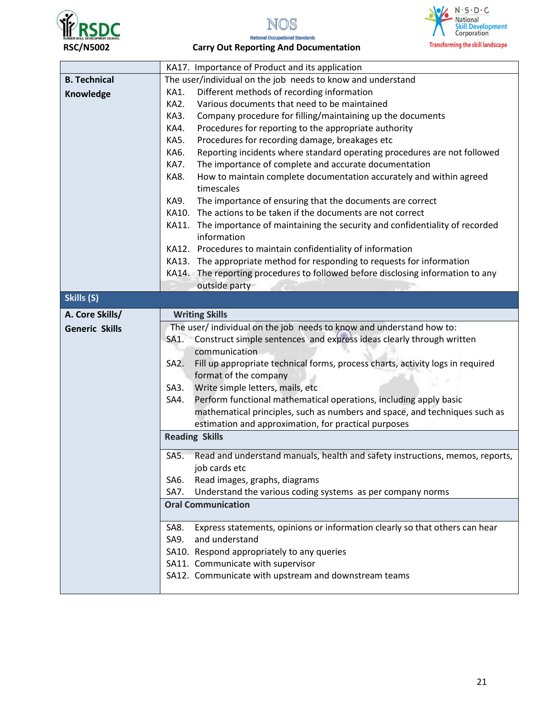



#### **RSC/N5002 Carry Out Reporting And Documentation**

|                       | KA17. Importance of Product and its application                                                                 |  |  |  |
|-----------------------|-----------------------------------------------------------------------------------------------------------------|--|--|--|
| <b>B. Technical</b>   | The user/individual on the job needs to know and understand                                                     |  |  |  |
| Knowledge             | Different methods of recording information<br>KA1.                                                              |  |  |  |
|                       | Various documents that need to be maintained<br>KA2.                                                            |  |  |  |
|                       | KA3.<br>Company procedure for filling/maintaining up the documents                                              |  |  |  |
|                       | KA4.<br>Procedures for reporting to the appropriate authority                                                   |  |  |  |
|                       | KA5.<br>Procedures for recording damage, breakages etc                                                          |  |  |  |
|                       | KA6.<br>Reporting incidents where standard operating procedures are not followed                                |  |  |  |
|                       | KA7.<br>The importance of complete and accurate documentation                                                   |  |  |  |
|                       | KA8.<br>How to maintain complete documentation accurately and within agreed<br>timescales                       |  |  |  |
|                       | The importance of ensuring that the documents are correct<br>KA9.                                               |  |  |  |
|                       | The actions to be taken if the documents are not correct<br>KA10.                                               |  |  |  |
|                       | KA11. The importance of maintaining the security and confidentiality of recorded<br>information                 |  |  |  |
|                       | KA12. Procedures to maintain confidentiality of information                                                     |  |  |  |
|                       | KA13. The appropriate method for responding to requests for information                                         |  |  |  |
|                       | KA14. The reporting procedures to followed before disclosing information to any                                 |  |  |  |
|                       | outside party                                                                                                   |  |  |  |
| Skills (S)            |                                                                                                                 |  |  |  |
| A. Core Skills/       | <b>Writing Skills</b>                                                                                           |  |  |  |
| <b>Generic Skills</b> | The user/ individual on the job needs to know and understand how to:                                            |  |  |  |
|                       | SA1. Construct simple sentences and express ideas clearly through written                                       |  |  |  |
|                       | communication                                                                                                   |  |  |  |
|                       | Fill up appropriate technical forms, process charts, activity logs in required<br>SA2.<br>format of the company |  |  |  |
|                       |                                                                                                                 |  |  |  |
|                       | Write simple letters, mails, etc<br>$SA3$ .                                                                     |  |  |  |
|                       | Perform functional mathematical operations, including apply basic<br>SA4.                                       |  |  |  |
|                       | mathematical principles, such as numbers and space, and techniques such as                                      |  |  |  |
|                       | estimation and approximation, for practical purposes                                                            |  |  |  |
|                       | <b>Reading Skills</b>                                                                                           |  |  |  |
|                       | Read and understand manuals, health and safety instructions, memos, reports,<br>SA5.<br>job cards etc           |  |  |  |
|                       | Read images, graphs, diagrams<br>SA6.                                                                           |  |  |  |
|                       | Understand the various coding systems as per company norms<br>SA7.                                              |  |  |  |
|                       | <b>Oral Communication</b>                                                                                       |  |  |  |
|                       | Express statements, opinions or information clearly so that others can hear<br>SA8.                             |  |  |  |
|                       | and understand<br>SA9.                                                                                          |  |  |  |
|                       | SA10. Respond appropriately to any queries                                                                      |  |  |  |
|                       | SA11. Communicate with supervisor                                                                               |  |  |  |
|                       | SA12. Communicate with upstream and downstream teams                                                            |  |  |  |
|                       |                                                                                                                 |  |  |  |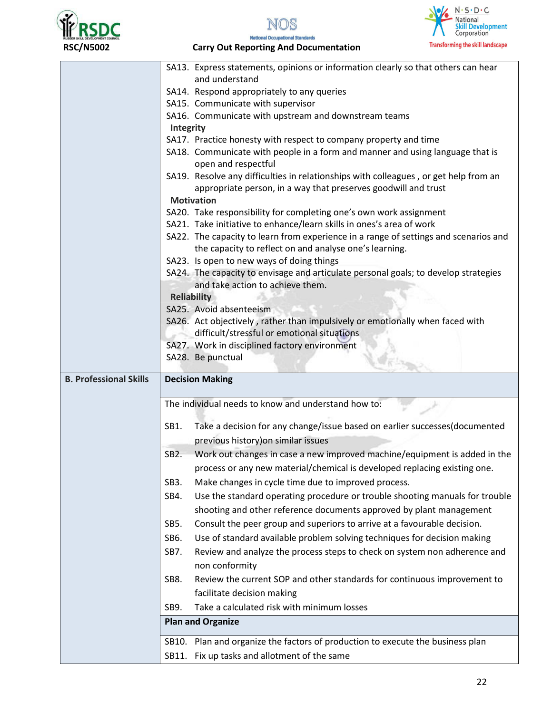







|                               | SA13. Express statements, opinions or information clearly so that others can hear                                                                 |  |  |  |
|-------------------------------|---------------------------------------------------------------------------------------------------------------------------------------------------|--|--|--|
|                               | and understand                                                                                                                                    |  |  |  |
|                               | SA14. Respond appropriately to any queries                                                                                                        |  |  |  |
|                               | SA15. Communicate with supervisor                                                                                                                 |  |  |  |
|                               | SA16. Communicate with upstream and downstream teams                                                                                              |  |  |  |
|                               | <b>Integrity</b>                                                                                                                                  |  |  |  |
|                               | SA17. Practice honesty with respect to company property and time<br>SA18. Communicate with people in a form and manner and using language that is |  |  |  |
|                               | open and respectful                                                                                                                               |  |  |  |
|                               | SA19. Resolve any difficulties in relationships with colleagues, or get help from an                                                              |  |  |  |
|                               | appropriate person, in a way that preserves goodwill and trust                                                                                    |  |  |  |
|                               | <b>Motivation</b>                                                                                                                                 |  |  |  |
|                               | SA20. Take responsibility for completing one's own work assignment                                                                                |  |  |  |
|                               | SA21. Take initiative to enhance/learn skills in ones's area of work                                                                              |  |  |  |
|                               | SA22. The capacity to learn from experience in a range of settings and scenarios and                                                              |  |  |  |
|                               | the capacity to reflect on and analyse one's learning.                                                                                            |  |  |  |
|                               | SA23. Is open to new ways of doing things                                                                                                         |  |  |  |
|                               | SA24. The capacity to envisage and articulate personal goals; to develop strategies                                                               |  |  |  |
|                               | and take action to achieve them.                                                                                                                  |  |  |  |
|                               | <b>Reliability</b>                                                                                                                                |  |  |  |
|                               | SA25. Avoid absenteeism                                                                                                                           |  |  |  |
|                               | SA26. Act objectively, rather than impulsively or emotionally when faced with<br>difficult/stressful or emotional situations                      |  |  |  |
|                               | SA27. Work in disciplined factory environment                                                                                                     |  |  |  |
|                               | SA28. Be punctual                                                                                                                                 |  |  |  |
|                               |                                                                                                                                                   |  |  |  |
| <b>B. Professional Skills</b> | <b>Decision Making</b>                                                                                                                            |  |  |  |
|                               |                                                                                                                                                   |  |  |  |
|                               | The individual needs to know and understand how to:                                                                                               |  |  |  |
|                               | Take a decision for any change/issue based on earlier successes(documented<br>SB1.                                                                |  |  |  |
|                               | previous history) on similar issues                                                                                                               |  |  |  |
|                               | Work out changes in case a new improved machine/equipment is added in the<br>SB <sub>2</sub> .                                                    |  |  |  |
|                               | process or any new material/chemical is developed replacing existing one.                                                                         |  |  |  |
|                               | Make changes in cycle time due to improved process.                                                                                               |  |  |  |
|                               | SB <sub>3</sub> .                                                                                                                                 |  |  |  |
|                               | Use the standard operating procedure or trouble shooting manuals for trouble<br>SB4.                                                              |  |  |  |
|                               | shooting and other reference documents approved by plant management                                                                               |  |  |  |
|                               | Consult the peer group and superiors to arrive at a favourable decision.<br>SB5.                                                                  |  |  |  |
|                               | SB6.<br>Use of standard available problem solving techniques for decision making                                                                  |  |  |  |
|                               | Review and analyze the process steps to check on system non adherence and<br>SB7.                                                                 |  |  |  |
|                               | non conformity                                                                                                                                    |  |  |  |
|                               | Review the current SOP and other standards for continuous improvement to<br>SB8.                                                                  |  |  |  |
|                               | facilitate decision making                                                                                                                        |  |  |  |
|                               | SB9.<br>Take a calculated risk with minimum losses                                                                                                |  |  |  |
|                               | <b>Plan and Organize</b>                                                                                                                          |  |  |  |
|                               | SB10. Plan and organize the factors of production to execute the business plan                                                                    |  |  |  |
|                               |                                                                                                                                                   |  |  |  |
|                               | SB11. Fix up tasks and allotment of the same                                                                                                      |  |  |  |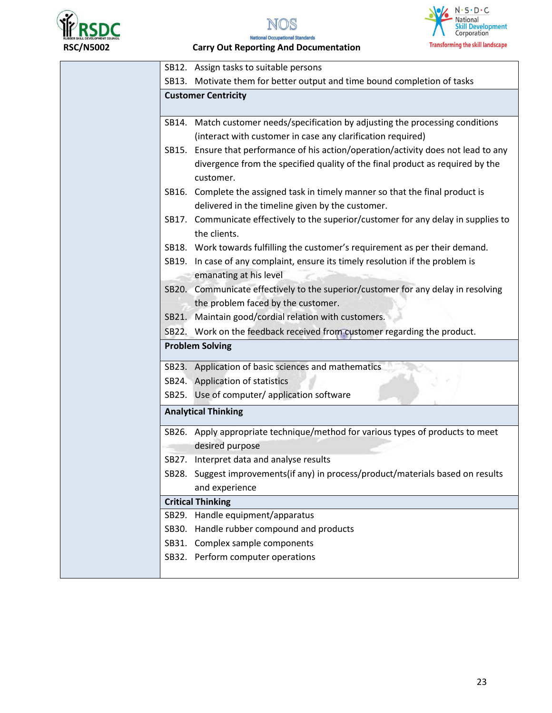





 **RSC/N5002 Carry Out Reporting And Documentation** 

| SB12. Assign tasks to suitable persons                                                     |
|--------------------------------------------------------------------------------------------|
| SB13. Motivate them for better output and time bound completion of tasks                   |
| <b>Customer Centricity</b>                                                                 |
|                                                                                            |
| SB14. Match customer needs/specification by adjusting the processing conditions            |
| (interact with customer in case any clarification required)                                |
| SB15. Ensure that performance of his action/operation/activity does not lead to any        |
| divergence from the specified quality of the final product as required by the<br>customer. |
| SB16. Complete the assigned task in timely manner so that the final product is             |
| delivered in the timeline given by the customer.                                           |
| SB17. Communicate effectively to the superior/customer for any delay in supplies to        |
| the clients.                                                                               |
| SB18. Work towards fulfilling the customer's requirement as per their demand.              |
| SB19. In case of any complaint, ensure its timely resolution if the problem is             |
| emanating at his level                                                                     |
| SB20. Communicate effectively to the superior/customer for any delay in resolving          |
| the problem faced by the customer.                                                         |
| SB21. Maintain good/cordial relation with customers.                                       |
| SB22. Work on the feedback received from customer regarding the product.                   |
| <b>Problem Solving</b>                                                                     |
|                                                                                            |
| SB23. Application of basic sciences and mathematics                                        |
| SB24. Application of statistics                                                            |
| SB25. Use of computer/ application software                                                |
| <b>Analytical Thinking</b>                                                                 |
| SB26. Apply appropriate technique/method for various types of products to meet             |
| desired purpose                                                                            |
| SB27. Interpret data and analyse results                                                   |
| SB28. Suggest improvements(if any) in process/product/materials based on results           |
| and experience                                                                             |
| <b>Critical Thinking</b>                                                                   |
| SB29. Handle equipment/apparatus                                                           |
| SB30. Handle rubber compound and products                                                  |
| SB31. Complex sample components                                                            |
|                                                                                            |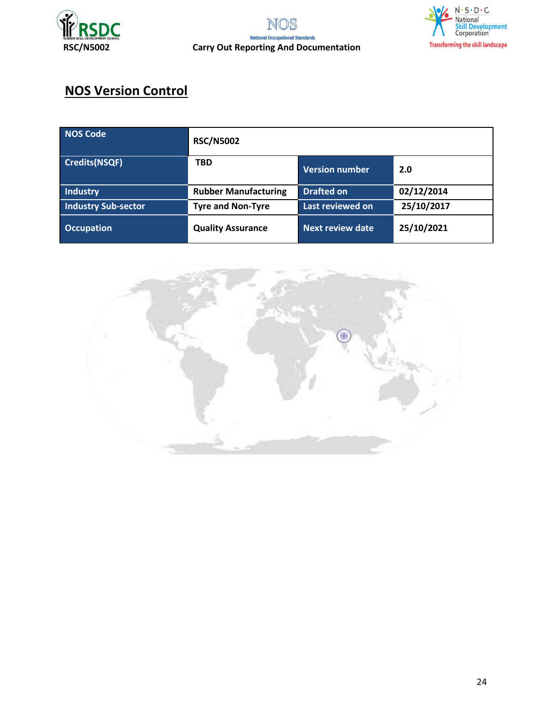





# **NOS Version Control**

| NOS Code                   | <b>RSC/N5002</b>            |                         |            |
|----------------------------|-----------------------------|-------------------------|------------|
| <b>Credits(NSQF)</b>       | <b>TBD</b>                  | <b>Version number</b>   | 2.0        |
| Industry                   | <b>Rubber Manufacturing</b> | <b>Drafted on</b>       | 02/12/2014 |
| <b>Industry Sub-sector</b> | <b>Tyre and Non-Tyre</b>    | Last reviewed on        | 25/10/2017 |
| <b>Occupation</b>          | <b>Quality Assurance</b>    | <b>Next review date</b> | 25/10/2021 |

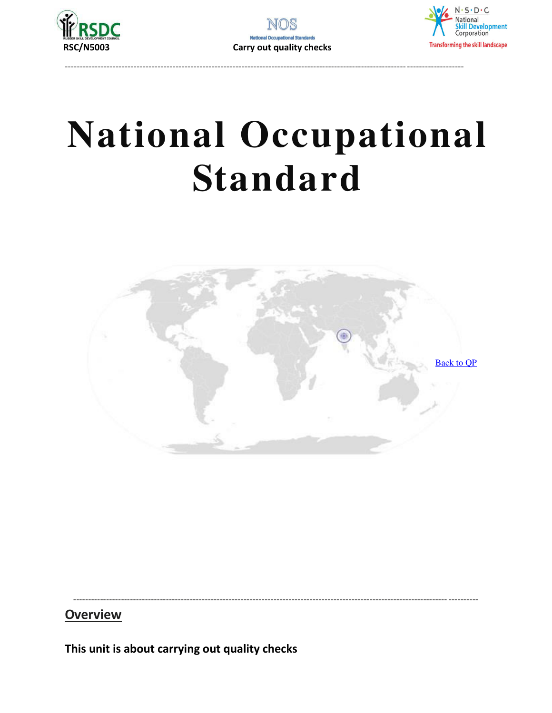





<span id="page-24-0"></span>

#### **Overview**

This unit is about carrying out quality checks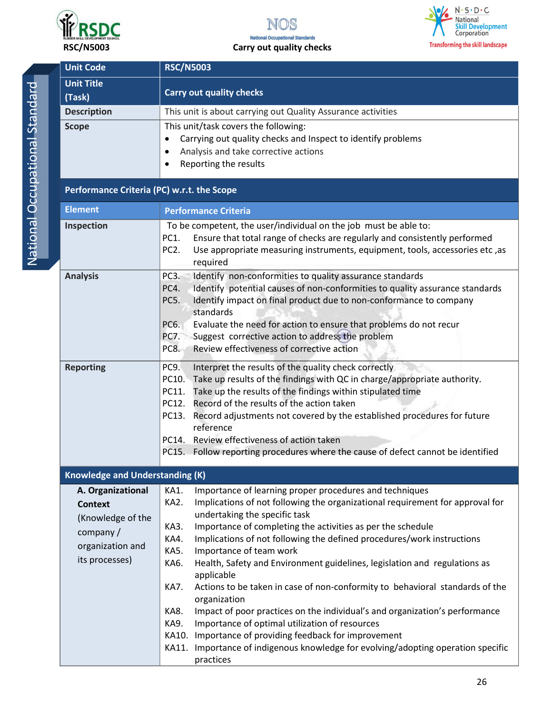





 **RSC/N5003 Carry out quality checks** 

| <b>Unit Code</b>                                                                                           | <b>RSC/N5003</b>                                                                                                                                                                                                                                                                                                                                                                                                                                                                                                                                                                                                                                                                                                                                  |
|------------------------------------------------------------------------------------------------------------|---------------------------------------------------------------------------------------------------------------------------------------------------------------------------------------------------------------------------------------------------------------------------------------------------------------------------------------------------------------------------------------------------------------------------------------------------------------------------------------------------------------------------------------------------------------------------------------------------------------------------------------------------------------------------------------------------------------------------------------------------|
| <b>Unit Title</b><br>(Task)                                                                                | <b>Carry out quality checks</b>                                                                                                                                                                                                                                                                                                                                                                                                                                                                                                                                                                                                                                                                                                                   |
| <b>Description</b>                                                                                         | This unit is about carrying out Quality Assurance activities                                                                                                                                                                                                                                                                                                                                                                                                                                                                                                                                                                                                                                                                                      |
| <b>Scope</b>                                                                                               | This unit/task covers the following:<br>Carrying out quality checks and Inspect to identify problems<br>$\bullet$<br>Analysis and take corrective actions<br>$\bullet$<br>Reporting the results<br>$\bullet$                                                                                                                                                                                                                                                                                                                                                                                                                                                                                                                                      |
| Performance Criteria (PC) w.r.t. the Scope                                                                 |                                                                                                                                                                                                                                                                                                                                                                                                                                                                                                                                                                                                                                                                                                                                                   |
| <b>Element</b>                                                                                             | <b>Performance Criteria</b>                                                                                                                                                                                                                                                                                                                                                                                                                                                                                                                                                                                                                                                                                                                       |
| Inspection                                                                                                 | To be competent, the user/individual on the job must be able to:<br>Ensure that total range of checks are regularly and consistently performed<br>PC1.<br>PC <sub>2</sub> .<br>Use appropriate measuring instruments, equipment, tools, accessories etc, as<br>required                                                                                                                                                                                                                                                                                                                                                                                                                                                                           |
| <b>Analysis</b>                                                                                            | Identify non-conformities to quality assurance standards<br>PC3.<br>Identify potential causes of non-conformities to quality assurance standards<br>PC4.<br>PC5.<br>Identify impact on final product due to non-conformance to company<br>standards<br>Evaluate the need for action to ensure that problems do not recur<br>PC6.<br>Suggest corrective action to address the problem<br>PC7.<br>Review effectiveness of corrective action<br>PC8.                                                                                                                                                                                                                                                                                                 |
| <b>Reporting</b>                                                                                           | PC9.<br>Interpret the results of the quality check correctly<br>Take up results of the findings with QC in charge/appropriate authority.<br>PC10.<br>Take up the results of the findings within stipulated time<br>PC11.<br>PC12. Record of the results of the action taken<br>Record adjustments not covered by the established procedures for future<br>PC13.<br>reference<br>PC14. Review effectiveness of action taken<br>PC15. Follow reporting procedures where the cause of defect cannot be identified                                                                                                                                                                                                                                    |
| <b>Knowledge and Understanding (K)</b>                                                                     |                                                                                                                                                                                                                                                                                                                                                                                                                                                                                                                                                                                                                                                                                                                                                   |
| A. Organizational<br><b>Context</b><br>(Knowledge of the<br>company/<br>organization and<br>its processes) | KA1.<br>Importance of learning proper procedures and techniques<br>Implications of not following the organizational requirement for approval for<br>KA2.<br>undertaking the specific task<br>Importance of completing the activities as per the schedule<br>KA3.<br>Implications of not following the defined procedures/work instructions<br>KA4.<br>KA5.<br>Importance of team work<br>Health, Safety and Environment guidelines, legislation and regulations as<br>KA6.<br>applicable<br>Actions to be taken in case of non-conformity to behavioral standards of the<br>KA7.<br>organization<br>Impact of poor practices on the individual's and organization's performance<br>KA8.<br>KA9.<br>Importance of optimal utilization of resources |
|                                                                                                            | Importance of providing feedback for improvement<br>KA10.<br>Importance of indigenous knowledge for evolving/adopting operation specific<br>KA11.<br>practices                                                                                                                                                                                                                                                                                                                                                                                                                                                                                                                                                                                    |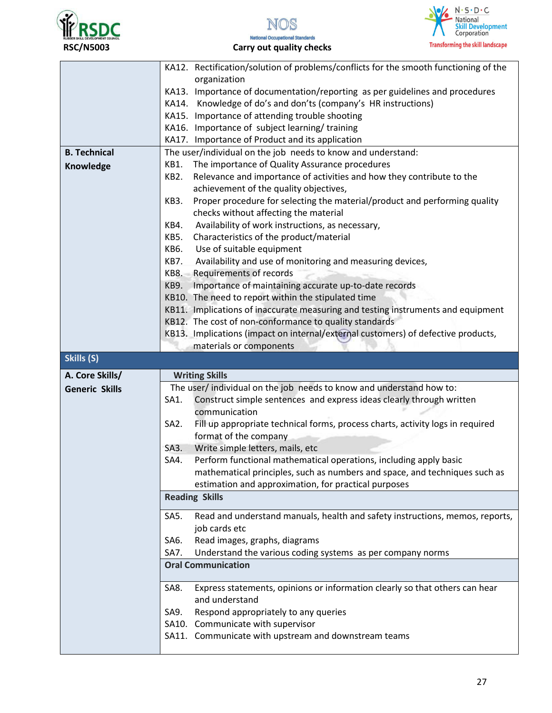





#### **National Occupational Standards RSC/N5003 Carry out quality checks**

|                       | KA12. Rectification/solution of problems/conflicts for the smooth functioning of the                |  |  |
|-----------------------|-----------------------------------------------------------------------------------------------------|--|--|
|                       | organization                                                                                        |  |  |
|                       | KA13. Importance of documentation/reporting as per guidelines and procedures                        |  |  |
|                       | KA14. Knowledge of do's and don'ts (company's HR instructions)                                      |  |  |
|                       | KA15. Importance of attending trouble shooting                                                      |  |  |
|                       | KA16. Importance of subject learning/training                                                       |  |  |
|                       | KA17. Importance of Product and its application                                                     |  |  |
| <b>B. Technical</b>   | The user/individual on the job needs to know and understand:                                        |  |  |
|                       | The importance of Quality Assurance procedures<br>KB1.                                              |  |  |
| Knowledge             | Relevance and importance of activities and how they contribute to the<br>KB <sub>2</sub> .          |  |  |
|                       | achievement of the quality objectives,                                                              |  |  |
|                       | Proper procedure for selecting the material/product and performing quality<br>KB3.                  |  |  |
|                       |                                                                                                     |  |  |
|                       | checks without affecting the material                                                               |  |  |
|                       | Availability of work instructions, as necessary,<br>KB4.                                            |  |  |
|                       | KB5.<br>Characteristics of the product/material                                                     |  |  |
|                       | KB6.<br>Use of suitable equipment                                                                   |  |  |
|                       | Availability and use of monitoring and measuring devices,<br>KB7.                                   |  |  |
|                       | <b>KB8.</b><br>Requirements of records                                                              |  |  |
|                       | KB9.<br>Importance of maintaining accurate up-to-date records                                       |  |  |
|                       | KB10. The need to report within the stipulated time                                                 |  |  |
|                       | KB11. Implications of inaccurate measuring and testing instruments and equipment                    |  |  |
|                       | KB12. The cost of non-conformance to quality standards                                              |  |  |
|                       | KB13. Implications (impact on internal/external customers) of defective products,                   |  |  |
|                       | materials or components                                                                             |  |  |
|                       |                                                                                                     |  |  |
| Skills (S)            |                                                                                                     |  |  |
| A. Core Skills/       |                                                                                                     |  |  |
|                       | <b>Writing Skills</b>                                                                               |  |  |
| <b>Generic Skills</b> | The user/ individual on the job needs to know and understand how to:                                |  |  |
|                       | Construct simple sentences and express ideas clearly through written<br>SA1.                        |  |  |
|                       | communication                                                                                       |  |  |
|                       | Fill up appropriate technical forms, process charts, activity logs in required<br>SA <sub>2</sub> . |  |  |
|                       | format of the company                                                                               |  |  |
|                       | Write simple letters, mails, etc<br>SA3.                                                            |  |  |
|                       | SA4.<br>Perform functional mathematical operations, including apply basic                           |  |  |
|                       | mathematical principles, such as numbers and space, and techniques such as                          |  |  |
|                       | estimation and approximation, for practical purposes                                                |  |  |
|                       | <b>Reading Skills</b>                                                                               |  |  |
|                       | Read and understand manuals, health and safety instructions, memos, reports,<br>SA5.                |  |  |
|                       | job cards etc                                                                                       |  |  |
|                       | Read images, graphs, diagrams<br>SA6.                                                               |  |  |
|                       | SA7.<br>Understand the various coding systems as per company norms                                  |  |  |
|                       | <b>Oral Communication</b>                                                                           |  |  |
|                       |                                                                                                     |  |  |
|                       | Express statements, opinions or information clearly so that others can hear<br>SA8.                 |  |  |
|                       | and understand                                                                                      |  |  |
|                       | Respond appropriately to any queries<br>SA9.                                                        |  |  |
|                       |                                                                                                     |  |  |
|                       | SA10. Communicate with supervisor<br>SA11. Communicate with upstream and downstream teams           |  |  |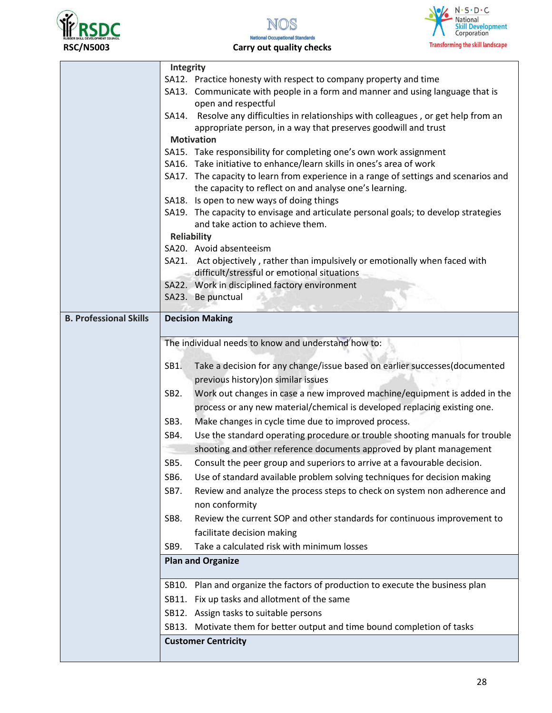



 **RSC/N5003 Carry out quality checks** 

|                               | Integrity                                                                                                               |  |  |  |
|-------------------------------|-------------------------------------------------------------------------------------------------------------------------|--|--|--|
|                               | SA12. Practice honesty with respect to company property and time                                                        |  |  |  |
|                               | SA13. Communicate with people in a form and manner and using language that is                                           |  |  |  |
|                               | open and respectful                                                                                                     |  |  |  |
|                               | SA14. Resolve any difficulties in relationships with colleagues, or get help from an                                    |  |  |  |
|                               | appropriate person, in a way that preserves goodwill and trust                                                          |  |  |  |
|                               | <b>Motivation</b>                                                                                                       |  |  |  |
|                               | SA15. Take responsibility for completing one's own work assignment                                                      |  |  |  |
|                               | SA16. Take initiative to enhance/learn skills in ones's area of work                                                    |  |  |  |
|                               | SA17. The capacity to learn from experience in a range of settings and scenarios and                                    |  |  |  |
|                               | the capacity to reflect on and analyse one's learning.                                                                  |  |  |  |
|                               | SA18. Is open to new ways of doing things                                                                               |  |  |  |
|                               | SA19. The capacity to envisage and articulate personal goals; to develop strategies<br>and take action to achieve them. |  |  |  |
| <b>Reliability</b>            |                                                                                                                         |  |  |  |
|                               | SA20. Avoid absenteeism                                                                                                 |  |  |  |
|                               | SA21. Act objectively, rather than impulsively or emotionally when faced with                                           |  |  |  |
|                               | difficult/stressful or emotional situations                                                                             |  |  |  |
|                               | SA22. Work in disciplined factory environment                                                                           |  |  |  |
|                               | SA23. Be punctual                                                                                                       |  |  |  |
|                               |                                                                                                                         |  |  |  |
| <b>B. Professional Skills</b> | <b>Decision Making</b>                                                                                                  |  |  |  |
|                               |                                                                                                                         |  |  |  |
|                               | The individual needs to know and understand how to:                                                                     |  |  |  |
|                               | Take a decision for any change/issue based on earlier successes(documented<br>SB1.                                      |  |  |  |
|                               | previous history) on similar issues                                                                                     |  |  |  |
|                               | Work out changes in case a new improved machine/equipment is added in the<br>SB <sub>2</sub> .                          |  |  |  |
|                               | process or any new material/chemical is developed replacing existing one.                                               |  |  |  |
|                               | Make changes in cycle time due to improved process.<br>SB <sub>3</sub> .                                                |  |  |  |
|                               |                                                                                                                         |  |  |  |
|                               | Use the standard operating procedure or trouble shooting manuals for trouble<br>SB4.                                    |  |  |  |
|                               | shooting and other reference documents approved by plant management                                                     |  |  |  |
|                               | Consult the peer group and superiors to arrive at a favourable decision.<br>SB5.                                        |  |  |  |
|                               | Use of standard available problem solving techniques for decision making<br>SB6.                                        |  |  |  |
|                               | Review and analyze the process steps to check on system non adherence and<br>SB7.                                       |  |  |  |
|                               | non conformity                                                                                                          |  |  |  |
|                               | Review the current SOP and other standards for continuous improvement to<br>SB8.                                        |  |  |  |
|                               | facilitate decision making                                                                                              |  |  |  |
|                               | Take a calculated risk with minimum losses<br>SB9.                                                                      |  |  |  |
|                               | <b>Plan and Organize</b>                                                                                                |  |  |  |
|                               | SB10. Plan and organize the factors of production to execute the business plan                                          |  |  |  |
|                               | SB11. Fix up tasks and allotment of the same                                                                            |  |  |  |
|                               | SB12. Assign tasks to suitable persons                                                                                  |  |  |  |
|                               | SB13. Motivate them for better output and time bound completion of tasks                                                |  |  |  |
|                               |                                                                                                                         |  |  |  |
|                               | <b>Customer Centricity</b>                                                                                              |  |  |  |
|                               |                                                                                                                         |  |  |  |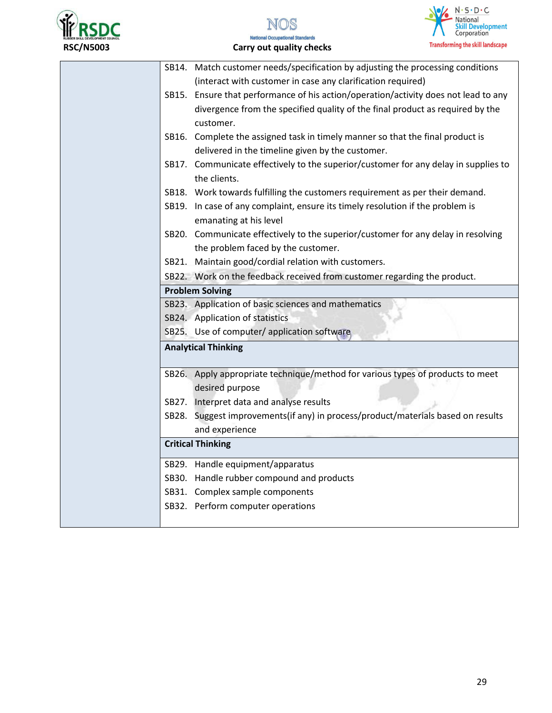





#### **National Occupational Standards RSC/N5003 Carry out quality checks**

| SB14. Match customer needs/specification by adjusting the processing conditions     |
|-------------------------------------------------------------------------------------|
| (interact with customer in case any clarification required)                         |
| SB15. Ensure that performance of his action/operation/activity does not lead to any |
| divergence from the specified quality of the final product as required by the       |
| customer.                                                                           |
| SB16. Complete the assigned task in timely manner so that the final product is      |
| delivered in the timeline given by the customer.                                    |
| SB17. Communicate effectively to the superior/customer for any delay in supplies to |
| the clients.                                                                        |
| SB18. Work towards fulfilling the customers requirement as per their demand.        |
| SB19. In case of any complaint, ensure its timely resolution if the problem is      |
| emanating at his level                                                              |
| SB20. Communicate effectively to the superior/customer for any delay in resolving   |
| the problem faced by the customer.                                                  |
| SB21. Maintain good/cordial relation with customers.                                |
| SB22. Work on the feedback received from customer regarding the product.            |
| <b>Problem Solving</b>                                                              |
| SB23. Application of basic sciences and mathematics                                 |
| SB24. Application of statistics                                                     |
| SB25. Use of computer/ application software                                         |
| <b>Analytical Thinking</b>                                                          |
|                                                                                     |
| SB26. Apply appropriate technique/method for various types of products to meet      |
| desired purpose<br>SB27. Interpret data and analyse results                         |
| SB28. Suggest improvements(if any) in process/product/materials based on results    |
| and experience                                                                      |
| <b>Critical Thinking</b>                                                            |
|                                                                                     |
| SB29. Handle equipment/apparatus                                                    |
| SB30. Handle rubber compound and products                                           |
| SB31. Complex sample components                                                     |
| SB32. Perform computer operations                                                   |
|                                                                                     |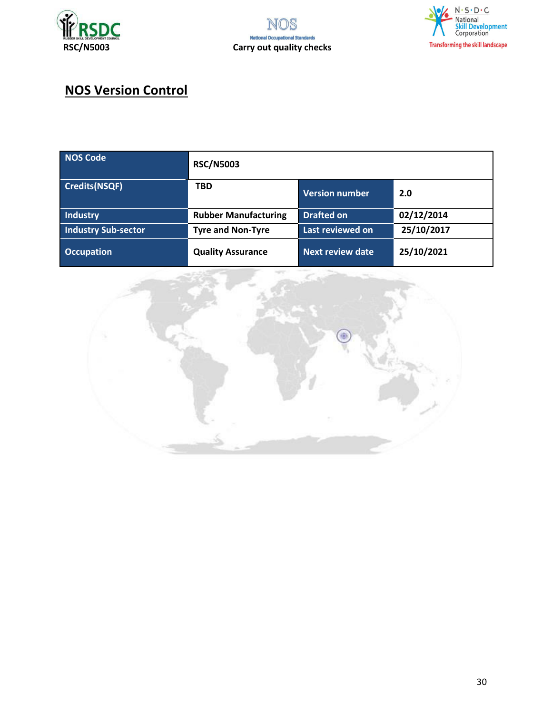





# **NOS Version Control**

| <b>NOS Code</b>            | <b>RSC/N5003</b>            |                         |            |
|----------------------------|-----------------------------|-------------------------|------------|
| <b>Credits(NSQF)</b>       | <b>TBD</b>                  | <b>Version number</b>   | 2.0        |
| Industry                   | <b>Rubber Manufacturing</b> | <b>Drafted on</b>       | 02/12/2014 |
| <b>Industry Sub-sector</b> | <b>Tyre and Non-Tyre</b>    | Last reviewed on        | 25/10/2017 |
| <b>Occupation</b>          | <b>Quality Assurance</b>    | <b>Next review date</b> | 25/10/2021 |

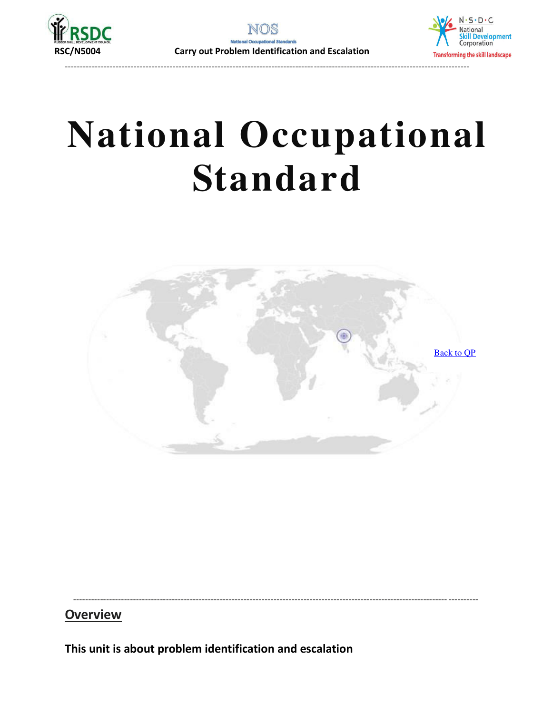



---------------------------------------------------------------------------------------------------------------------------------------

# **National Occupational Standard**

<span id="page-30-0"></span>

----------------------------------------------------------------------------------------------------------------------------- ----------

#### **Overview**

**This unit is about problem identification and escalation**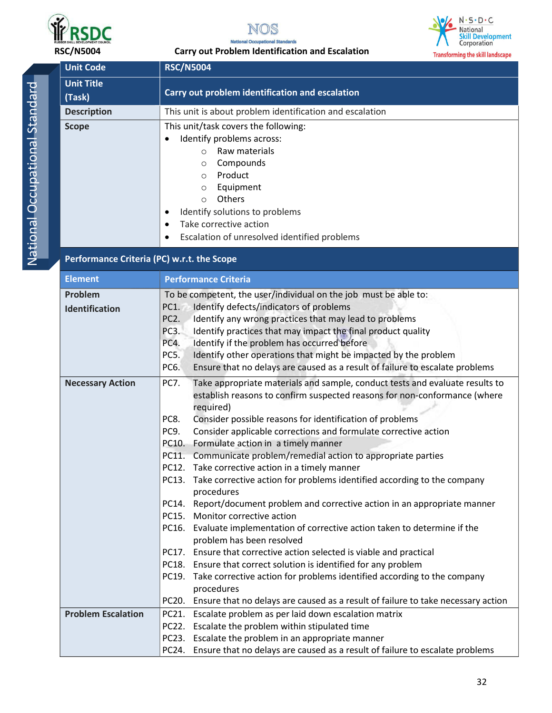





| <b>RSC/N5004</b>            | $\sqrt{ }$<br>Corporation<br><b>Carry out Problem Identification and Escalation</b><br><b>Transforming the skill landscape</b>                                                                                                                                                                                                                                                                                                                                                                                                                                                                                                                                                      |
|-----------------------------|-------------------------------------------------------------------------------------------------------------------------------------------------------------------------------------------------------------------------------------------------------------------------------------------------------------------------------------------------------------------------------------------------------------------------------------------------------------------------------------------------------------------------------------------------------------------------------------------------------------------------------------------------------------------------------------|
| <b>Unit Code</b>            | <b>RSC/N5004</b>                                                                                                                                                                                                                                                                                                                                                                                                                                                                                                                                                                                                                                                                    |
| <b>Unit Title</b><br>(Task) | Carry out problem identification and escalation                                                                                                                                                                                                                                                                                                                                                                                                                                                                                                                                                                                                                                     |
| <b>Description</b>          | This unit is about problem identification and escalation                                                                                                                                                                                                                                                                                                                                                                                                                                                                                                                                                                                                                            |
| <b>Scope</b>                | This unit/task covers the following:<br>Identify problems across:<br>Raw materials<br>$\circ$<br>Compounds<br>$\circ$<br>Product<br>$\circ$<br>Equipment<br>$\circ$<br>Others<br>$\circ$<br>Identify solutions to problems<br>Take corrective action<br>Escalation of unresolved identified problems                                                                                                                                                                                                                                                                                                                                                                                |
|                             | Performance Criteria (PC) w.r.t. the Scope                                                                                                                                                                                                                                                                                                                                                                                                                                                                                                                                                                                                                                          |
| <b>Element</b>              | <b>Performance Criteria</b>                                                                                                                                                                                                                                                                                                                                                                                                                                                                                                                                                                                                                                                         |
| Problem<br>Identification   | To be competent, the user/individual on the job must be able to:<br>Identify defects/indicators of problems<br>PC1.<br>Identify any wrong practices that may lead to problems<br>PC <sub>2</sub> .<br>PC <sub>3</sub> .<br>Identify practices that may impact the final product quality<br>Identify if the problem has occurred before<br>PC4.<br>Identify other operations that might be impacted by the problem<br>PC5.<br>PC6.<br>Ensure that no delays are caused as a result of failure to escalate problems                                                                                                                                                                   |
| <b>Necessary Action</b>     | Take appropriate materials and sample, conduct tests and evaluate results to<br>PC7.<br>establish reasons to confirm suspected reasons for non-conformance (where<br>required)<br>Consider possible reasons for identification of problems<br>PC8.<br>Consider applicable corrections and formulate corrective action<br>PC9.<br>PC10.<br>Formulate action in a timely manner<br>PC11. Communicate problem/remedial action to appropriate parties<br>PC12. Take corrective action in a timely manner<br>PC13. Take corrective action for problems identified according to the company<br>procedures<br>PC14. Report/document problem and corrective action in an appropriate manner |

PC20. Ensure that no delays are caused as a result of failure to take necessary action

PC24. Ensure that no delays are caused as a result of failure to escalate problems

procedures

**Problem Escalation PC21.** Escalate problem as per laid down escalation matrix

PC22. Escalate the problem within stipulated time PC23. Escalate the problem in an appropriate manner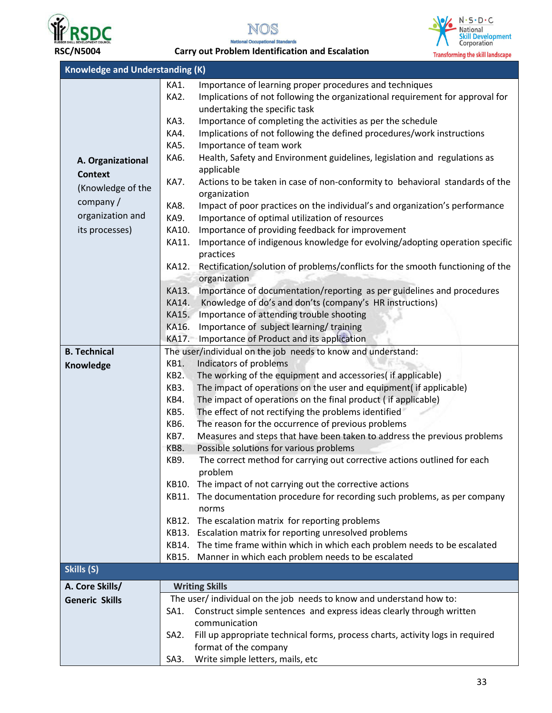





 **RSC/N5004 Carry out Problem Identification and Escalation** 

| <b>Knowledge and Understanding (K)</b> |                   |                                                                                |  |  |
|----------------------------------------|-------------------|--------------------------------------------------------------------------------|--|--|
|                                        | KA1.              | Importance of learning proper procedures and techniques                        |  |  |
|                                        | KA2.              | Implications of not following the organizational requirement for approval for  |  |  |
|                                        |                   | undertaking the specific task                                                  |  |  |
|                                        | KA3.              | Importance of completing the activities as per the schedule                    |  |  |
|                                        | KA4.              | Implications of not following the defined procedures/work instructions         |  |  |
|                                        | KA5.              | Importance of team work                                                        |  |  |
| A. Organizational                      | KA6.              | Health, Safety and Environment guidelines, legislation and regulations as      |  |  |
| <b>Context</b>                         |                   | applicable                                                                     |  |  |
|                                        | KA7.              | Actions to be taken in case of non-conformity to behavioral standards of the   |  |  |
| (Knowledge of the                      |                   | organization                                                                   |  |  |
| company/                               | KA8.              | Impact of poor practices on the individual's and organization's performance    |  |  |
| organization and                       | KA9.              | Importance of optimal utilization of resources                                 |  |  |
| its processes)                         | KA10.             | Importance of providing feedback for improvement                               |  |  |
|                                        | KA11.             | Importance of indigenous knowledge for evolving/adopting operation specific    |  |  |
|                                        |                   | practices                                                                      |  |  |
|                                        | KA12.             | Rectification/solution of problems/conflicts for the smooth functioning of the |  |  |
|                                        |                   | organization                                                                   |  |  |
|                                        | KA13.             | Importance of documentation/reporting as per guidelines and procedures         |  |  |
|                                        | KA14.             | Knowledge of do's and don'ts (company's HR instructions)                       |  |  |
|                                        | KA15.             | Importance of attending trouble shooting                                       |  |  |
|                                        | KA16.             | Importance of subject learning/training                                        |  |  |
|                                        | KA17.             | Importance of Product and its application                                      |  |  |
| <b>B. Technical</b>                    |                   | The user/individual on the job needs to know and understand:                   |  |  |
| Knowledge                              | KB1.              | Indicators of problems                                                         |  |  |
|                                        | KB <sub>2</sub> . | The working of the equipment and accessories( if applicable)                   |  |  |
|                                        | KB3.              | The impact of operations on the user and equipment( if applicable)             |  |  |
|                                        | KB4.              | The impact of operations on the final product (if applicable)                  |  |  |
|                                        | KB5.              | The effect of not rectifying the problems identified                           |  |  |
|                                        | KB6.              | The reason for the occurrence of previous problems                             |  |  |
|                                        | KB7.              | Measures and steps that have been taken to address the previous problems       |  |  |
|                                        | KB8.              | Possible solutions for various problems                                        |  |  |
|                                        | KB9.              | The correct method for carrying out corrective actions outlined for each       |  |  |
|                                        |                   | problem                                                                        |  |  |
|                                        | KB10.             | The impact of not carrying out the corrective actions                          |  |  |
|                                        | KB11.             | The documentation procedure for recording such problems, as per company        |  |  |
|                                        |                   | norms                                                                          |  |  |
|                                        |                   | KB12. The escalation matrix for reporting problems                             |  |  |
|                                        |                   | KB13. Escalation matrix for reporting unresolved problems                      |  |  |
|                                        |                   | KB14. The time frame within which in which each problem needs to be escalated  |  |  |
|                                        |                   | KB15. Manner in which each problem needs to be escalated                       |  |  |
| Skills (S)                             |                   |                                                                                |  |  |
| A. Core Skills/                        |                   | <b>Writing Skills</b>                                                          |  |  |
| <b>Generic Skills</b>                  |                   | The user/individual on the job needs to know and understand how to:            |  |  |
|                                        | SA1.              | Construct simple sentences and express ideas clearly through written           |  |  |
|                                        |                   | communication                                                                  |  |  |
|                                        | SA <sub>2</sub> . | Fill up appropriate technical forms, process charts, activity logs in required |  |  |
|                                        |                   | format of the company                                                          |  |  |
|                                        | SA3.              | Write simple letters, mails, etc                                               |  |  |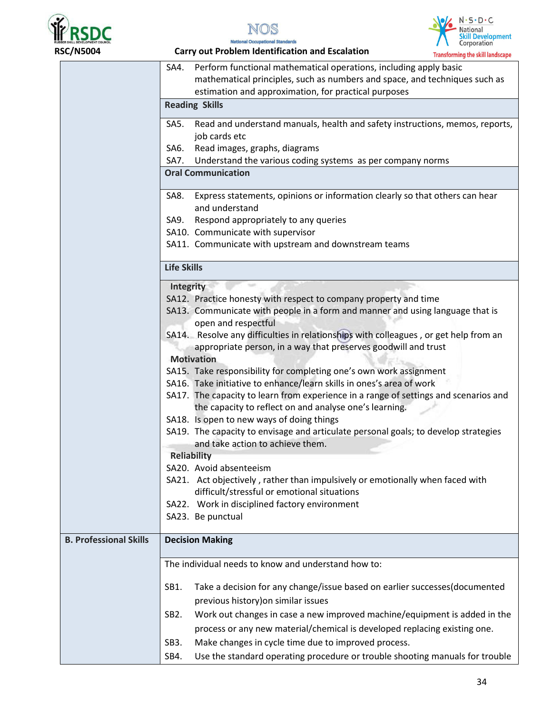





SA4. Perform functional mathematical operations, including apply basic mathematical principles, such as numbers and space, and techniques such as estimation and approximation, for practical purposes **Reading Skills**  SA5. Read and understand manuals, health and safety instructions, memos, reports, job cards etc SA6. Read images, graphs, diagrams SA7. Understand the various coding systems as per company norms **Oral Communication**  SA8. Express statements, opinions or information clearly so that others can hear and understand SA9. Respond appropriately to any queries SA10. Communicate with supervisor SA11. Communicate with upstream and downstream teams **Life Skills Integrity**  SA12. Practice honesty with respect to company property and time SA13. Communicate with people in a form and manner and using language that is open and respectful SA14. Resolve any difficulties in relationships with colleagues , or get help from an appropriate person, in a way that preserves goodwill and trust **Motivation**  SA15. Take responsibility for completing one's own work assignment SA16. Take initiative to enhance/learn skills in ones's area of work SA17. The capacity to learn from experience in a range of settings and scenarios and the capacity to reflect on and analyse one's learning. SA18. Is open to new ways of doing things SA19. The capacity to envisage and articulate personal goals; to develop strategies and take action to achieve them. **Reliability** SA20. Avoid absenteeism SA21. Act objectively , rather than impulsively or emotionally when faced with difficult/stressful or emotional situations SA22. Work in disciplined factory environment SA23. Be punctual **B. Professional Skills Decision Making**  The individual needs to know and understand how to: SB1. Take a decision for any change/issue based on earlier successes(documented previous history)on similar issues SB2. Work out changes in case a new improved machine/equipment is added in the process or any new material/chemical is developed replacing existing one. SB3. Make changes in cycle time due to improved process. SB4. Use the standard operating procedure or trouble shooting manuals for trouble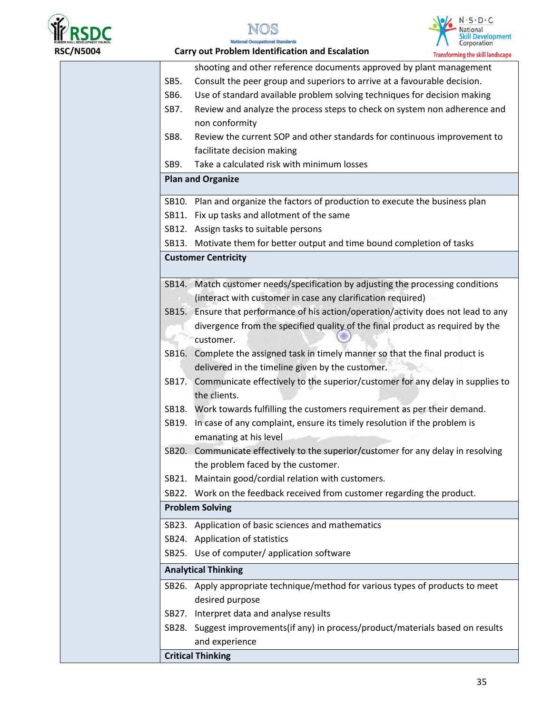





|       | Transforming the skill landscape                                                    |
|-------|-------------------------------------------------------------------------------------|
|       | shooting and other reference documents approved by plant management                 |
| SB5.  | Consult the peer group and superiors to arrive at a favourable decision.            |
| SB6.  | Use of standard available problem solving techniques for decision making            |
| SB7.  | Review and analyze the process steps to check on system non adherence and           |
|       | non conformity                                                                      |
| SB8.  | Review the current SOP and other standards for continuous improvement to            |
|       | facilitate decision making                                                          |
| SB9.  | Take a calculated risk with minimum losses                                          |
|       | <b>Plan and Organize</b>                                                            |
|       | SB10. Plan and organize the factors of production to execute the business plan      |
|       | SB11. Fix up tasks and allotment of the same                                        |
|       | SB12. Assign tasks to suitable persons                                              |
|       | SB13. Motivate them for better output and time bound completion of tasks            |
|       | <b>Customer Centricity</b>                                                          |
| SB14. | Match customer needs/specification by adjusting the processing conditions           |
|       | (interact with customer in case any clarification required)                         |
|       | SB15. Ensure that performance of his action/operation/activity does not lead to any |
|       | divergence from the specified quality of the final product as required by the       |
|       | customer.                                                                           |
|       | SB16. Complete the assigned task in timely manner so that the final product is      |
|       | delivered in the timeline given by the customer.                                    |
| SB17. | Communicate effectively to the superior/customer for any delay in supplies to       |
|       | the clients.                                                                        |
|       | SB18. Work towards fulfilling the customers requirement as per their demand.        |
|       | SB19. In case of any complaint, ensure its timely resolution if the problem is      |
|       | emanating at his level                                                              |
|       | SB20. Communicate effectively to the superior/customer for any delay in resolving   |
|       | the problem faced by the customer.                                                  |
| SB21. | Maintain good/cordial relation with customers.                                      |
|       | SB22. Work on the feedback received from customer regarding the product.            |
|       | <b>Problem Solving</b>                                                              |
|       | SB23. Application of basic sciences and mathematics                                 |
|       | SB24. Application of statistics                                                     |
|       | SB25. Use of computer/ application software                                         |
|       | <b>Analytical Thinking</b>                                                          |
|       | SB26. Apply appropriate technique/method for various types of products to meet      |
|       | desired purpose                                                                     |
|       | SB27. Interpret data and analyse results                                            |
|       | SB28. Suggest improvements(if any) in process/product/materials based on results    |
|       | and experience                                                                      |
|       | <b>Critical Thinking</b>                                                            |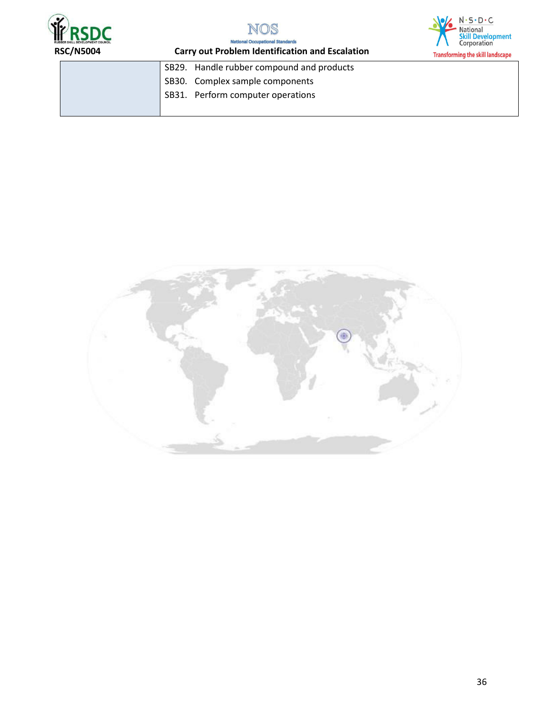





**RSC/N5004 Carry out Problem Identification and Escalation** 

|  | SB29. Handle rubber compound and products |  |
|--|-------------------------------------------|--|
|  | SB30. Complex sample components           |  |
|  | SB31. Perform computer operations         |  |
|  |                                           |  |

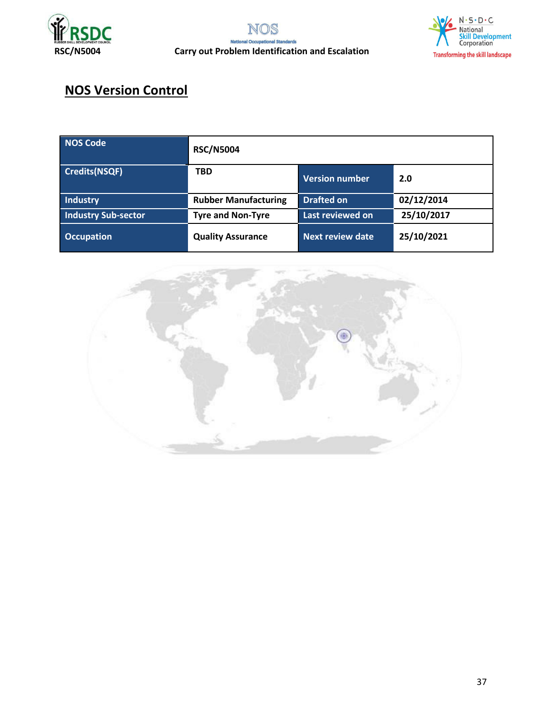





# **NOS Version Control**

| NOS Code                   | <b>RSC/N5004</b>            |                       |            |
|----------------------------|-----------------------------|-----------------------|------------|
| Credits(NSQF)              | <b>TBD</b>                  | <b>Version number</b> | 2.0        |
| Industry                   | <b>Rubber Manufacturing</b> | <b>Drafted on</b>     | 02/12/2014 |
| <b>Industry Sub-sector</b> | <b>Tyre and Non-Tyre</b>    | Last reviewed on      | 25/10/2017 |
| <b>Occupation</b>          | <b>Quality Assurance</b>    | Next review date      | 25/10/2021 |

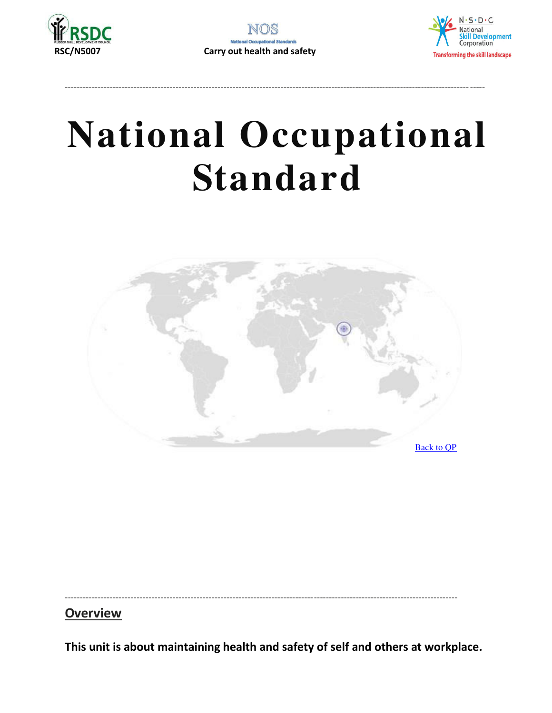



--------------------------------------------------------------------------------------------------------------------------------------- -----



<span id="page-37-0"></span>-----------------------------------------------------------------------------------------------------------------------------------

**Overview** 

**This unit is about maintaining health and safety of self and others at workplace.**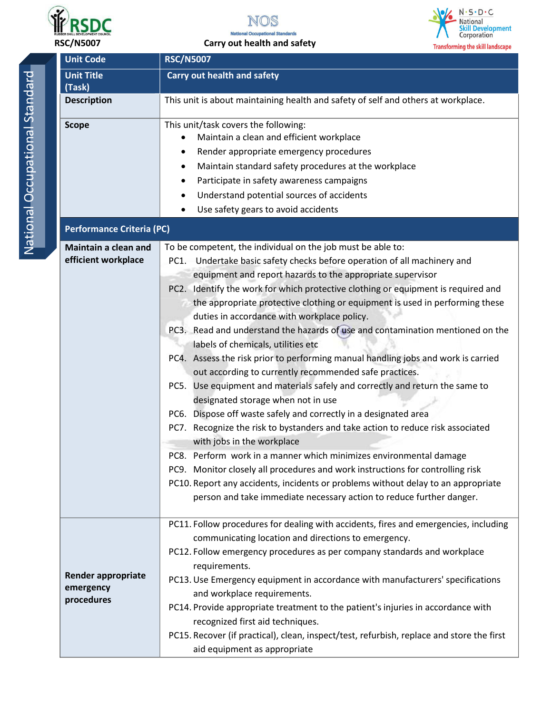



#### **RSC/N5007 Carry out health and safety**



**Unit Code RSC/N5007** National Occupational Standard National Occupational Standard **(Task)** 

| <b>Unit Title</b>                                                                                      | <b>Carry out health and safety</b>                                                                                                                                                                                                                                                                                                                                                                                                                                                                                                                                                                                                                                                                                                                                                                                                                                                                                                                                                                                                                                                                                      |  |  |
|--------------------------------------------------------------------------------------------------------|-------------------------------------------------------------------------------------------------------------------------------------------------------------------------------------------------------------------------------------------------------------------------------------------------------------------------------------------------------------------------------------------------------------------------------------------------------------------------------------------------------------------------------------------------------------------------------------------------------------------------------------------------------------------------------------------------------------------------------------------------------------------------------------------------------------------------------------------------------------------------------------------------------------------------------------------------------------------------------------------------------------------------------------------------------------------------------------------------------------------------|--|--|
| (Task)<br><b>Description</b>                                                                           | This unit is about maintaining health and safety of self and others at workplace.                                                                                                                                                                                                                                                                                                                                                                                                                                                                                                                                                                                                                                                                                                                                                                                                                                                                                                                                                                                                                                       |  |  |
|                                                                                                        |                                                                                                                                                                                                                                                                                                                                                                                                                                                                                                                                                                                                                                                                                                                                                                                                                                                                                                                                                                                                                                                                                                                         |  |  |
| <b>Scope</b><br><b>Performance Criteria (PC)</b><br><b>Maintain a clean and</b><br>efficient workplace | This unit/task covers the following:<br>Maintain a clean and efficient workplace<br>Render appropriate emergency procedures<br>٠<br>Maintain standard safety procedures at the workplace<br>٠<br>Participate in safety awareness campaigns<br>٠<br>Understand potential sources of accidents<br>٠<br>Use safety gears to avoid accidents<br>٠<br>To be competent, the individual on the job must be able to:<br>PC1. Undertake basic safety checks before operation of all machinery and<br>equipment and report hazards to the appropriate supervisor                                                                                                                                                                                                                                                                                                                                                                                                                                                                                                                                                                  |  |  |
|                                                                                                        | PC2. Identify the work for which protective clothing or equipment is required and<br>the appropriate protective clothing or equipment is used in performing these<br>duties in accordance with workplace policy.<br>PC3. Read and understand the hazards of use and contamination mentioned on the<br>labels of chemicals, utilities etc<br>PC4. Assess the risk prior to performing manual handling jobs and work is carried<br>out according to currently recommended safe practices.<br>PC5. Use equipment and materials safely and correctly and return the same to<br>designated storage when not in use<br>PC6. Dispose off waste safely and correctly in a designated area<br>PC7. Recognize the risk to bystanders and take action to reduce risk associated<br>with jobs in the workplace<br>PC8. Perform work in a manner which minimizes environmental damage<br>PC9. Monitor closely all procedures and work instructions for controlling risk<br>PC10. Report any accidents, incidents or problems without delay to an appropriate<br>person and take immediate necessary action to reduce further danger. |  |  |
| <b>Render appropriate</b><br>emergency<br>procedures                                                   | PC11. Follow procedures for dealing with accidents, fires and emergencies, including<br>communicating location and directions to emergency.<br>PC12. Follow emergency procedures as per company standards and workplace<br>requirements.<br>PC13. Use Emergency equipment in accordance with manufacturers' specifications<br>and workplace requirements.<br>PC14. Provide appropriate treatment to the patient's injuries in accordance with<br>recognized first aid techniques.<br>PC15. Recover (if practical), clean, inspect/test, refurbish, replace and store the first<br>aid equipment as appropriate                                                                                                                                                                                                                                                                                                                                                                                                                                                                                                          |  |  |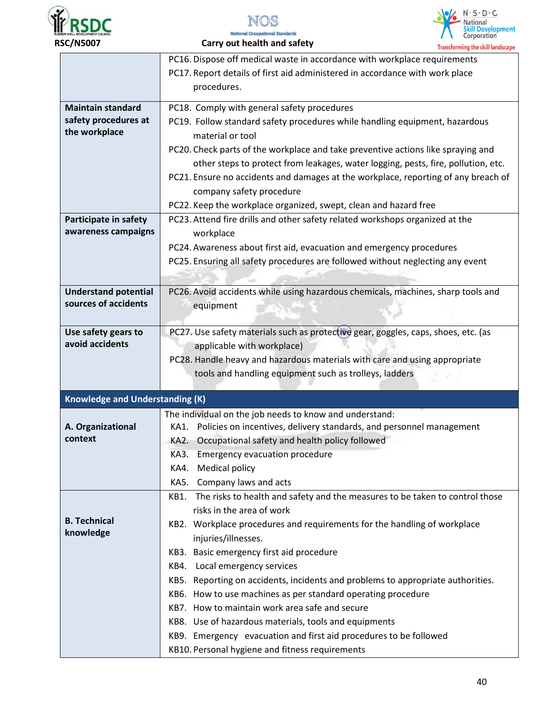





 **RSC/N5007 Carry out health and safety** 

| carry out nearth and safety<br><b>Transforming the skill landscape</b>                                                                                                                                                                                                                                                                                                                                                                                                                                                                                                                                                                                                                  |
|-----------------------------------------------------------------------------------------------------------------------------------------------------------------------------------------------------------------------------------------------------------------------------------------------------------------------------------------------------------------------------------------------------------------------------------------------------------------------------------------------------------------------------------------------------------------------------------------------------------------------------------------------------------------------------------------|
| PC16. Dispose off medical waste in accordance with workplace requirements<br>PC17. Report details of first aid administered in accordance with work place<br>procedures.                                                                                                                                                                                                                                                                                                                                                                                                                                                                                                                |
| PC18. Comply with general safety procedures<br>PC19. Follow standard safety procedures while handling equipment, hazardous<br>material or tool<br>PC20. Check parts of the workplace and take preventive actions like spraying and<br>other steps to protect from leakages, water logging, pests, fire, pollution, etc.<br>PC21. Ensure no accidents and damages at the workplace, reporting of any breach of<br>company safety procedure                                                                                                                                                                                                                                               |
| PC22. Keep the workplace organized, swept, clean and hazard free<br>PC23. Attend fire drills and other safety related workshops organized at the<br>workplace<br>PC24. Awareness about first aid, evacuation and emergency procedures<br>PC25. Ensuring all safety procedures are followed without neglecting any event                                                                                                                                                                                                                                                                                                                                                                 |
| PC26. Avoid accidents while using hazardous chemicals, machines, sharp tools and<br>equipment                                                                                                                                                                                                                                                                                                                                                                                                                                                                                                                                                                                           |
| PC27. Use safety materials such as protective gear, goggles, caps, shoes, etc. (as<br>applicable with workplace)<br>PC28. Handle heavy and hazardous materials with care and using appropriate<br>tools and handling equipment such as trolleys, ladders                                                                                                                                                                                                                                                                                                                                                                                                                                |
| <b>Knowledge and Understanding (K)</b>                                                                                                                                                                                                                                                                                                                                                                                                                                                                                                                                                                                                                                                  |
| The individual on the job needs to know and understand:<br>KA1. Policies on incentives, delivery standards, and personnel management<br>Occupational safety and health policy followed<br>KA2.<br>KA3. Emergency evacuation procedure<br><b>Medical policy</b><br>KA4.<br>KA5. Company laws and acts                                                                                                                                                                                                                                                                                                                                                                                    |
| The risks to health and safety and the measures to be taken to control those<br>KB1.<br>risks in the area of work<br>KB2. Workplace procedures and requirements for the handling of workplace<br>injuries/illnesses.<br>KB3. Basic emergency first aid procedure<br>KB4. Local emergency services<br>KB5. Reporting on accidents, incidents and problems to appropriate authorities.<br>KB6. How to use machines as per standard operating procedure<br>KB7. How to maintain work area safe and secure<br>KB8. Use of hazardous materials, tools and equipments<br>KB9. Emergency evacuation and first aid procedures to be followed<br>KB10. Personal hygiene and fitness requirements |
|                                                                                                                                                                                                                                                                                                                                                                                                                                                                                                                                                                                                                                                                                         |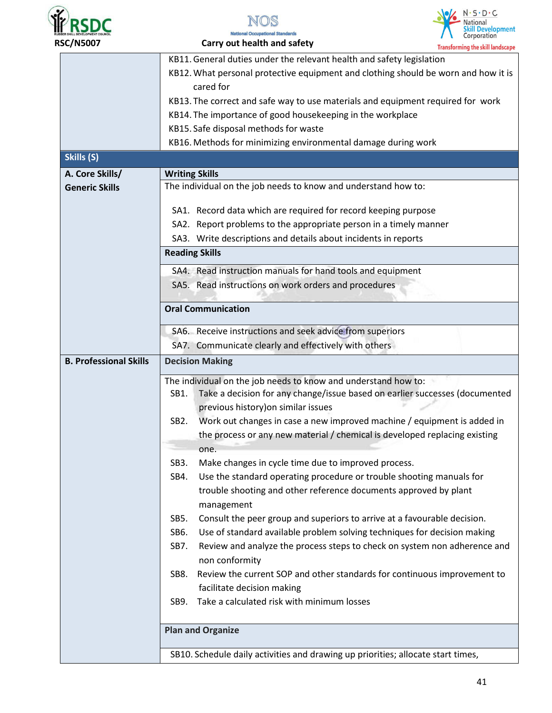





|                               | fransforming the skill landscape                                                             |  |  |  |
|-------------------------------|----------------------------------------------------------------------------------------------|--|--|--|
|                               | KB11. General duties under the relevant health and safety legislation                        |  |  |  |
|                               | KB12. What personal protective equipment and clothing should be worn and how it is           |  |  |  |
|                               | cared for                                                                                    |  |  |  |
|                               | KB13. The correct and safe way to use materials and equipment required for work              |  |  |  |
|                               | KB14. The importance of good housekeeping in the workplace                                   |  |  |  |
|                               | KB15. Safe disposal methods for waste                                                        |  |  |  |
|                               | KB16. Methods for minimizing environmental damage during work                                |  |  |  |
| Skills (S)                    |                                                                                              |  |  |  |
| A. Core Skills/               | <b>Writing Skills</b>                                                                        |  |  |  |
| <b>Generic Skills</b>         | The individual on the job needs to know and understand how to:                               |  |  |  |
|                               |                                                                                              |  |  |  |
|                               | SA1. Record data which are required for record keeping purpose                               |  |  |  |
|                               | SA2. Report problems to the appropriate person in a timely manner                            |  |  |  |
|                               | SA3. Write descriptions and details about incidents in reports                               |  |  |  |
| <b>Reading Skills</b>         |                                                                                              |  |  |  |
|                               | SA4. Read instruction manuals for hand tools and equipment                                   |  |  |  |
|                               | SA5. Read instructions on work orders and procedures                                         |  |  |  |
|                               |                                                                                              |  |  |  |
|                               | <b>Oral Communication</b>                                                                    |  |  |  |
|                               | SA6. Receive instructions and seek advice from superiors                                     |  |  |  |
|                               | SA7. Communicate clearly and effectively with others                                         |  |  |  |
| <b>B. Professional Skills</b> | <b>Decision Making</b><br>The individual on the job needs to know and understand how to:     |  |  |  |
|                               |                                                                                              |  |  |  |
|                               | Take a decision for any change/issue based on earlier successes (documented<br>SB1.          |  |  |  |
|                               | previous history) on similar issues                                                          |  |  |  |
|                               | Work out changes in case a new improved machine / equipment is added in<br>SB <sub>2</sub> . |  |  |  |
|                               | the process or any new material / chemical is developed replacing existing                   |  |  |  |
|                               | one.                                                                                         |  |  |  |
|                               | SB3.<br>Make changes in cycle time due to improved process.                                  |  |  |  |
|                               | Use the standard operating procedure or trouble shooting manuals for<br>SB4.                 |  |  |  |
|                               | trouble shooting and other reference documents approved by plant                             |  |  |  |
|                               | management                                                                                   |  |  |  |
|                               | Consult the peer group and superiors to arrive at a favourable decision.<br>SB5.             |  |  |  |
|                               | SB6.<br>Use of standard available problem solving techniques for decision making             |  |  |  |
|                               | Review and analyze the process steps to check on system non adherence and<br>SB7.            |  |  |  |
|                               | non conformity                                                                               |  |  |  |
|                               | Review the current SOP and other standards for continuous improvement to<br>SB8.             |  |  |  |
|                               | facilitate decision making                                                                   |  |  |  |
|                               | Take a calculated risk with minimum losses<br>SB9.                                           |  |  |  |
|                               |                                                                                              |  |  |  |
|                               | <b>Plan and Organize</b>                                                                     |  |  |  |
|                               |                                                                                              |  |  |  |
|                               | SB10. Schedule daily activities and drawing up priorities; allocate start times,             |  |  |  |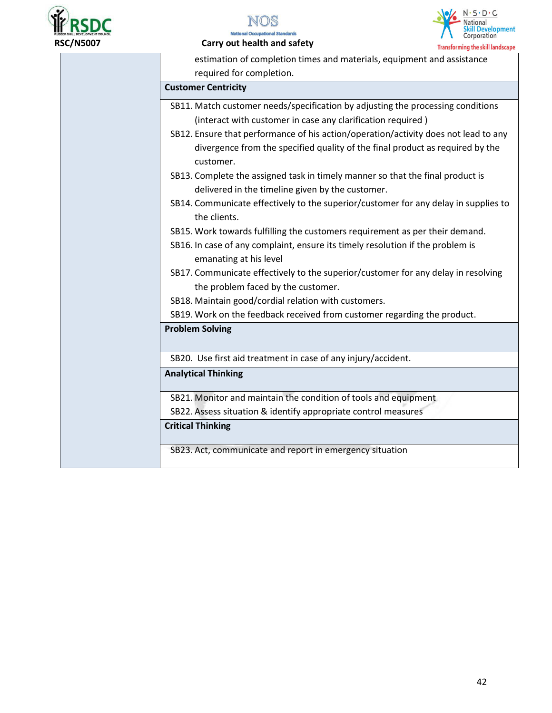



#### **RSC/N5007 Carry out health and safety**



| estimation of completion times and materials, equipment and assistance                              |  |
|-----------------------------------------------------------------------------------------------------|--|
| required for completion.                                                                            |  |
| <b>Customer Centricity</b>                                                                          |  |
| SB11. Match customer needs/specification by adjusting the processing conditions                     |  |
| (interact with customer in case any clarification required)                                         |  |
| SB12. Ensure that performance of his action/operation/activity does not lead to any                 |  |
| divergence from the specified quality of the final product as required by the<br>customer.          |  |
| SB13. Complete the assigned task in timely manner so that the final product is                      |  |
| delivered in the timeline given by the customer.                                                    |  |
| SB14. Communicate effectively to the superior/customer for any delay in supplies to<br>the clients. |  |
| SB15. Work towards fulfilling the customers requirement as per their demand.                        |  |
| SB16. In case of any complaint, ensure its timely resolution if the problem is                      |  |
| emanating at his level                                                                              |  |
| SB17. Communicate effectively to the superior/customer for any delay in resolving                   |  |
| the problem faced by the customer.                                                                  |  |
| SB18. Maintain good/cordial relation with customers.                                                |  |
| SB19. Work on the feedback received from customer regarding the product.                            |  |
| <b>Problem Solving</b>                                                                              |  |
| SB20. Use first aid treatment in case of any injury/accident.                                       |  |
| <b>Analytical Thinking</b>                                                                          |  |
| SB21. Monitor and maintain the condition of tools and equipment                                     |  |
| SB22. Assess situation & identify appropriate control measures                                      |  |
| <b>Critical Thinking</b>                                                                            |  |
| SB23. Act, communicate and report in emergency situation                                            |  |
|                                                                                                     |  |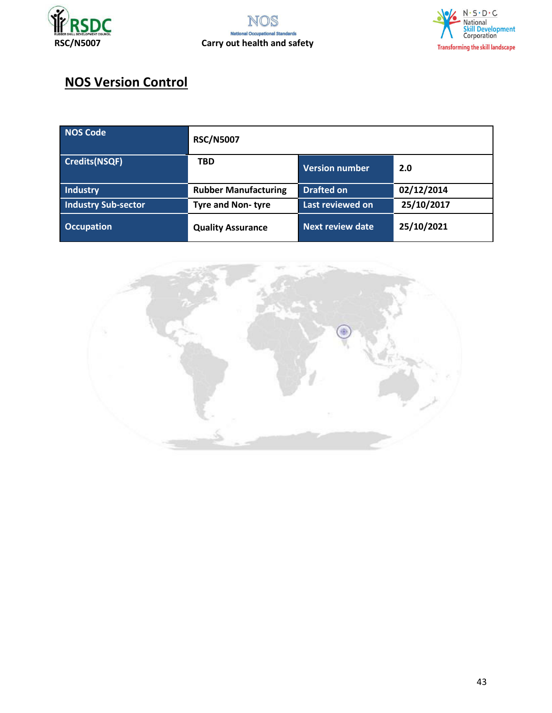



# **NOS Version Control**

| NOS Code                   | <b>RSC/N5007</b>            |                         |            |
|----------------------------|-----------------------------|-------------------------|------------|
| <b>Credits(NSQF)</b>       | <b>TBD</b>                  | <b>Version number</b>   | 2.0        |
| <b>Industry</b>            | <b>Rubber Manufacturing</b> | <b>Drafted on</b>       | 02/12/2014 |
| <b>Industry Sub-sector</b> | <b>Tyre and Non-tyre</b>    | Last reviewed on        | 25/10/2017 |
| <b>Occupation</b>          | <b>Quality Assurance</b>    | <b>Next review date</b> | 25/10/2021 |

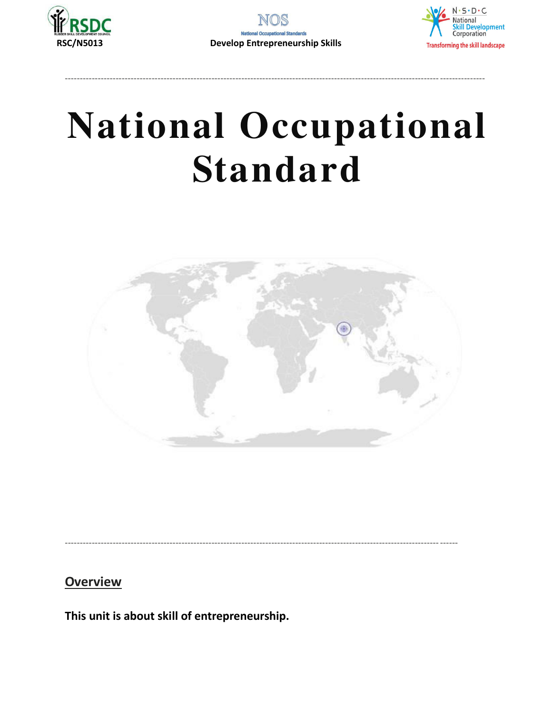





<span id="page-43-0"></span>

**Overview** 

This unit is about skill of entrepreneurship.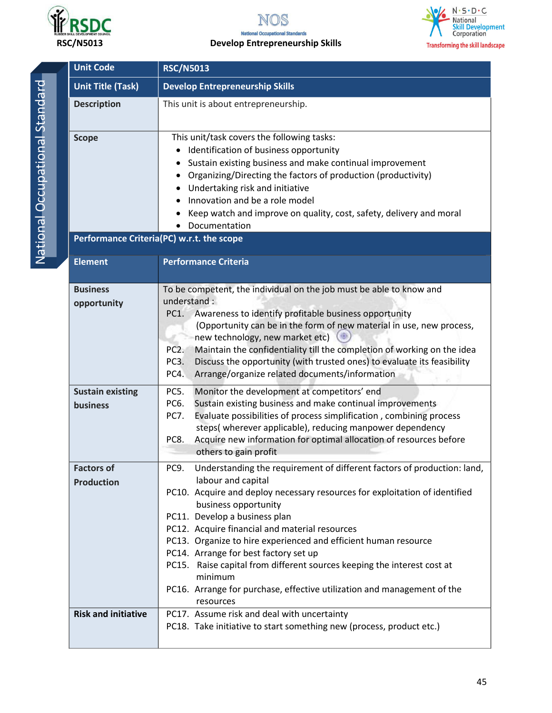

NOS

# **Rubbers SKL DEVELOPMENT COUNCIL**<br>RSC/N5013 **Develop Entrepreneurship Skills**



**Unit Code RSC/N5013** National Occupational Standard National Occupational Standard

| <b>Unit Title (Task)</b>                                  | <b>Develop Entrepreneurship Skills</b>                                                                                                                                                                                                                                                                                                                                                                                                                                                                                                                                                    |  |  |
|-----------------------------------------------------------|-------------------------------------------------------------------------------------------------------------------------------------------------------------------------------------------------------------------------------------------------------------------------------------------------------------------------------------------------------------------------------------------------------------------------------------------------------------------------------------------------------------------------------------------------------------------------------------------|--|--|
| <b>Description</b>                                        | This unit is about entrepreneurship.                                                                                                                                                                                                                                                                                                                                                                                                                                                                                                                                                      |  |  |
| <b>Scope</b><br>Performance Criteria(PC) w.r.t. the scope | This unit/task covers the following tasks:<br>Identification of business opportunity<br>Sustain existing business and make continual improvement<br>Organizing/Directing the factors of production (productivity)<br>٠<br>Undertaking risk and initiative<br>Innovation and be a role model<br>Keep watch and improve on quality, cost, safety, delivery and moral<br>Documentation                                                                                                                                                                                                       |  |  |
| <b>Element</b>                                            | <b>Performance Criteria</b>                                                                                                                                                                                                                                                                                                                                                                                                                                                                                                                                                               |  |  |
| <b>Business</b><br>opportunity                            | To be competent, the individual on the job must be able to know and<br>understand:<br>Awareness to identify profitable business opportunity<br>PC1.<br>(Opportunity can be in the form of new material in use, new process,<br>new technology, new market etc)<br>Maintain the confidentiality till the completion of working on the idea<br>PC <sub>2</sub> .<br>Discuss the opportunity (with trusted ones) to evaluate its feasibility<br>PC3.<br>PC4.<br>Arrange/organize related documents/information                                                                               |  |  |
| <b>Sustain existing</b><br>business                       | Monitor the development at competitors' end<br>PC5.<br>Sustain existing business and make continual improvements<br>PC6.<br>Evaluate possibilities of process simplification, combining process<br>PC7.<br>steps(wherever applicable), reducing manpower dependency<br>Acquire new information for optimal allocation of resources before<br>PC8.<br>others to gain profit                                                                                                                                                                                                                |  |  |
| <b>Factors of</b><br><b>Production</b>                    | Understanding the requirement of different factors of production: land,<br>PC9.<br>labour and capital<br>PC10. Acquire and deploy necessary resources for exploitation of identified<br>business opportunity<br>PC11. Develop a business plan<br>PC12. Acquire financial and material resources<br>PC13. Organize to hire experienced and efficient human resource<br>PC14. Arrange for best factory set up<br>PC15. Raise capital from different sources keeping the interest cost at<br>minimum<br>PC16. Arrange for purchase, effective utilization and management of the<br>resources |  |  |
| <b>Risk and initiative</b>                                | PC17. Assume risk and deal with uncertainty<br>PC18. Take initiative to start something new (process, product etc.)                                                                                                                                                                                                                                                                                                                                                                                                                                                                       |  |  |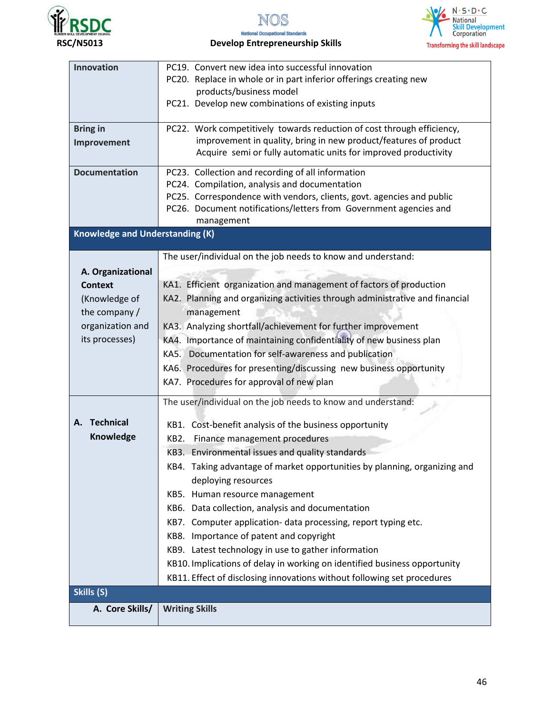







# **Rubers skl. Develop Entrepreneurship Skills**<br>RSC/N5013 **Develop Entrepreneurship Skills**

| Innovation                             | PC19. Convert new idea into successful innovation                            |  |  |  |
|----------------------------------------|------------------------------------------------------------------------------|--|--|--|
|                                        | PC20. Replace in whole or in part inferior offerings creating new            |  |  |  |
|                                        | products/business model                                                      |  |  |  |
|                                        | PC21. Develop new combinations of existing inputs                            |  |  |  |
|                                        |                                                                              |  |  |  |
| <b>Bring in</b>                        | PC22. Work competitively towards reduction of cost through efficiency,       |  |  |  |
| Improvement                            | improvement in quality, bring in new product/features of product             |  |  |  |
|                                        | Acquire semi or fully automatic units for improved productivity              |  |  |  |
| <b>Documentation</b>                   | PC23. Collection and recording of all information                            |  |  |  |
|                                        | PC24. Compilation, analysis and documentation                                |  |  |  |
|                                        | PC25. Correspondence with vendors, clients, govt. agencies and public        |  |  |  |
|                                        | PC26. Document notifications/letters from Government agencies and            |  |  |  |
|                                        | management                                                                   |  |  |  |
| <b>Knowledge and Understanding (K)</b> |                                                                              |  |  |  |
|                                        | The user/individual on the job needs to know and understand:                 |  |  |  |
|                                        |                                                                              |  |  |  |
| A. Organizational                      |                                                                              |  |  |  |
| <b>Context</b>                         | KA1. Efficient organization and management of factors of production          |  |  |  |
| (Knowledge of                          | KA2. Planning and organizing activities through administrative and financial |  |  |  |
| the company /                          | management                                                                   |  |  |  |
| organization and                       | KA3. Analyzing shortfall/achievement for further improvement                 |  |  |  |
| its processes)                         | KA4. Importance of maintaining confidentiality of new business plan          |  |  |  |
|                                        | KA5. Documentation for self-awareness and publication                        |  |  |  |
|                                        | KA6. Procedures for presenting/discussing new business opportunity           |  |  |  |
|                                        | KA7. Procedures for approval of new plan                                     |  |  |  |
|                                        |                                                                              |  |  |  |
|                                        | The user/individual on the job needs to know and understand:                 |  |  |  |
| <b>Technical</b><br>А.                 | KB1. Cost-benefit analysis of the business opportunity                       |  |  |  |
| Knowledge                              | KB2. Finance management procedures                                           |  |  |  |
|                                        | KB3. Environmental issues and quality standards                              |  |  |  |
|                                        | KB4. Taking advantage of market opportunities by planning, organizing and    |  |  |  |
|                                        | deploying resources                                                          |  |  |  |
|                                        | KB5. Human resource management                                               |  |  |  |
|                                        |                                                                              |  |  |  |
|                                        | KB6. Data collection, analysis and documentation                             |  |  |  |
|                                        | KB7. Computer application- data processing, report typing etc.               |  |  |  |
|                                        | KB8. Importance of patent and copyright                                      |  |  |  |
|                                        | KB9. Latest technology in use to gather information                          |  |  |  |
|                                        | KB10. Implications of delay in working on identified business opportunity    |  |  |  |
|                                        | KB11. Effect of disclosing innovations without following set procedures      |  |  |  |
| Skills (S)                             |                                                                              |  |  |  |
| A. Core Skills/                        | <b>Writing Skills</b>                                                        |  |  |  |
|                                        |                                                                              |  |  |  |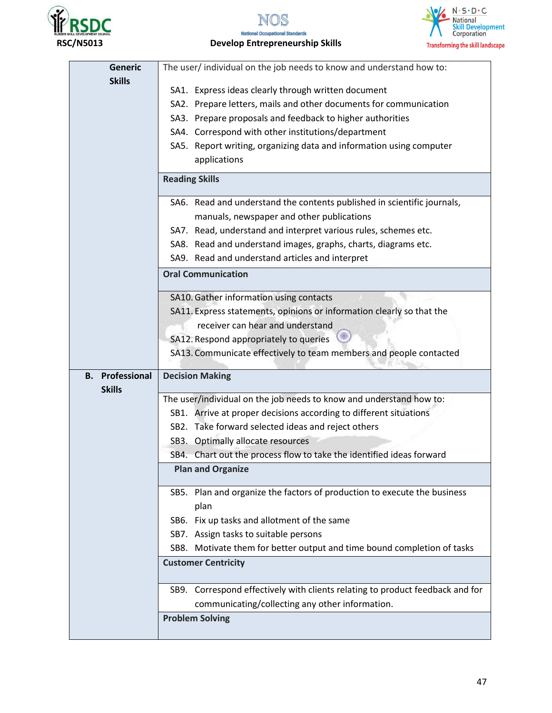

NOS





| <b>Generic</b>                          | The user/ individual on the job needs to know and understand how to:          |  |  |
|-----------------------------------------|-------------------------------------------------------------------------------|--|--|
| <b>Skills</b>                           | SA1. Express ideas clearly through written document                           |  |  |
|                                         | SA2. Prepare letters, mails and other documents for communication             |  |  |
|                                         | SA3. Prepare proposals and feedback to higher authorities                     |  |  |
|                                         | SA4. Correspond with other institutions/department                            |  |  |
|                                         | SA5. Report writing, organizing data and information using computer           |  |  |
|                                         | applications                                                                  |  |  |
|                                         | <b>Reading Skills</b>                                                         |  |  |
|                                         | SA6. Read and understand the contents published in scientific journals,       |  |  |
|                                         | manuals, newspaper and other publications                                     |  |  |
|                                         | SA7. Read, understand and interpret various rules, schemes etc.               |  |  |
|                                         | SA8. Read and understand images, graphs, charts, diagrams etc.                |  |  |
|                                         | SA9. Read and understand articles and interpret                               |  |  |
|                                         | <b>Oral Communication</b>                                                     |  |  |
|                                         | SA10. Gather information using contacts                                       |  |  |
|                                         | SA11. Express statements, opinions or information clearly so that the         |  |  |
|                                         | receiver can hear and understand                                              |  |  |
|                                         | SA12. Respond appropriately to queries                                        |  |  |
|                                         | SA13. Communicate effectively to team members and people contacted            |  |  |
| <b>B.</b> Professional<br><b>Skills</b> | <b>Decision Making</b>                                                        |  |  |
|                                         | The user/individual on the job needs to know and understand how to:           |  |  |
|                                         | SB1. Arrive at proper decisions according to different situations             |  |  |
|                                         | SB2. Take forward selected ideas and reject others                            |  |  |
|                                         | SB3. Optimally allocate resources                                             |  |  |
|                                         | SB4. Chart out the process flow to take the identified ideas forward          |  |  |
|                                         | <b>Plan and Organize</b>                                                      |  |  |
|                                         | SB5. Plan and organize the factors of production to execute the business      |  |  |
|                                         | plan                                                                          |  |  |
|                                         | SB6. Fix up tasks and allotment of the same                                   |  |  |
| SB7. Assign tasks to suitable persons   |                                                                               |  |  |
|                                         | SB8. Motivate them for better output and time bound completion of tasks       |  |  |
|                                         | <b>Customer Centricity</b>                                                    |  |  |
|                                         | SB9. Correspond effectively with clients relating to product feedback and for |  |  |
|                                         | communicating/collecting any other information.                               |  |  |
|                                         | <b>Problem Solving</b>                                                        |  |  |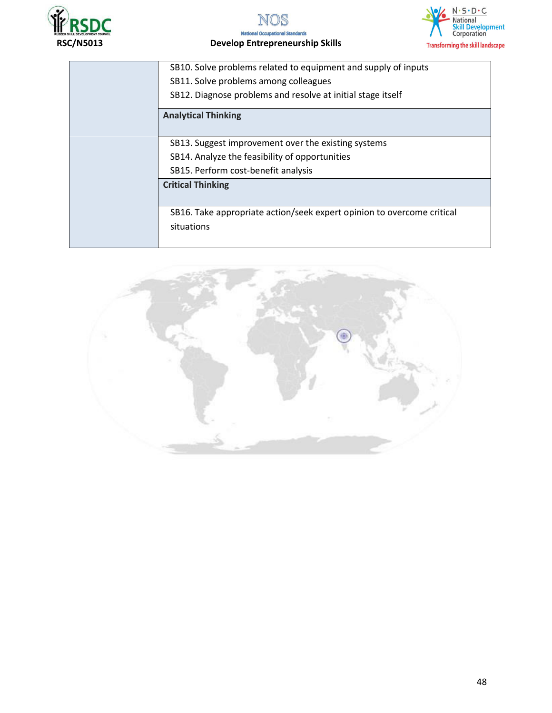





# **RECONSTRAL OCCUPATION CONCRETE SEXUL OF THE PRESSURIT DEVELOP ENTREPRENEURSHIP SKILLS**<br>RSC/N5013 Develop Entrepreneurship Skills

| SB10. Solve problems related to equipment and supply of inputs         |  |  |  |  |
|------------------------------------------------------------------------|--|--|--|--|
| SB11. Solve problems among colleagues                                  |  |  |  |  |
| SB12. Diagnose problems and resolve at initial stage itself            |  |  |  |  |
| <b>Analytical Thinking</b>                                             |  |  |  |  |
|                                                                        |  |  |  |  |
| SB13. Suggest improvement over the existing systems                    |  |  |  |  |
| SB14. Analyze the feasibility of opportunities                         |  |  |  |  |
| SB15. Perform cost-benefit analysis                                    |  |  |  |  |
| <b>Critical Thinking</b>                                               |  |  |  |  |
|                                                                        |  |  |  |  |
| SB16. Take appropriate action/seek expert opinion to overcome critical |  |  |  |  |
| situations                                                             |  |  |  |  |
|                                                                        |  |  |  |  |

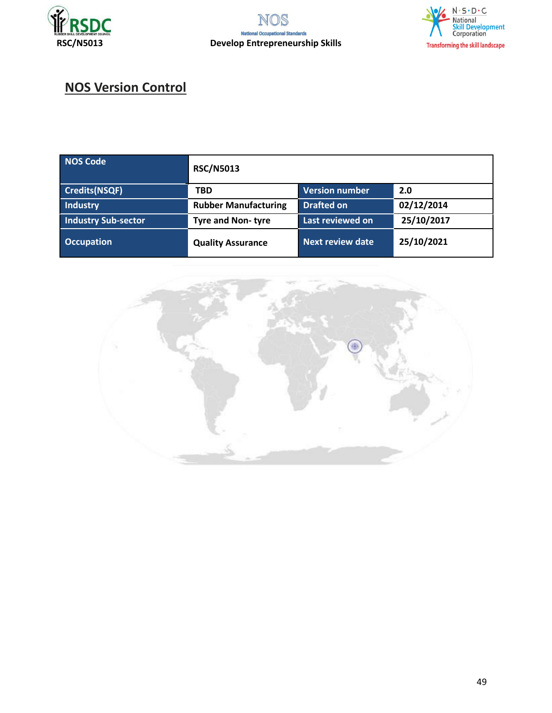



# **NOS Version Control**

| NOS Code                   | <b>RSC/N5013</b>            |                         |            |
|----------------------------|-----------------------------|-------------------------|------------|
| Credits(NSQF)              | <b>TBD</b>                  | Version number          | 2.0        |
| Industry                   | <b>Rubber Manufacturing</b> | <b>Drafted on</b>       | 02/12/2014 |
| <b>Industry Sub-sector</b> | <b>Tyre and Non-tyre</b>    | Last reviewed on        | 25/10/2017 |
| <b>Occupation</b>          | <b>Quality Assurance</b>    | <b>Next review date</b> | 25/10/2021 |

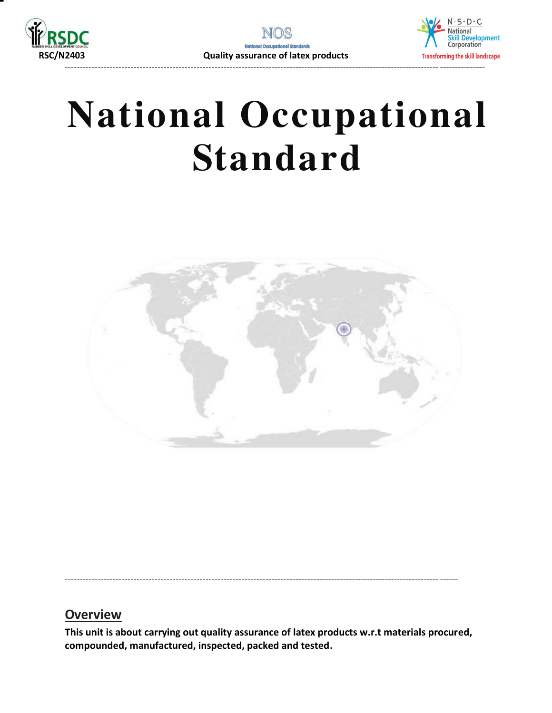





<span id="page-49-0"></span>----------------------------------------------------------------------------------------------------------------------------- ------

#### **Overview**

**This unit is about carrying out quality assurance of latex products w.r.t materials procured, compounded, manufactured, inspected, packed and tested.**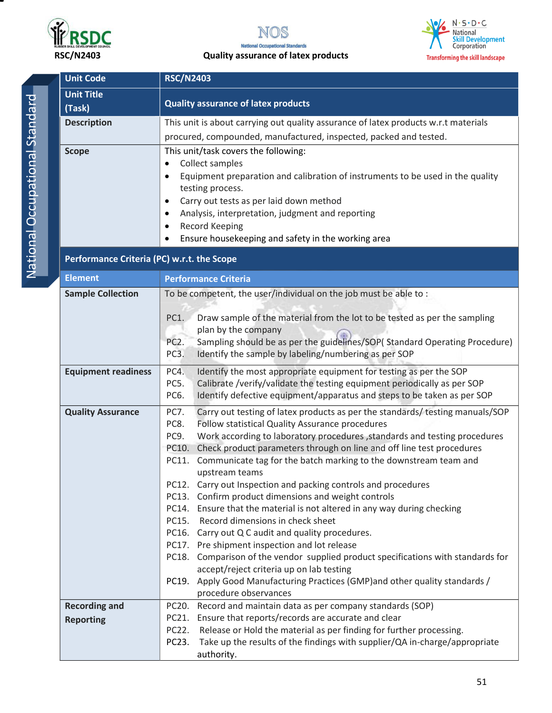

#### **National Occupational Standards RSC/N2403 Quality assurance of latex products**



| <b>Unit Code</b><br><b>RSC/N2403</b>       |                                                                                                                                                                                                                                                                                                                                                                                                                                                                                                                                                                                                                                                                                                                                                                                                                                                                                                                                                                                                                                   |  |
|--------------------------------------------|-----------------------------------------------------------------------------------------------------------------------------------------------------------------------------------------------------------------------------------------------------------------------------------------------------------------------------------------------------------------------------------------------------------------------------------------------------------------------------------------------------------------------------------------------------------------------------------------------------------------------------------------------------------------------------------------------------------------------------------------------------------------------------------------------------------------------------------------------------------------------------------------------------------------------------------------------------------------------------------------------------------------------------------|--|
| <b>Unit Title</b><br>(Task)                | <b>Quality assurance of latex products</b>                                                                                                                                                                                                                                                                                                                                                                                                                                                                                                                                                                                                                                                                                                                                                                                                                                                                                                                                                                                        |  |
| <b>Description</b>                         | This unit is about carrying out quality assurance of latex products w.r.t materials<br>procured, compounded, manufactured, inspected, packed and tested.                                                                                                                                                                                                                                                                                                                                                                                                                                                                                                                                                                                                                                                                                                                                                                                                                                                                          |  |
| <b>Scope</b>                               | This unit/task covers the following:<br>Collect samples<br>$\bullet$<br>Equipment preparation and calibration of instruments to be used in the quality<br>$\bullet$<br>testing process.<br>Carry out tests as per laid down method<br>$\bullet$<br>Analysis, interpretation, judgment and reporting<br>$\bullet$<br><b>Record Keeping</b><br>$\bullet$<br>Ensure housekeeping and safety in the working area                                                                                                                                                                                                                                                                                                                                                                                                                                                                                                                                                                                                                      |  |
| Performance Criteria (PC) w.r.t. the Scope |                                                                                                                                                                                                                                                                                                                                                                                                                                                                                                                                                                                                                                                                                                                                                                                                                                                                                                                                                                                                                                   |  |
| <b>Element</b>                             | <b>Performance Criteria</b>                                                                                                                                                                                                                                                                                                                                                                                                                                                                                                                                                                                                                                                                                                                                                                                                                                                                                                                                                                                                       |  |
| <b>Sample Collection</b>                   | To be competent, the user/individual on the job must be able to :<br>PC1.<br>Draw sample of the material from the lot to be tested as per the sampling<br>plan by the company<br>Sampling should be as per the guidelines/SOP(Standard Operating Procedure)<br>PC <sub>2</sub> .<br>PC3.<br>Identify the sample by labeling/numbering as per SOP                                                                                                                                                                                                                                                                                                                                                                                                                                                                                                                                                                                                                                                                                  |  |
| <b>Equipment readiness</b>                 | PC4.<br>Identify the most appropriate equipment for testing as per the SOP<br>PC5.<br>Calibrate /verify/validate the testing equipment periodically as per SOP<br>Identify defective equipment/apparatus and steps to be taken as per SOP<br>PC6.                                                                                                                                                                                                                                                                                                                                                                                                                                                                                                                                                                                                                                                                                                                                                                                 |  |
| <b>Quality Assurance</b>                   | <b>PC7.</b><br>Carry out testing of latex products as per the standards/ testing manuals/SOP<br>Follow statistical Quality Assurance procedures<br>PC8.<br>Work according to laboratory procedures , standards and testing procedures<br>PC9.<br>Check product parameters through on line and off line test procedures<br>PC10.<br>Communicate tag for the batch marking to the downstream team and<br>PC11.<br>upstream teams<br>PC12. Carry out Inspection and packing controls and procedures<br>PC13. Confirm product dimensions and weight controls<br>PC14. Ensure that the material is not altered in any way during checking<br>Record dimensions in check sheet<br>PC15.<br>PC16. Carry out Q C audit and quality procedures.<br>PC17. Pre shipment inspection and lot release<br>PC18. Comparison of the vendor supplied product specifications with standards for<br>accept/reject criteria up on lab testing<br>PC19. Apply Good Manufacturing Practices (GMP) and other quality standards /<br>procedure observances |  |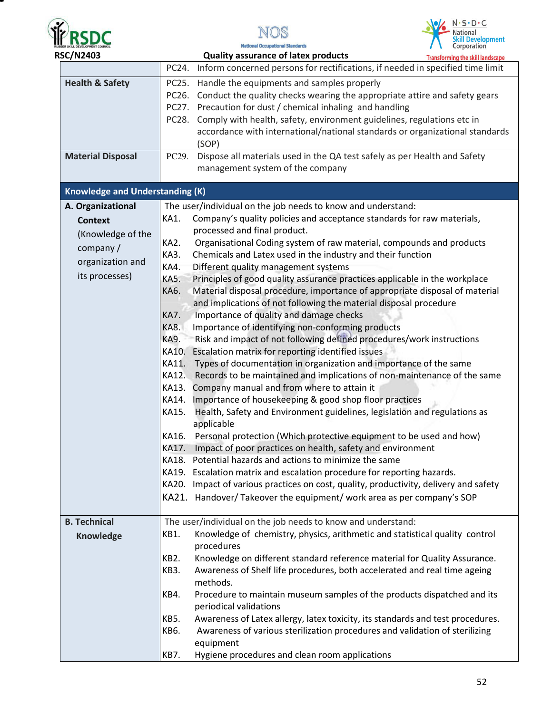

▀





| <b>RSC/N2403</b>                       |                                                                                                                     | <b>Quality assurance of latex products</b>                                                                                                                                                                                                                                                                                                                                                                                                                                                                                                                                                                                                                                                                                                                                                                                                                                                                                                                                                                                                                                                                                                                                            | <b>Transforming the skill landscape</b> |
|----------------------------------------|---------------------------------------------------------------------------------------------------------------------|---------------------------------------------------------------------------------------------------------------------------------------------------------------------------------------------------------------------------------------------------------------------------------------------------------------------------------------------------------------------------------------------------------------------------------------------------------------------------------------------------------------------------------------------------------------------------------------------------------------------------------------------------------------------------------------------------------------------------------------------------------------------------------------------------------------------------------------------------------------------------------------------------------------------------------------------------------------------------------------------------------------------------------------------------------------------------------------------------------------------------------------------------------------------------------------|-----------------------------------------|
|                                        |                                                                                                                     | PC24. Inform concerned persons for rectifications, if needed in specified time limit                                                                                                                                                                                                                                                                                                                                                                                                                                                                                                                                                                                                                                                                                                                                                                                                                                                                                                                                                                                                                                                                                                  |                                         |
| <b>Health &amp; Safety</b>             |                                                                                                                     | PC25. Handle the equipments and samples properly<br>PC26. Conduct the quality checks wearing the appropriate attire and safety gears<br>PC27. Precaution for dust / chemical inhaling and handling<br>PC28. Comply with health, safety, environment guidelines, regulations etc in<br>accordance with international/national standards or organizational standards<br>(SOP)                                                                                                                                                                                                                                                                                                                                                                                                                                                                                                                                                                                                                                                                                                                                                                                                           |                                         |
| <b>Material Disposal</b>               | PC29.                                                                                                               | Dispose all materials used in the QA test safely as per Health and Safety<br>management system of the company                                                                                                                                                                                                                                                                                                                                                                                                                                                                                                                                                                                                                                                                                                                                                                                                                                                                                                                                                                                                                                                                         |                                         |
| <b>Knowledge and Understanding (K)</b> |                                                                                                                     |                                                                                                                                                                                                                                                                                                                                                                                                                                                                                                                                                                                                                                                                                                                                                                                                                                                                                                                                                                                                                                                                                                                                                                                       |                                         |
| A. Organizational                      |                                                                                                                     | The user/individual on the job needs to know and understand:                                                                                                                                                                                                                                                                                                                                                                                                                                                                                                                                                                                                                                                                                                                                                                                                                                                                                                                                                                                                                                                                                                                          |                                         |
| <b>Context</b>                         | KA1.                                                                                                                | Company's quality policies and acceptance standards for raw materials,                                                                                                                                                                                                                                                                                                                                                                                                                                                                                                                                                                                                                                                                                                                                                                                                                                                                                                                                                                                                                                                                                                                |                                         |
| (Knowledge of the                      |                                                                                                                     | processed and final product.                                                                                                                                                                                                                                                                                                                                                                                                                                                                                                                                                                                                                                                                                                                                                                                                                                                                                                                                                                                                                                                                                                                                                          |                                         |
| company /                              | KA2.                                                                                                                | Organisational Coding system of raw material, compounds and products                                                                                                                                                                                                                                                                                                                                                                                                                                                                                                                                                                                                                                                                                                                                                                                                                                                                                                                                                                                                                                                                                                                  |                                         |
| organization and                       | KA3.                                                                                                                | Chemicals and Latex used in the industry and their function                                                                                                                                                                                                                                                                                                                                                                                                                                                                                                                                                                                                                                                                                                                                                                                                                                                                                                                                                                                                                                                                                                                           |                                         |
|                                        | KA4.                                                                                                                | Different quality management systems                                                                                                                                                                                                                                                                                                                                                                                                                                                                                                                                                                                                                                                                                                                                                                                                                                                                                                                                                                                                                                                                                                                                                  |                                         |
| its processes)                         | KA5.<br>KA6.<br>KA7.<br>KA8.<br><b>KA9.</b><br>KA10.<br>KA11.<br>KA12.<br>KA13.<br>KA14.<br>KA15.<br>KA16.<br>KA17. | Principles of good quality assurance practices applicable in the workplace<br>Material disposal procedure, importance of appropriate disposal of material<br>and implications of not following the material disposal procedure<br>Importance of quality and damage checks<br>Importance of identifying non-conforming products<br>Risk and impact of not following defined procedures/work instructions<br>Escalation matrix for reporting identified issues<br>Types of documentation in organization and importance of the same<br>Records to be maintained and implications of non-maintenance of the same<br>Company manual and from where to attain it<br>Importance of housekeeping & good shop floor practices<br>Health, Safety and Environment guidelines, legislation and regulations as<br>applicable<br>Personal protection (Which protective equipment to be used and how)<br>Impact of poor practices on health, safety and environment<br>KA18. Potential hazards and actions to minimize the same<br>KA19. Escalation matrix and escalation procedure for reporting hazards.<br>KA20. Impact of various practices on cost, quality, productivity, delivery and safety |                                         |
|                                        |                                                                                                                     | KA21. Handover/Takeover the equipment/ work area as per company's SOP                                                                                                                                                                                                                                                                                                                                                                                                                                                                                                                                                                                                                                                                                                                                                                                                                                                                                                                                                                                                                                                                                                                 |                                         |
| <b>B. Technical</b>                    |                                                                                                                     | The user/individual on the job needs to know and understand:                                                                                                                                                                                                                                                                                                                                                                                                                                                                                                                                                                                                                                                                                                                                                                                                                                                                                                                                                                                                                                                                                                                          |                                         |
| Knowledge                              | KB1.                                                                                                                | Knowledge of chemistry, physics, arithmetic and statistical quality control                                                                                                                                                                                                                                                                                                                                                                                                                                                                                                                                                                                                                                                                                                                                                                                                                                                                                                                                                                                                                                                                                                           |                                         |
|                                        |                                                                                                                     | procedures                                                                                                                                                                                                                                                                                                                                                                                                                                                                                                                                                                                                                                                                                                                                                                                                                                                                                                                                                                                                                                                                                                                                                                            |                                         |
|                                        | KB <sub>2</sub> .                                                                                                   | Knowledge on different standard reference material for Quality Assurance.                                                                                                                                                                                                                                                                                                                                                                                                                                                                                                                                                                                                                                                                                                                                                                                                                                                                                                                                                                                                                                                                                                             |                                         |
|                                        | KB3.                                                                                                                | Awareness of Shelf life procedures, both accelerated and real time ageing<br>methods.                                                                                                                                                                                                                                                                                                                                                                                                                                                                                                                                                                                                                                                                                                                                                                                                                                                                                                                                                                                                                                                                                                 |                                         |
|                                        | KB4.                                                                                                                | Procedure to maintain museum samples of the products dispatched and its<br>periodical validations                                                                                                                                                                                                                                                                                                                                                                                                                                                                                                                                                                                                                                                                                                                                                                                                                                                                                                                                                                                                                                                                                     |                                         |
|                                        | KB5.                                                                                                                | Awareness of Latex allergy, latex toxicity, its standards and test procedures.                                                                                                                                                                                                                                                                                                                                                                                                                                                                                                                                                                                                                                                                                                                                                                                                                                                                                                                                                                                                                                                                                                        |                                         |
|                                        | KB6.                                                                                                                | Awareness of various sterilization procedures and validation of sterilizing<br>equipment                                                                                                                                                                                                                                                                                                                                                                                                                                                                                                                                                                                                                                                                                                                                                                                                                                                                                                                                                                                                                                                                                              |                                         |
|                                        | KB7.                                                                                                                | Hygiene procedures and clean room applications                                                                                                                                                                                                                                                                                                                                                                                                                                                                                                                                                                                                                                                                                                                                                                                                                                                                                                                                                                                                                                                                                                                                        |                                         |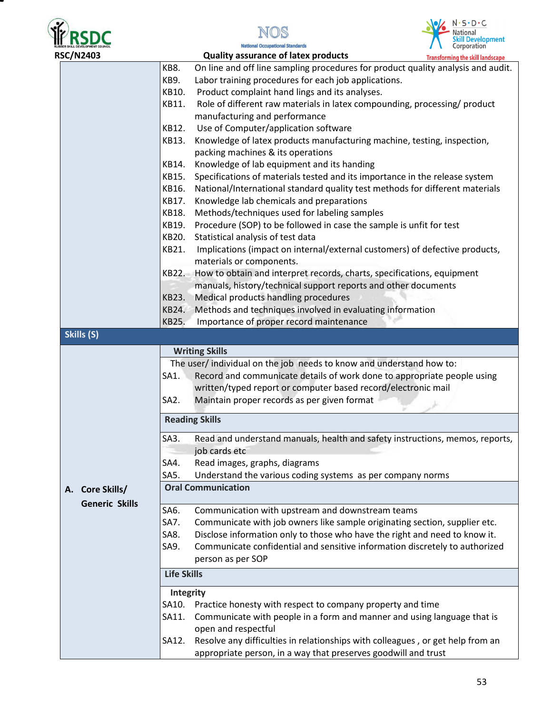





| On line and off line sampling procedures for product quality analysis and audit.<br>Role of different raw materials in latex compounding, processing/ product<br>Knowledge of latex products manufacturing machine, testing, inspection,<br>Specifications of materials tested and its importance in the release system<br>National/International standard quality test methods for different materials<br>Implications (impact on internal/external customers) of defective products, |
|----------------------------------------------------------------------------------------------------------------------------------------------------------------------------------------------------------------------------------------------------------------------------------------------------------------------------------------------------------------------------------------------------------------------------------------------------------------------------------------|
|                                                                                                                                                                                                                                                                                                                                                                                                                                                                                        |
|                                                                                                                                                                                                                                                                                                                                                                                                                                                                                        |
|                                                                                                                                                                                                                                                                                                                                                                                                                                                                                        |
|                                                                                                                                                                                                                                                                                                                                                                                                                                                                                        |
|                                                                                                                                                                                                                                                                                                                                                                                                                                                                                        |
|                                                                                                                                                                                                                                                                                                                                                                                                                                                                                        |
|                                                                                                                                                                                                                                                                                                                                                                                                                                                                                        |
|                                                                                                                                                                                                                                                                                                                                                                                                                                                                                        |
|                                                                                                                                                                                                                                                                                                                                                                                                                                                                                        |
|                                                                                                                                                                                                                                                                                                                                                                                                                                                                                        |
|                                                                                                                                                                                                                                                                                                                                                                                                                                                                                        |
|                                                                                                                                                                                                                                                                                                                                                                                                                                                                                        |
|                                                                                                                                                                                                                                                                                                                                                                                                                                                                                        |
|                                                                                                                                                                                                                                                                                                                                                                                                                                                                                        |
|                                                                                                                                                                                                                                                                                                                                                                                                                                                                                        |
|                                                                                                                                                                                                                                                                                                                                                                                                                                                                                        |
|                                                                                                                                                                                                                                                                                                                                                                                                                                                                                        |
|                                                                                                                                                                                                                                                                                                                                                                                                                                                                                        |
|                                                                                                                                                                                                                                                                                                                                                                                                                                                                                        |
|                                                                                                                                                                                                                                                                                                                                                                                                                                                                                        |
|                                                                                                                                                                                                                                                                                                                                                                                                                                                                                        |
|                                                                                                                                                                                                                                                                                                                                                                                                                                                                                        |
|                                                                                                                                                                                                                                                                                                                                                                                                                                                                                        |
|                                                                                                                                                                                                                                                                                                                                                                                                                                                                                        |
|                                                                                                                                                                                                                                                                                                                                                                                                                                                                                        |
| Record and communicate details of work done to appropriate people using                                                                                                                                                                                                                                                                                                                                                                                                                |
|                                                                                                                                                                                                                                                                                                                                                                                                                                                                                        |
|                                                                                                                                                                                                                                                                                                                                                                                                                                                                                        |
|                                                                                                                                                                                                                                                                                                                                                                                                                                                                                        |
| Read and understand manuals, health and safety instructions, memos, reports,                                                                                                                                                                                                                                                                                                                                                                                                           |
|                                                                                                                                                                                                                                                                                                                                                                                                                                                                                        |
|                                                                                                                                                                                                                                                                                                                                                                                                                                                                                        |
|                                                                                                                                                                                                                                                                                                                                                                                                                                                                                        |
|                                                                                                                                                                                                                                                                                                                                                                                                                                                                                        |
|                                                                                                                                                                                                                                                                                                                                                                                                                                                                                        |
|                                                                                                                                                                                                                                                                                                                                                                                                                                                                                        |
| Communicate with job owners like sample originating section, supplier etc.                                                                                                                                                                                                                                                                                                                                                                                                             |
| Disclose information only to those who have the right and need to know it.                                                                                                                                                                                                                                                                                                                                                                                                             |
|                                                                                                                                                                                                                                                                                                                                                                                                                                                                                        |
| Communicate confidential and sensitive information discretely to authorized                                                                                                                                                                                                                                                                                                                                                                                                            |
|                                                                                                                                                                                                                                                                                                                                                                                                                                                                                        |
|                                                                                                                                                                                                                                                                                                                                                                                                                                                                                        |
|                                                                                                                                                                                                                                                                                                                                                                                                                                                                                        |
|                                                                                                                                                                                                                                                                                                                                                                                                                                                                                        |
|                                                                                                                                                                                                                                                                                                                                                                                                                                                                                        |
| Communicate with people in a form and manner and using language that is                                                                                                                                                                                                                                                                                                                                                                                                                |
| Resolve any difficulties in relationships with colleagues, or get help from an                                                                                                                                                                                                                                                                                                                                                                                                         |
|                                                                                                                                                                                                                                                                                                                                                                                                                                                                                        |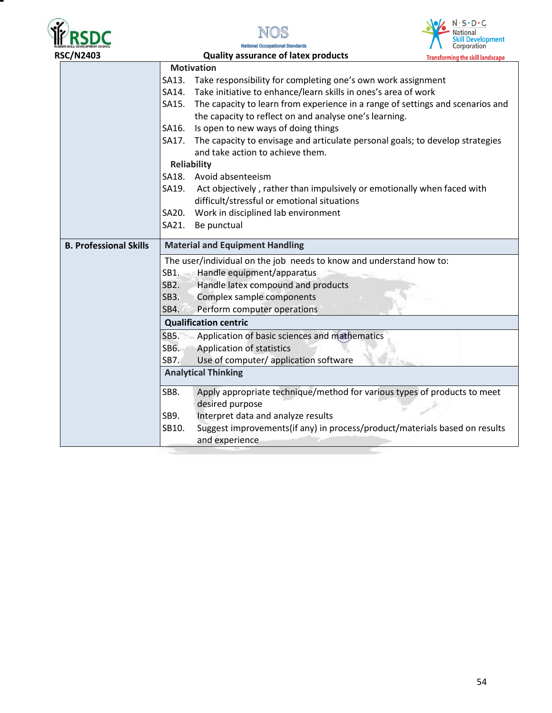

Ξ



| <b>RSC/N2403</b>              | <b>Quality assurance of latex products</b>                                          | <b>Transforming the skill landscape</b>                                        |
|-------------------------------|-------------------------------------------------------------------------------------|--------------------------------------------------------------------------------|
|                               | <b>Motivation</b>                                                                   |                                                                                |
|                               | Take responsibility for completing one's own work assignment<br>SA13.               |                                                                                |
|                               | Take initiative to enhance/learn skills in ones's area of work<br>SA14.             |                                                                                |
|                               | SA15.                                                                               | The capacity to learn from experience in a range of settings and scenarios and |
|                               | the capacity to reflect on and analyse one's learning.                              |                                                                                |
|                               | Is open to new ways of doing things<br>SA16.                                        |                                                                                |
|                               | SA17. The capacity to envisage and articulate personal goals; to develop strategies |                                                                                |
|                               | and take action to achieve them.                                                    |                                                                                |
|                               | <b>Reliability</b>                                                                  |                                                                                |
|                               | SA18. Avoid absenteeism                                                             |                                                                                |
|                               | SA19.<br>Act objectively, rather than impulsively or emotionally when faced with    |                                                                                |
|                               | difficult/stressful or emotional situations                                         |                                                                                |
|                               | Work in disciplined lab environment<br>SA20.                                        |                                                                                |
|                               | SA21.<br>Be punctual                                                                |                                                                                |
| <b>B. Professional Skills</b> | <b>Material and Equipment Handling</b>                                              |                                                                                |
|                               | The user/individual on the job needs to know and understand how to:                 |                                                                                |
|                               | Handle equipment/apparatus<br>SB1.                                                  |                                                                                |
|                               | SB2.<br>Handle latex compound and products                                          |                                                                                |
|                               | Complex sample components<br>SB3.                                                   |                                                                                |
|                               | Perform computer operations<br>SB4.                                                 |                                                                                |
|                               | <b>Qualification centric</b>                                                        |                                                                                |
|                               | <b>SB5.</b><br>Application of basic sciences and mathematics                        |                                                                                |
|                               | SB6.<br>Application of statistics                                                   |                                                                                |
|                               | SB7.<br>Use of computer/ application software                                       |                                                                                |
|                               | <b>Analytical Thinking</b>                                                          |                                                                                |
|                               | SB8.                                                                                | Apply appropriate technique/method for various types of products to meet       |
|                               | desired purpose                                                                     |                                                                                |
|                               | Interpret data and analyze results<br>SB9.                                          |                                                                                |
|                               | SB10.                                                                               | Suggest improvements(if any) in process/product/materials based on results     |
|                               | and experience                                                                      |                                                                                |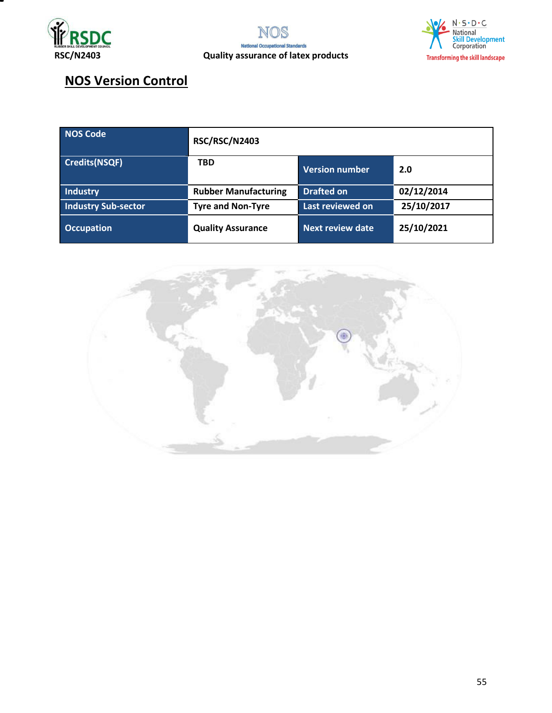



# **NOS Version Control**

| NOS Code                   | <b>RSC/RSC/N2403</b>        |                         |            |
|----------------------------|-----------------------------|-------------------------|------------|
| <b>Credits(NSQF)</b>       | <b>TBD</b>                  | <b>Version number</b>   | 2.0        |
| <b>Industry</b>            | <b>Rubber Manufacturing</b> | <b>Drafted on</b>       | 02/12/2014 |
| <b>Industry Sub-sector</b> | <b>Tyre and Non-Tyre</b>    | Last reviewed on        | 25/10/2017 |
| <b>Occupation</b>          | <b>Quality Assurance</b>    | <b>Next review date</b> | 25/10/2021 |

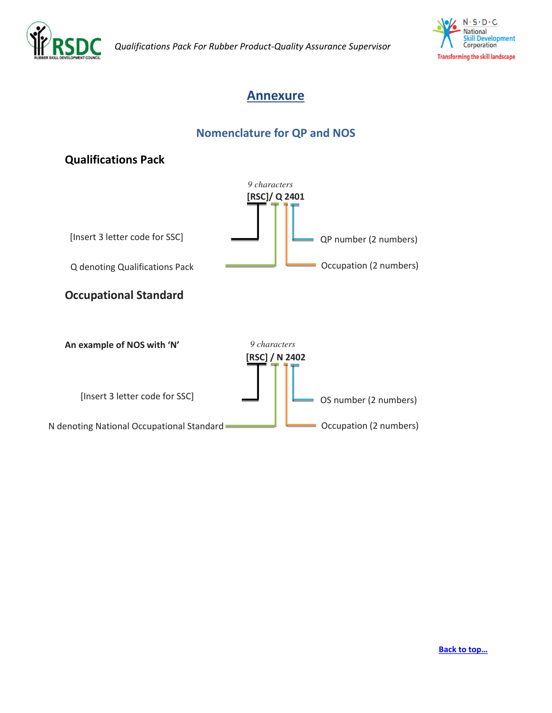



### <span id="page-55-0"></span>**Annexure**

#### **Nomenclature for QP and NOS**

#### **Qualifications Pack**

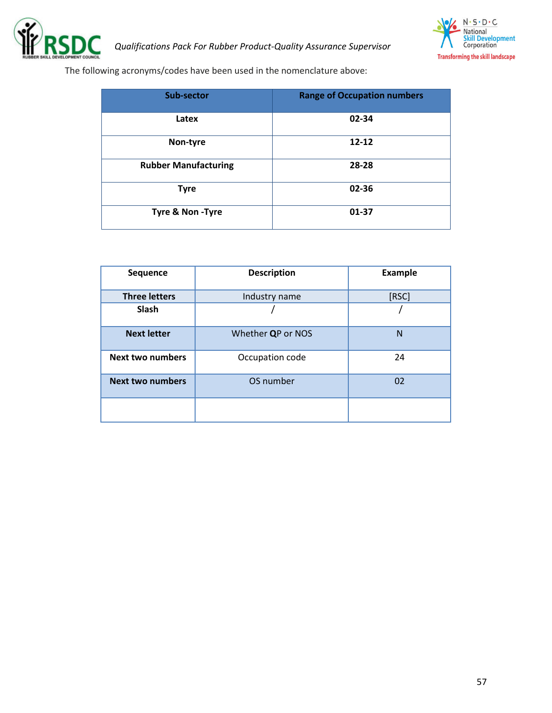



The following acronyms/codes have been used in the nomenclature above:

| <b>Sub-sector</b>           | <b>Range of Occupation numbers</b> |
|-----------------------------|------------------------------------|
| Latex                       | 02-34                              |
| Non-tyre                    | $12 - 12$                          |
| <b>Rubber Manufacturing</b> | 28-28                              |
| <b>Tyre</b>                 | 02-36                              |
| Tyre & Non -Tyre            | 01-37                              |

| <b>Sequence</b>         | <b>Description</b> | <b>Example</b> |
|-------------------------|--------------------|----------------|
| <b>Three letters</b>    | Industry name      | [RSC]          |
| <b>Slash</b>            |                    |                |
| <b>Next letter</b>      | Whether QP or NOS  | $\mathsf{N}$   |
| <b>Next two numbers</b> | Occupation code    | 24             |
| <b>Next two numbers</b> | OS number          | 02             |
|                         |                    |                |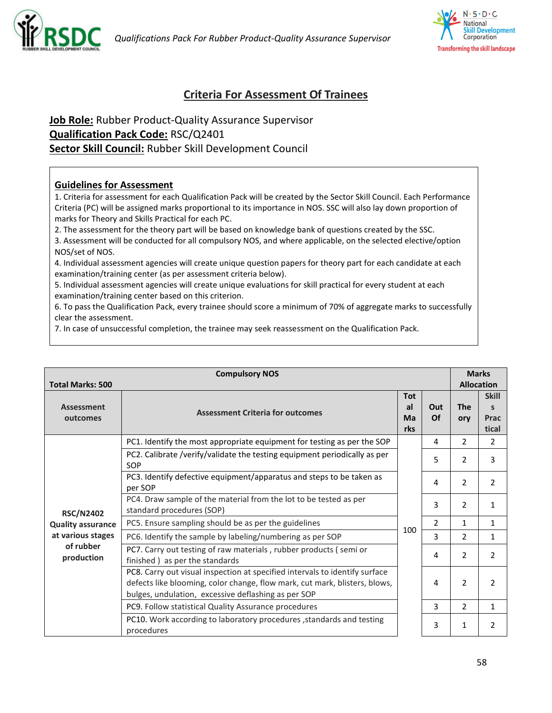



#### <span id="page-57-0"></span>**Criteria For Assessment Of Trainees**

#### **Job Role:** Rubber Product-Quality Assurance Supervisor **Qualification Pack Code:** RSC/Q2401 **Sector Skill Council:** Rubber Skill Development Council

#### **Guidelines for Assessment**

1. Criteria for assessment for each Qualification Pack will be created by the Sector Skill Council. Each Performance Criteria (PC) will be assigned marks proportional to its importance in NOS. SSC will also lay down proportion of marks for Theory and Skills Practical for each PC.

2. The assessment for the theory part will be based on knowledge bank of questions created by the SSC.

3. Assessment will be conducted for all compulsory NOS, and where applicable, on the selected elective/option NOS/set of NOS.

4. Individual assessment agencies will create unique question papers for theory part for each candidate at each examination/training center (as per assessment criteria below).

5. Individual assessment agencies will create unique evaluations for skill practical for every student at each examination/training center based on this criterion.

6. To pass the Qualification Pack, every trainee should score a minimum of 70% of aggregate marks to successfully clear the assessment.

7. In case of unsuccessful completion, the trainee may seek reassessment on the Qualification Pack.

| <b>Compulsory NOS</b>                        |                                                                                                                                                                                                                  |                               | <b>Marks</b>   |                   |                                    |
|----------------------------------------------|------------------------------------------------------------------------------------------------------------------------------------------------------------------------------------------------------------------|-------------------------------|----------------|-------------------|------------------------------------|
| <b>Total Marks: 500</b>                      |                                                                                                                                                                                                                  |                               |                |                   | <b>Allocation</b>                  |
| <b>Assessment</b><br>outcomes                | <b>Assessment Criteria for outcomes</b>                                                                                                                                                                          | <b>Tot</b><br>al<br>Ma<br>rks | Out<br>Of      | <b>The</b><br>ory | <b>Skill</b><br>S<br>Prac<br>tical |
|                                              | PC1. Identify the most appropriate equipment for testing as per the SOP                                                                                                                                          |                               | 4              | $\overline{2}$    | $\overline{2}$                     |
|                                              | PC2. Calibrate /verify/validate the testing equipment periodically as per<br>SOP                                                                                                                                 |                               | 5              | $\mathcal{P}$     | 3                                  |
| <b>RSC/N2402</b>                             | PC3. Identify defective equipment/apparatus and steps to be taken as<br>per SOP                                                                                                                                  |                               | 4              | 2                 | 2                                  |
|                                              | PC4. Draw sample of the material from the lot to be tested as per<br>standard procedures (SOP)                                                                                                                   |                               | 3              | 2                 | $\mathbf{1}$                       |
| <b>Quality assurance</b>                     | PC5. Ensure sampling should be as per the guidelines                                                                                                                                                             | 100                           | $\overline{2}$ | $\mathbf{1}$      | $\mathbf{1}$                       |
| at various stages<br>of rubber<br>production | PC6. Identify the sample by labeling/numbering as per SOP                                                                                                                                                        |                               | 3              | 2                 | $\mathbf 1$                        |
|                                              | PC7. Carry out testing of raw materials, rubber products (semi or<br>finished) as per the standards                                                                                                              |                               | 4              | 2                 | 2                                  |
|                                              | PC8. Carry out visual inspection at specified intervals to identify surface<br>defects like blooming, color change, flow mark, cut mark, blisters, blows,<br>bulges, undulation, excessive deflashing as per SOP |                               | 4              | $\overline{2}$    | 2                                  |
|                                              | PC9. Follow statistical Quality Assurance procedures                                                                                                                                                             |                               | 3              | 2                 | $\mathbf{1}$                       |
|                                              | PC10. Work according to laboratory procedures , standards and testing<br>procedures                                                                                                                              |                               | 3              | 1                 | $\overline{2}$                     |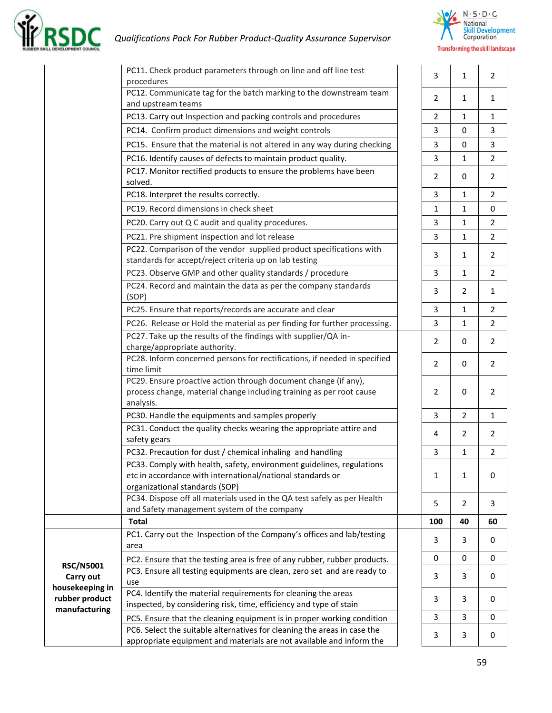



|                                                    | PC11. Check product parameters through on line and off line test<br>procedures                                                                                        | 3              | $\mathbf{1}$   | $\overline{2}$ |
|----------------------------------------------------|-----------------------------------------------------------------------------------------------------------------------------------------------------------------------|----------------|----------------|----------------|
|                                                    | PC12. Communicate tag for the batch marking to the downstream team<br>and upstream teams                                                                              | $\overline{2}$ | $\mathbf{1}$   | 1              |
|                                                    | PC13. Carry out Inspection and packing controls and procedures                                                                                                        | $\overline{2}$ | $\mathbf{1}$   | 1              |
|                                                    | PC14. Confirm product dimensions and weight controls                                                                                                                  | 3              | 0              | 3              |
|                                                    | PC15. Ensure that the material is not altered in any way during checking                                                                                              | 3              | 0              | 3              |
|                                                    | PC16. Identify causes of defects to maintain product quality.                                                                                                         | 3              | $\mathbf{1}$   | 2              |
|                                                    | PC17. Monitor rectified products to ensure the problems have been<br>solved.                                                                                          | 2              | 0              | 2              |
|                                                    | PC18. Interpret the results correctly.                                                                                                                                | 3              | $\mathbf{1}$   | 2              |
|                                                    | PC19. Record dimensions in check sheet                                                                                                                                | 1              | $\mathbf{1}$   | 0              |
|                                                    | PC20. Carry out Q C audit and quality procedures.                                                                                                                     | 3              | $\mathbf{1}$   | $\overline{2}$ |
|                                                    | PC21. Pre shipment inspection and lot release                                                                                                                         | 3              | $\mathbf{1}$   | 2              |
|                                                    | PC22. Comparison of the vendor supplied product specifications with<br>standards for accept/reject criteria up on lab testing                                         | 3              | $\mathbf{1}$   | $\overline{2}$ |
|                                                    | PC23. Observe GMP and other quality standards / procedure                                                                                                             | 3              | $\mathbf{1}$   | 2              |
|                                                    | PC24. Record and maintain the data as per the company standards<br>(SOP)                                                                                              | 3              | 2              | 1              |
|                                                    | PC25. Ensure that reports/records are accurate and clear                                                                                                              | 3              | $\mathbf{1}$   | 2              |
|                                                    | PC26. Release or Hold the material as per finding for further processing.                                                                                             | 3              | $\mathbf{1}$   | 2              |
|                                                    | PC27. Take up the results of the findings with supplier/QA in-<br>charge/appropriate authority.                                                                       | 2              | 0              | 2              |
|                                                    | PC28. Inform concerned persons for rectifications, if needed in specified<br>time limit                                                                               | 2              | 0              | 2              |
|                                                    | PC29. Ensure proactive action through document change (if any),<br>process change, material change including training as per root cause<br>analysis.                  | 2              | 0              | 2              |
|                                                    | PC30. Handle the equipments and samples properly                                                                                                                      | 3              | $\overline{2}$ | $\mathbf{1}$   |
|                                                    | PC31. Conduct the quality checks wearing the appropriate attire and<br>safety gears                                                                                   | 4              | 2              | 2              |
|                                                    | PC32. Precaution for dust / chemical inhaling and handling                                                                                                            | 3              | $\mathbf 1$    | $\overline{2}$ |
|                                                    | PC33. Comply with health, safety, environment guidelines, regulations<br>etc in accordance with international/national standards or<br>organizational standards (SOP) | 1              | $\mathbf{1}$   | 0              |
|                                                    | PC34. Dispose off all materials used in the QA test safely as per Health<br>and Safety management system of the company                                               | 5              | $\overline{2}$ | 3              |
|                                                    | <b>Total</b>                                                                                                                                                          | 100            | 40             | 60             |
|                                                    | PC1. Carry out the Inspection of the Company's offices and lab/testing<br>area                                                                                        | 3              | 3              | 0              |
|                                                    | PC2. Ensure that the testing area is free of any rubber, rubber products.                                                                                             | 0              | 0              | 0              |
| <b>RSC/N5001</b><br>Carry out                      | PC3. Ensure all testing equipments are clean, zero set and are ready to<br>use                                                                                        | 3              | 3              | 0              |
| housekeeping in<br>rubber product<br>manufacturing | PC4. Identify the material requirements for cleaning the areas<br>inspected, by considering risk, time, efficiency and type of stain                                  | 3              | 3              | 0              |
|                                                    | PC5. Ensure that the cleaning equipment is in proper working condition                                                                                                | 3              | 3              | 0              |
|                                                    | PC6. Select the suitable alternatives for cleaning the areas in case the<br>appropriate equipment and materials are not available and inform the                      | 3              | 3              | 0              |
|                                                    |                                                                                                                                                                       |                |                |                |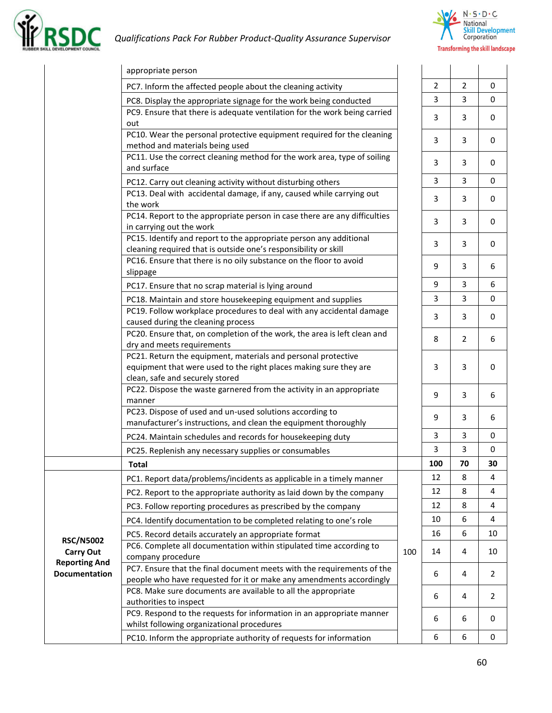



|                                          | appropriate person                                                                                                                   |     |     |                |                |
|------------------------------------------|--------------------------------------------------------------------------------------------------------------------------------------|-----|-----|----------------|----------------|
|                                          | PC7. Inform the affected people about the cleaning activity                                                                          |     | 2   | 2              | 0              |
|                                          | PC8. Display the appropriate signage for the work being conducted                                                                    |     | 3   | 3              | 0              |
|                                          | PC9. Ensure that there is adequate ventilation for the work being carried                                                            |     |     |                |                |
|                                          | out                                                                                                                                  |     | 3   | 3              | 0              |
|                                          | PC10. Wear the personal protective equipment required for the cleaning                                                               |     | 3   | 3              | 0              |
|                                          | method and materials being used                                                                                                      |     |     |                |                |
|                                          | PC11. Use the correct cleaning method for the work area, type of soiling<br>and surface                                              |     | 3   | 3              | 0              |
|                                          |                                                                                                                                      |     | 3   | 3              | $\mathbf 0$    |
|                                          | PC12. Carry out cleaning activity without disturbing others<br>PC13. Deal with accidental damage, if any, caused while carrying out  |     |     |                |                |
|                                          | the work                                                                                                                             |     | 3   | 3              | 0              |
|                                          | PC14. Report to the appropriate person in case there are any difficulties                                                            |     |     |                |                |
|                                          | in carrying out the work                                                                                                             |     | 3   | 3              | 0              |
|                                          | PC15. Identify and report to the appropriate person any additional                                                                   |     | 3   | 3              | 0              |
|                                          | cleaning required that is outside one's responsibility or skill                                                                      |     |     |                |                |
|                                          | PC16. Ensure that there is no oily substance on the floor to avoid<br>slippage                                                       |     | 9   | 3              | 6              |
|                                          |                                                                                                                                      |     | 9   | 3              | 6              |
|                                          | PC17. Ensure that no scrap material is lying around                                                                                  |     | 3   | 3              | 0              |
|                                          | PC18. Maintain and store housekeeping equipment and supplies<br>PC19. Follow workplace procedures to deal with any accidental damage |     |     |                |                |
|                                          | caused during the cleaning process                                                                                                   |     | 3   | 3              | 0              |
|                                          | PC20. Ensure that, on completion of the work, the area is left clean and                                                             |     |     |                |                |
|                                          | dry and meets requirements                                                                                                           |     | 8   | $\overline{2}$ | 6              |
|                                          | PC21. Return the equipment, materials and personal protective                                                                        |     |     |                |                |
|                                          | equipment that were used to the right places making sure they are                                                                    |     | 3   | 3              | 0              |
|                                          | clean, safe and securely stored<br>PC22. Dispose the waste garnered from the activity in an appropriate                              |     |     |                |                |
|                                          | manner                                                                                                                               |     | 9   | 3              | 6              |
|                                          | PC23. Dispose of used and un-used solutions according to                                                                             |     |     |                |                |
|                                          | manufacturer's instructions, and clean the equipment thoroughly                                                                      |     | 9   | 3              | 6              |
|                                          | PC24. Maintain schedules and records for housekeeping duty                                                                           |     | 3   | 3              | 0              |
|                                          | PC25. Replenish any necessary supplies or consumables                                                                                |     | 3   | 3              | 0              |
|                                          | Total                                                                                                                                |     | 100 | 70             | 30             |
|                                          | PC1. Report data/problems/incidents as applicable in a timely manner                                                                 |     | 12  | 8              | 4              |
|                                          | PC2. Report to the appropriate authority as laid down by the company                                                                 |     | 12  | 8              | 4              |
|                                          | PC3. Follow reporting procedures as prescribed by the company                                                                        |     | 12  | 8              | 4              |
|                                          | PC4. Identify documentation to be completed relating to one's role                                                                   |     | 10  | 6              | 4              |
|                                          | PC5. Record details accurately an appropriate format                                                                                 |     | 16  | 6              | 10             |
| <b>RSC/N5002</b>                         | PC6. Complete all documentation within stipulated time according to                                                                  |     |     |                |                |
| <b>Carry Out</b><br><b>Reporting And</b> | company procedure                                                                                                                    | 100 | 14  | 4              | 10             |
| Documentation                            | PC7. Ensure that the final document meets with the requirements of the                                                               |     | 6   | 4              | $\overline{2}$ |
|                                          | people who have requested for it or make any amendments accordingly                                                                  |     |     |                |                |
|                                          | PC8. Make sure documents are available to all the appropriate<br>authorities to inspect                                              |     | 6   | 4              | 2              |
|                                          | PC9. Respond to the requests for information in an appropriate manner                                                                |     |     |                |                |
|                                          | whilst following organizational procedures                                                                                           |     | 6   | 6              | 0              |
|                                          | PC10. Inform the appropriate authority of requests for information                                                                   |     | 6   | 6              | 0              |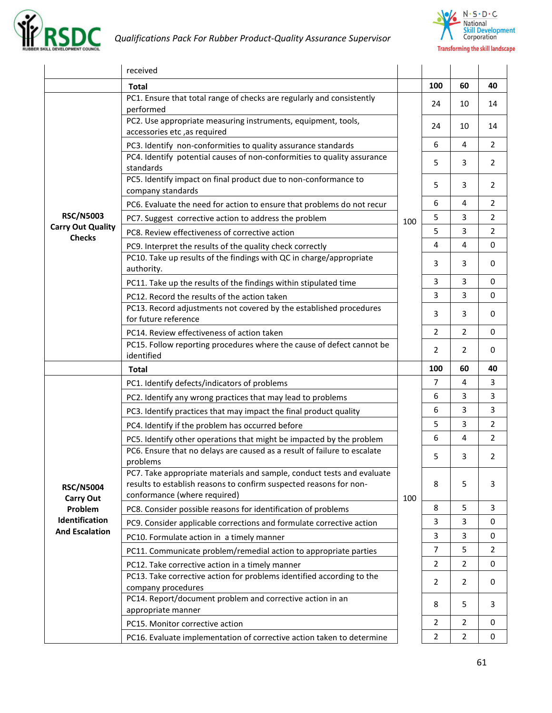



|                                                               | received                                                                                                                                                                     |     |                |                |                |
|---------------------------------------------------------------|------------------------------------------------------------------------------------------------------------------------------------------------------------------------------|-----|----------------|----------------|----------------|
|                                                               | Total                                                                                                                                                                        |     | 100            | 60             | 40             |
|                                                               | PC1. Ensure that total range of checks are regularly and consistently<br>performed                                                                                           |     | 24             | 10             | 14             |
|                                                               | PC2. Use appropriate measuring instruments, equipment, tools,<br>accessories etc, as required                                                                                |     | 24             | 10             | 14             |
|                                                               | PC3. Identify non-conformities to quality assurance standards                                                                                                                |     | 6              | 4              | $\overline{2}$ |
|                                                               | PC4. Identify potential causes of non-conformities to quality assurance<br>standards                                                                                         |     | 5              | 3              | 2              |
|                                                               | PC5. Identify impact on final product due to non-conformance to<br>company standards                                                                                         |     | 5              | 3              | 2              |
|                                                               | PC6. Evaluate the need for action to ensure that problems do not recur                                                                                                       |     | 6              | 4              | 2              |
| <b>RSC/N5003</b><br><b>Carry Out Quality</b><br><b>Checks</b> | PC7. Suggest corrective action to address the problem                                                                                                                        | 100 | 5              | 3              | $\overline{2}$ |
|                                                               | PC8. Review effectiveness of corrective action                                                                                                                               |     | 5              | 3              | 2              |
|                                                               | PC9. Interpret the results of the quality check correctly                                                                                                                    |     | 4              | 4              | $\mathbf 0$    |
|                                                               | PC10. Take up results of the findings with QC in charge/appropriate<br>authority.                                                                                            |     | 3              | 3              | 0              |
|                                                               | PC11. Take up the results of the findings within stipulated time                                                                                                             |     | 3              | 3              | 0              |
|                                                               | PC12. Record the results of the action taken                                                                                                                                 |     | 3              | 3              | $\mathbf 0$    |
|                                                               | PC13. Record adjustments not covered by the established procedures<br>for future reference                                                                                   |     | 3              | 3              | 0              |
|                                                               | PC14. Review effectiveness of action taken                                                                                                                                   |     | $\overline{2}$ | $\overline{2}$ | $\mathbf 0$    |
|                                                               | PC15. Follow reporting procedures where the cause of defect cannot be                                                                                                        |     | 2              | 2              | 0              |
|                                                               | identified                                                                                                                                                                   |     |                |                |                |
|                                                               | <b>Total</b>                                                                                                                                                                 |     | 100            | 60             | 40             |
|                                                               | PC1. Identify defects/indicators of problems                                                                                                                                 |     | $\overline{7}$ | 4              | 3              |
|                                                               | PC2. Identify any wrong practices that may lead to problems                                                                                                                  |     | 6              | 3              | 3              |
|                                                               | PC3. Identify practices that may impact the final product quality                                                                                                            |     | 6              | 3              | 3              |
|                                                               | PC4. Identify if the problem has occurred before                                                                                                                             |     | 5              | 3              | $\overline{2}$ |
|                                                               | PC5. Identify other operations that might be impacted by the problem                                                                                                         |     | 6              | 4              | $\overline{2}$ |
|                                                               | PC6. Ensure that no delays are caused as a result of failure to escalate<br>problems                                                                                         |     | 5              | 3              | 2              |
| <b>RSC/N5004</b>                                              | PC7. Take appropriate materials and sample, conduct tests and evaluate<br>results to establish reasons to confirm suspected reasons for non-<br>conformance (where required) |     | 8              | 5              | 3              |
| <b>Carry Out</b><br>Problem                                   | PC8. Consider possible reasons for identification of problems                                                                                                                | 100 | 8              | 5              | 3              |
| Identification                                                | PC9. Consider applicable corrections and formulate corrective action                                                                                                         |     | 3              | 3              | $\mathbf 0$    |
| <b>And Escalation</b>                                         | PC10. Formulate action in a timely manner                                                                                                                                    |     | 3              | 3              | 0              |
|                                                               | PC11. Communicate problem/remedial action to appropriate parties                                                                                                             |     | $\overline{7}$ | 5              | 2              |
|                                                               | PC12. Take corrective action in a timely manner                                                                                                                              |     | 2              | $\overline{2}$ | 0              |
|                                                               | PC13. Take corrective action for problems identified according to the<br>company procedures                                                                                  |     | 2              | $\overline{2}$ | 0              |
|                                                               | PC14. Report/document problem and corrective action in an<br>appropriate manner                                                                                              |     | 8              | 5              | 3              |
|                                                               | PC15. Monitor corrective action                                                                                                                                              |     | $\overline{2}$ | $\overline{2}$ | 0              |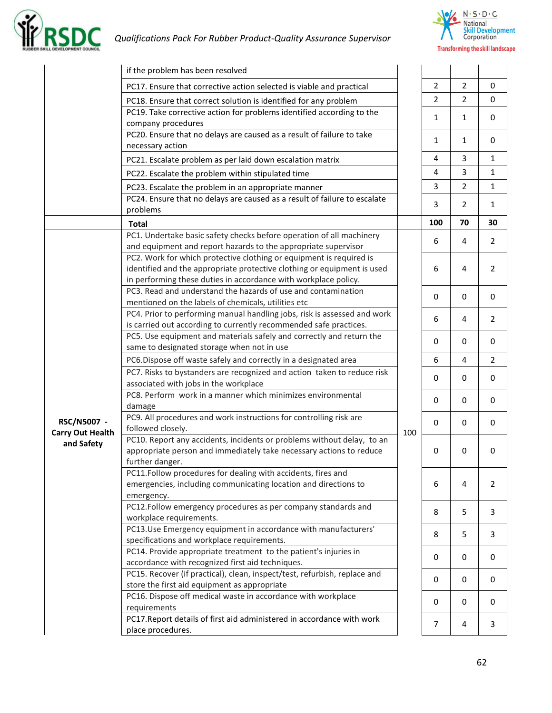



|                                        | if the problem has been resolved                                                                                                                                                                                  |     |                |                |                |
|----------------------------------------|-------------------------------------------------------------------------------------------------------------------------------------------------------------------------------------------------------------------|-----|----------------|----------------|----------------|
|                                        | PC17. Ensure that corrective action selected is viable and practical                                                                                                                                              |     | $\overline{2}$ | $\overline{2}$ | 0              |
|                                        | PC18. Ensure that correct solution is identified for any problem                                                                                                                                                  |     | $\overline{2}$ | $\overline{2}$ | $\mathbf 0$    |
|                                        | PC19. Take corrective action for problems identified according to the<br>company procedures                                                                                                                       |     | 1              | $\mathbf{1}$   | $\mathbf 0$    |
|                                        | PC20. Ensure that no delays are caused as a result of failure to take<br>necessary action                                                                                                                         |     | 1              | $\mathbf{1}$   | 0              |
|                                        | PC21. Escalate problem as per laid down escalation matrix                                                                                                                                                         |     | 4              | 3              | $\mathbf{1}$   |
|                                        | PC22. Escalate the problem within stipulated time                                                                                                                                                                 |     | 4              | 3              | $\mathbf{1}$   |
|                                        | PC23. Escalate the problem in an appropriate manner                                                                                                                                                               |     | 3              | $\overline{2}$ | $\mathbf{1}$   |
|                                        | PC24. Ensure that no delays are caused as a result of failure to escalate                                                                                                                                         |     |                |                |                |
|                                        | problems                                                                                                                                                                                                          |     | 3              | $\overline{2}$ | $\mathbf{1}$   |
|                                        | <b>Total</b>                                                                                                                                                                                                      |     | 100            | 70             | 30             |
|                                        | PC1. Undertake basic safety checks before operation of all machinery<br>and equipment and report hazards to the appropriate supervisor                                                                            |     | 6              | 4              | $\overline{2}$ |
|                                        | PC2. Work for which protective clothing or equipment is required is<br>identified and the appropriate protective clothing or equipment is used<br>in performing these duties in accordance with workplace policy. |     | 6              | 4              | $\overline{2}$ |
|                                        | PC3. Read and understand the hazards of use and contamination<br>mentioned on the labels of chemicals, utilities etc                                                                                              |     | 0              | 0              | 0              |
|                                        | PC4. Prior to performing manual handling jobs, risk is assessed and work<br>is carried out according to currently recommended safe practices.                                                                     |     | 6              | 4              | $\overline{2}$ |
|                                        | PC5. Use equipment and materials safely and correctly and return the<br>same to designated storage when not in use                                                                                                |     | 0              | 0              | 0              |
|                                        | PC6.Dispose off waste safely and correctly in a designated area                                                                                                                                                   |     | 6              | $\overline{4}$ | $\overline{2}$ |
|                                        | PC7. Risks to bystanders are recognized and action taken to reduce risk                                                                                                                                           |     |                | 0              |                |
|                                        | associated with jobs in the workplace                                                                                                                                                                             |     | 0              |                | 0              |
|                                        | PC8. Perform work in a manner which minimizes environmental<br>damage                                                                                                                                             |     | 0              | 0              | 0              |
| RSC/N5007 -<br><b>Carry Out Health</b> | PC9. All procedures and work instructions for controlling risk are<br>followed closely.                                                                                                                           | 100 | $\mathbf 0$    | 0              | 0              |
| and Safety                             | PC10. Report any accidents, incidents or problems without delay, to an<br>appropriate person and immediately take necessary actions to reduce<br>further danger.                                                  |     | 0              | 0              | 0              |
|                                        | PC11.Follow procedures for dealing with accidents, fires and<br>emergencies, including communicating location and directions to<br>emergency.                                                                     |     | 6              | $\overline{4}$ | 2              |
|                                        | PC12.Follow emergency procedures as per company standards and<br>workplace requirements.                                                                                                                          |     | 8              | 5              | 3              |
|                                        | PC13.Use Emergency equipment in accordance with manufacturers'<br>specifications and workplace requirements.                                                                                                      |     | 8              | 5              | 3              |
|                                        | PC14. Provide appropriate treatment to the patient's injuries in<br>accordance with recognized first aid techniques.                                                                                              |     | 0              | 0              | 0              |
|                                        | PC15. Recover (if practical), clean, inspect/test, refurbish, replace and<br>store the first aid equipment as appropriate                                                                                         |     | 0              | 0              | 0              |
|                                        | PC16. Dispose off medical waste in accordance with workplace<br>requirements                                                                                                                                      |     | 0              | 0              | 0              |
|                                        | PC17. Report details of first aid administered in accordance with work<br>place procedures.                                                                                                                       |     | 7              | 4              | 3              |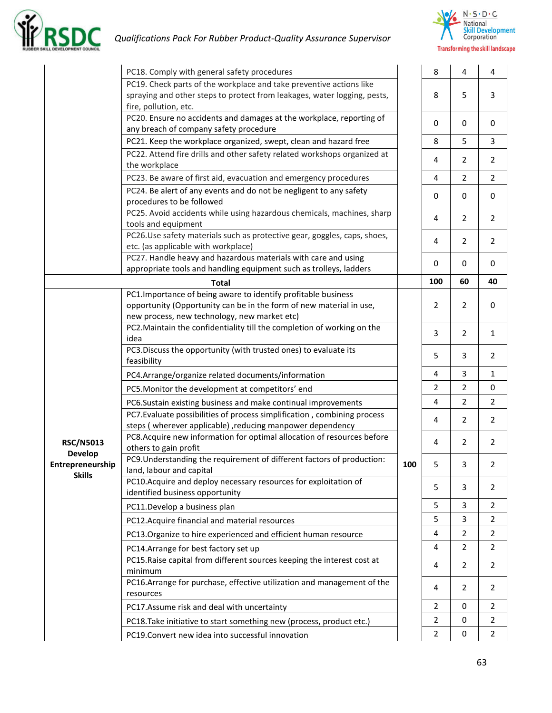



|                                                     | PC18. Comply with general safety procedures                                                                                                                                           |     | 8              | $\overline{\mathbf{4}}$ | 4              |
|-----------------------------------------------------|---------------------------------------------------------------------------------------------------------------------------------------------------------------------------------------|-----|----------------|-------------------------|----------------|
|                                                     | PC19. Check parts of the workplace and take preventive actions like<br>spraying and other steps to protect from leakages, water logging, pests,<br>fire, pollution, etc.              |     | 8              | 5                       | 3              |
|                                                     | PC20. Ensure no accidents and damages at the workplace, reporting of<br>any breach of company safety procedure                                                                        |     | 0              | 0                       | 0              |
|                                                     | PC21. Keep the workplace organized, swept, clean and hazard free                                                                                                                      |     | 8              | 5                       | 3              |
|                                                     | PC22. Attend fire drills and other safety related workshops organized at<br>the workplace                                                                                             |     | 4              | $\overline{2}$          | 2              |
|                                                     | PC23. Be aware of first aid, evacuation and emergency procedures                                                                                                                      |     | 4              | $\overline{2}$          | $\overline{2}$ |
|                                                     | PC24. Be alert of any events and do not be negligent to any safety<br>procedures to be followed                                                                                       |     | 0              | 0                       | 0              |
|                                                     | PC25. Avoid accidents while using hazardous chemicals, machines, sharp<br>tools and equipment                                                                                         |     | 4              | $\overline{2}$          | $\overline{2}$ |
|                                                     | PC26.Use safety materials such as protective gear, goggles, caps, shoes,<br>etc. (as applicable with workplace)                                                                       |     | 4              | $\overline{2}$          | $\overline{2}$ |
|                                                     | PC27. Handle heavy and hazardous materials with care and using<br>appropriate tools and handling equipment such as trolleys, ladders                                                  |     | 0              | 0                       | 0              |
|                                                     | <b>Total</b>                                                                                                                                                                          |     | 100            | 60                      | 40             |
|                                                     | PC1. Importance of being aware to identify profitable business<br>opportunity (Opportunity can be in the form of new material in use,<br>new process, new technology, new market etc) |     | $\overline{2}$ | $\overline{2}$          | 0              |
|                                                     | PC2. Maintain the confidentiality till the completion of working on the<br>idea                                                                                                       |     | 3              | $\overline{2}$          | $\mathbf{1}$   |
|                                                     | PC3. Discuss the opportunity (with trusted ones) to evaluate its<br>feasibility                                                                                                       |     | 5              | 3                       | 2              |
|                                                     | PC4.Arrange/organize related documents/information                                                                                                                                    |     | 4              | 3                       | 1              |
|                                                     | PC5. Monitor the development at competitors' end                                                                                                                                      |     | $\overline{2}$ | $\overline{2}$          | 0              |
|                                                     | PC6.Sustain existing business and make continual improvements                                                                                                                         |     | 4              | $\overline{2}$          | $\overline{2}$ |
|                                                     | PC7. Evaluate possibilities of process simplification, combining process<br>steps (wherever applicable), reducing manpower dependency                                                 |     | 4              | $\overline{2}$          | $\overline{2}$ |
| <b>RSC/N5013</b>                                    | PC8.Acquire new information for optimal allocation of resources before<br>others to gain profit                                                                                       |     | 4              | $\overline{2}$          | $\overline{2}$ |
| <b>Develop</b><br>Entrepreneurship<br><b>Skills</b> | PC9. Understanding the requirement of different factors of production:<br>land, labour and capital                                                                                    | 100 | 5              | 3                       | $\overline{2}$ |
|                                                     | PC10. Acquire and deploy necessary resources for exploitation of<br>identified business opportunity                                                                                   |     | 5              | 3                       | 2              |
|                                                     | PC11.Develop a business plan                                                                                                                                                          |     | 5              | 3                       | 2              |
|                                                     | PC12. Acquire financial and material resources                                                                                                                                        |     | 5              | 3                       | 2              |
|                                                     | PC13. Organize to hire experienced and efficient human resource                                                                                                                       |     | 4              | $\overline{2}$          | 2              |
|                                                     | PC14.Arrange for best factory set up                                                                                                                                                  |     | 4              | 2                       | 2              |
|                                                     | PC15. Raise capital from different sources keeping the interest cost at<br>minimum                                                                                                    |     | 4              | 2                       | 2              |
|                                                     | PC16.Arrange for purchase, effective utilization and management of the<br>resources                                                                                                   |     | 4              | 2                       | 2              |
|                                                     | PC17.Assume risk and deal with uncertainty                                                                                                                                            |     | 2              | 0                       | 2              |
|                                                     | PC18. Take initiative to start something new (process, product etc.)                                                                                                                  |     | 2              | 0                       | 2              |
|                                                     | PC19.Convert new idea into successful innovation                                                                                                                                      |     | $\overline{2}$ | 0                       | 2              |
|                                                     |                                                                                                                                                                                       |     |                |                         |                |

**2**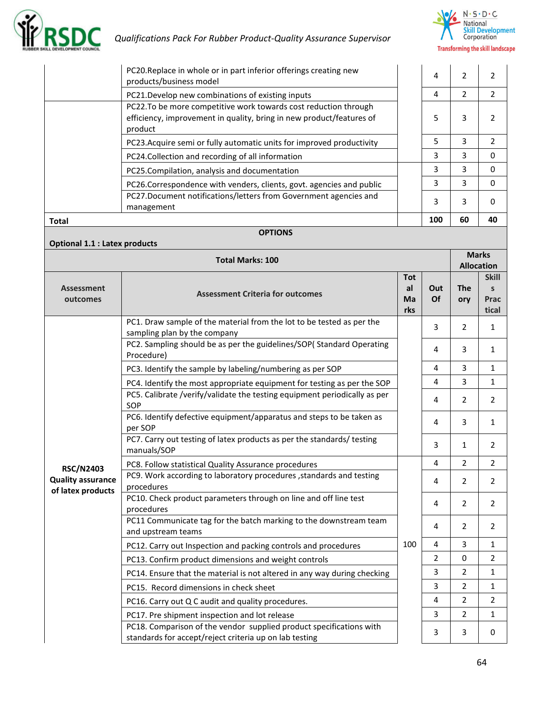



| PC20. Replace in whole or in part inferior offerings creating new<br>products/business model                                                        | 4   | 2  |    |
|-----------------------------------------------------------------------------------------------------------------------------------------------------|-----|----|----|
| PC21.Develop new combinations of existing inputs                                                                                                    | 4   | 2  | 2  |
| PC22. To be more competitive work towards cost reduction through<br>efficiency, improvement in quality, bring in new product/features of<br>product | 5   | 3  |    |
| PC23. Acquire semi or fully automatic units for improved productivity                                                                               | 5   | 3  | 2  |
| PC24. Collection and recording of all information                                                                                                   | 3   | 3  | O  |
| PC25. Compilation, analysis and documentation                                                                                                       | 3   | 3  | O  |
| PC26.Correspondence with venders, clients, govt. agencies and public                                                                                | 3   | 3  | O  |
| PC27.Document notifications/letters from Government agencies and<br>management                                                                      | 3   | 3  |    |
| <b>Total</b>                                                                                                                                        | 100 | 60 | 40 |

#### **OPTIONS**

|                                               | <b>Total Marks: 100</b>                                                                                                       |                               |                         |                   | <b>Marks</b><br><b>Allocation</b>             |
|-----------------------------------------------|-------------------------------------------------------------------------------------------------------------------------------|-------------------------------|-------------------------|-------------------|-----------------------------------------------|
| <b>Assessment</b><br>outcomes                 | <b>Assessment Criteria for outcomes</b>                                                                                       | <b>Tot</b><br>al<br>Ma<br>rks | Out<br>Of               | <b>The</b><br>ory | <b>Skill</b><br>$\mathsf{s}$<br>Prac<br>tical |
|                                               | PC1. Draw sample of the material from the lot to be tested as per the<br>sampling plan by the company                         |                               | $\overline{3}$          | $\overline{2}$    | $\mathbf{1}$                                  |
|                                               | PC2. Sampling should be as per the guidelines/SOP(Standard Operating<br>Procedure)                                            |                               | 4                       | 3                 | 1                                             |
|                                               | PC3. Identify the sample by labeling/numbering as per SOP                                                                     |                               | 4                       | 3                 | $\mathbf{1}$                                  |
|                                               | PC4. Identify the most appropriate equipment for testing as per the SOP                                                       |                               | $\overline{4}$          | 3                 | $\mathbf{1}$                                  |
|                                               | PC5. Calibrate /verify/validate the testing equipment periodically as per<br>SOP                                              |                               | 4                       | $\overline{2}$    | 2                                             |
|                                               | PC6. Identify defective equipment/apparatus and steps to be taken as<br>per SOP                                               |                               | 4                       | 3                 | $\mathbf{1}$                                  |
|                                               | PC7. Carry out testing of latex products as per the standards/ testing<br>manuals/SOP                                         |                               | 3                       | $\mathbf{1}$      | $\overline{2}$                                |
| <b>RSC/N2403</b>                              | PC8. Follow statistical Quality Assurance procedures                                                                          |                               | 4                       | $\overline{2}$    | $\overline{2}$                                |
| <b>Quality assurance</b><br>of latex products | PC9. Work according to laboratory procedures , standards and testing<br>procedures                                            |                               | 4                       | $\overline{2}$    | 2                                             |
|                                               | PC10. Check product parameters through on line and off line test<br>procedures                                                |                               | 4                       | $\overline{2}$    | $\overline{2}$                                |
|                                               | PC11 Communicate tag for the batch marking to the downstream team<br>and upstream teams                                       |                               | 4                       | $\overline{2}$    | $\overline{2}$                                |
|                                               | PC12. Carry out Inspection and packing controls and procedures                                                                | 100                           | $\overline{\mathbf{4}}$ | 3                 | $\mathbf{1}$                                  |
|                                               | PC13. Confirm product dimensions and weight controls                                                                          |                               | $\overline{2}$          | $\mathbf 0$       | $\overline{2}$                                |
|                                               | PC14. Ensure that the material is not altered in any way during checking                                                      |                               | 3                       | $\overline{2}$    | $\mathbf{1}$                                  |
|                                               | PC15. Record dimensions in check sheet                                                                                        |                               | 3                       | 2                 | 1                                             |
|                                               | PC16. Carry out Q C audit and quality procedures.                                                                             |                               | 4                       | $\overline{2}$    | $\overline{2}$                                |
|                                               | PC17. Pre shipment inspection and lot release                                                                                 |                               | 3                       | $\overline{2}$    | $\mathbf{1}$                                  |
|                                               | PC18. Comparison of the vendor supplied product specifications with<br>standards for accept/reject criteria up on lab testing |                               | 3                       | 3                 | $\mathbf{0}$                                  |